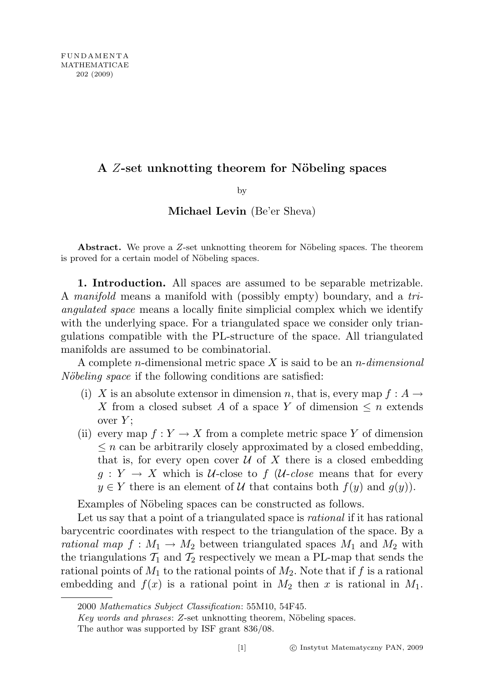# A Z-set unknotting theorem for Nöbeling spaces

by

## Michael Levin (Be'er Sheva)

Abstract. We prove a  $Z$ -set unknotting theorem for Nöbeling spaces. The theorem is proved for a certain model of Nöbeling spaces.

1. Introduction. All spaces are assumed to be separable metrizable. A manifold means a manifold with (possibly empty) boundary, and a triangulated space means a locally finite simplicial complex which we identify with the underlying space. For a triangulated space we consider only triangulations compatible with the PL-structure of the space. All triangulated manifolds are assumed to be combinatorial.

A complete *n*-dimensional metric space X is said to be an *n*-dimensional Nöbeling space if the following conditions are satisfied:

- (i) X is an absolute extensor in dimension n, that is, every map  $f : A \rightarrow$ X from a closed subset A of a space Y of dimension  $\leq n$  extends over  $Y$ :
- (ii) every map  $f: Y \to X$  from a complete metric space Y of dimension  $\leq n$  can be arbitrarily closely approximated by a closed embedding, that is, for every open cover  $U$  of X there is a closed embedding  $g: Y \to X$  which is U-close to f (U-close means that for every  $y \in Y$  there is an element of U that contains both  $f(y)$  and  $g(y)$ ).

Examples of Nöbeling spaces can be constructed as follows.

Let us say that a point of a triangulated space is *rational* if it has rational barycentric coordinates with respect to the triangulation of the space. By a rational map  $f : M_1 \to M_2$  between triangulated spaces  $M_1$  and  $M_2$  with the triangulations  $T_1$  and  $T_2$  respectively we mean a PL-map that sends the rational points of  $M_1$  to the rational points of  $M_2$ . Note that if f is a rational embedding and  $f(x)$  is a rational point in  $M_2$  then x is rational in  $M_1$ .

<sup>2000</sup> Mathematics Subject Classification: 55M10, 54F45.

 $Key words and phrases: Z-set unknown to theorem, Nöbeling spaces.$ 

The author was supported by ISF grant 836/08.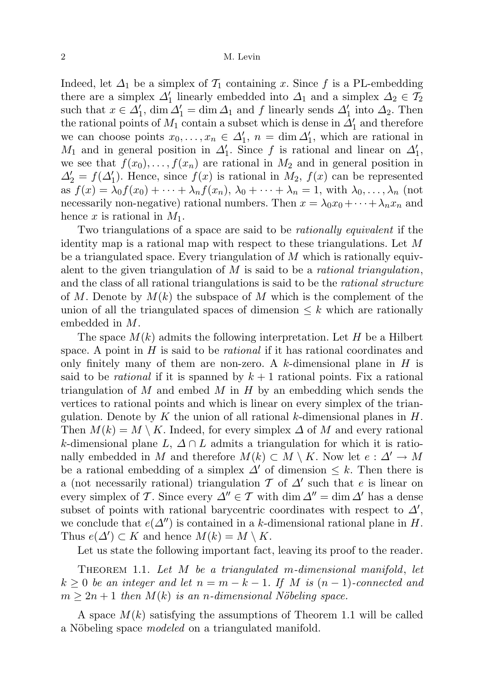Indeed, let  $\Delta_1$  be a simplex of  $\mathcal{T}_1$  containing x. Since f is a PL-embedding there are a simplex  $\Delta'_1$  linearly embedded into  $\Delta_1$  and a simplex  $\Delta_2 \in \mathcal{T}_2$ such that  $x \in \Delta'_1$ ,  $\dim \Delta'_1 = \dim \Delta_1$  and f linearly sends  $\Delta'_1$  into  $\Delta_2$ . Then the rational points of  $M_1$  contain a subset which is dense in  $\Delta'_1$  and therefore we can choose points  $x_0, \ldots, x_n \in \Delta'_1$ ,  $n = \dim \Delta'_1$ , which are rational in  $M_1$  and in general position in  $\Delta'_1$ . Since f is rational and linear on  $\Delta'_1$ , we see that  $f(x_0), \ldots, f(x_n)$  are rational in  $M_2$  and in general position in  $\Delta_2' = f(\Delta_1')$ . Hence, since  $f(x)$  is rational in  $M_2$ ,  $f(x)$  can be represented as  $f(x) = \lambda_0 f(x_0) + \cdots + \lambda_n f(x_n), \lambda_0 + \cdots + \lambda_n = 1$ , with  $\lambda_0, \ldots, \lambda_n$  (not necessarily non-negative) rational numbers. Then  $x = \lambda_0 x_0 + \cdots + \lambda_n x_n$  and hence x is rational in  $M_1$ .

Two triangulations of a space are said to be rationally equivalent if the identity map is a rational map with respect to these triangulations. Let  $M$ be a triangulated space. Every triangulation of  $M$  which is rationally equivalent to the given triangulation of  $M$  is said to be a *rational triangulation*, and the class of all rational triangulations is said to be the *rational structure* of M. Denote by  $M(k)$  the subspace of M which is the complement of the union of all the triangulated spaces of dimension  $\leq k$  which are rationally embedded in M.

The space  $M(k)$  admits the following interpretation. Let H be a Hilbert space. A point in  $H$  is said to be *rational* if it has rational coordinates and only finitely many of them are non-zero. A k-dimensional plane in  $H$  is said to be *rational* if it is spanned by  $k + 1$  rational points. Fix a rational triangulation of M and embed M in H by an embedding which sends the vertices to rational points and which is linear on every simplex of the triangulation. Denote by  $K$  the union of all rational  $k$ -dimensional planes in  $H$ . Then  $M(k) = M \setminus K$ . Indeed, for every simplex  $\Delta$  of M and every rational k-dimensional plane L,  $\Delta \cap L$  admits a triangulation for which it is rationally embedded in M and therefore  $M(k) \subset M \setminus K$ . Now let  $e : \Delta' \to M$ be a rational embedding of a simplex  $\Delta'$  of dimension  $\leq k$ . Then there is a (not necessarily rational) triangulation  $\mathcal T$  of  $\Delta'$  such that e is linear on every simplex of T. Since every  $\Delta'' \in T$  with dim  $\Delta'' = \dim \Delta'$  has a dense subset of points with rational barycentric coordinates with respect to  $\Delta'$ , we conclude that  $e(\Delta'')$  is contained in a k-dimensional rational plane in H. Thus  $e(\Delta') \subset K$  and hence  $M(k) = M \setminus K$ .

Let us state the following important fact, leaving its proof to the reader.

THEOREM 1.1. Let  $M$  be a triangulated m-dimensional manifold, let  $k \geq 0$  be an integer and let  $n = m - k - 1$ . If M is  $(n - 1)$ -connected and  $m \geq 2n+1$  then  $M(k)$  is an n-dimensional Nöbeling space.

A space  $M(k)$  satisfying the assumptions of Theorem 1.1 will be called a Nöbeling space *modeled* on a triangulated manifold.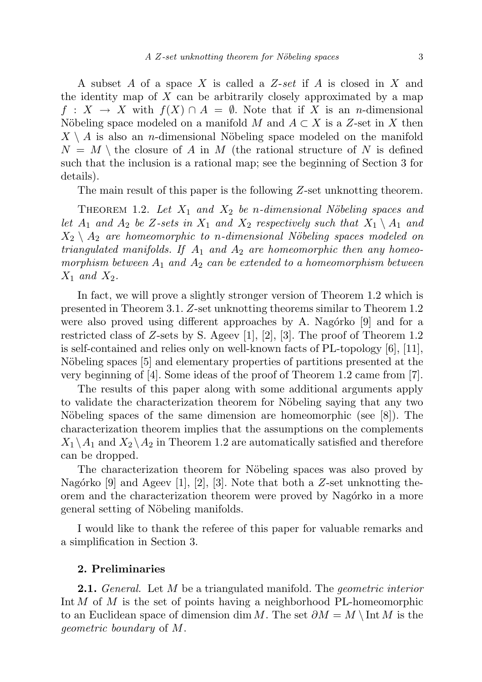A subset A of a space X is called a Z-set if A is closed in X and the identity map of  $X$  can be arbitrarily closely approximated by a map  $f: X \to X$  with  $f(X) \cap A = \emptyset$ . Note that if X is an *n*-dimensional Nöbeling space modeled on a manifold M and  $A \subset X$  is a Z-set in X then  $X \setminus A$  is also an *n*-dimensional Nöbeling space modeled on the manifold  $N = M \setminus$  the closure of A in M (the rational structure of N is defined such that the inclusion is a rational map; see the beginning of Section 3 for details).

The main result of this paper is the following Z-set unknotting theorem.

THEOREM 1.2. Let  $X_1$  and  $X_2$  be n-dimensional Nöbeling spaces and let  $A_1$  and  $A_2$  be Z-sets in  $X_1$  and  $X_2$  respectively such that  $X_1 \setminus A_1$  and  $X_2 \setminus A_2$  are homeomorphic to n-dimensional Nöbeling spaces modeled on triangulated manifolds. If  $A_1$  and  $A_2$  are homeomorphic then any homeomorphism between  $A_1$  and  $A_2$  can be extended to a homeomorphism between  $X_1$  and  $X_2$ .

In fact, we will prove a slightly stronger version of Theorem 1.2 which is presented in Theorem 3.1. Z-set unknotting theorems similar to Theorem 1.2 were also proved using different approaches by A. Nagórko  $[9]$  and for a restricted class of Z-sets by S. Ageev [1], [2], [3]. The proof of Theorem 1.2 is self-contained and relies only on well-known facts of PL-topology [6], [11], Nöbeling spaces [5] and elementary properties of partitions presented at the very beginning of [4]. Some ideas of the proof of Theorem 1.2 came from [7].

The results of this paper along with some additional arguments apply to validate the characterization theorem for Nöbeling saying that any two Nöbeling spaces of the same dimension are homeomorphic (see  $[8]$ ). The characterization theorem implies that the assumptions on the complements  $X_1 \backslash A_1$  and  $X_2 \backslash A_2$  in Theorem 1.2 are automatically satisfied and therefore can be dropped.

The characterization theorem for Nöbeling spaces was also proved by Nagórko  $[9]$  and Ageev  $[1]$ ,  $[2]$ ,  $[3]$ . Note that both a Z-set unknotting theorem and the characterization theorem were proved by Nagórko in a more general setting of Nöbeling manifolds.

I would like to thank the referee of this paper for valuable remarks and a simplification in Section 3.

### 2. Preliminaries

**2.1.** General. Let  $M$  be a triangulated manifold. The *geometric interior* Int  $M$  of  $M$  is the set of points having a neighborhood PL-homeomorphic to an Euclidean space of dimension dim M. The set  $\partial M = M \setminus \text{Int } M$  is the geometric boundary of M.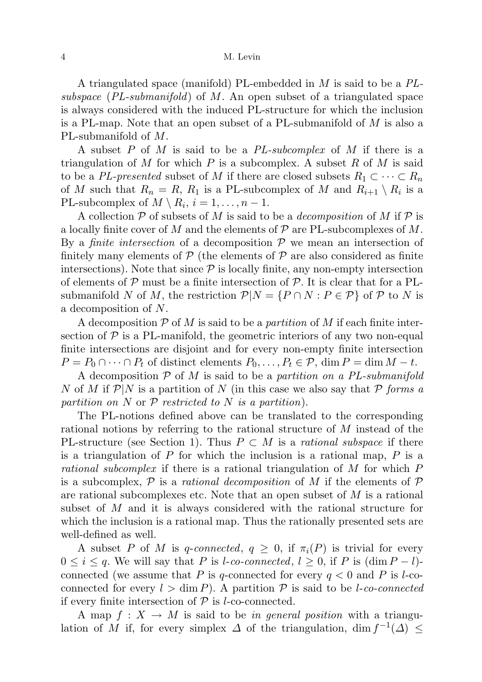A triangulated space (manifold) PL-embedded in M is said to be a PLsubspace  $(PL-submanifold)$  of M. An open subset of a triangulated space is always considered with the induced PL-structure for which the inclusion is a PL-map. Note that an open subset of a PL-submanifold of M is also a PL-submanifold of M.

A subset P of M is said to be a PL-subcomplex of M if there is a triangulation of M for which P is a subcomplex. A subset R of M is said to be a PL-presented subset of M if there are closed subsets  $R_1 \subset \cdots \subset R_n$ of M such that  $R_n = R$ ,  $R_1$  is a PL-subcomplex of M and  $R_{i+1} \setminus R_i$  is a PL-subcomplex of  $M \setminus R_i$ ,  $i = 1, ..., n - 1$ .

A collection  $P$  of subsets of M is said to be a *decomposition* of M if P is a locally finite cover of M and the elements of  $\mathcal P$  are PL-subcomplexes of M. By a *finite intersection* of a decomposition  $P$  we mean an intersection of finitely many elements of  $P$  (the elements of  $P$  are also considered as finite intersections). Note that since  $P$  is locally finite, any non-empty intersection of elements of  $P$  must be a finite intersection of  $P$ . It is clear that for a PLsubmanifold N of M, the restriction  $\mathcal{P}|N = \{P \cap N : P \in \mathcal{P}\}\$  of P to N is a decomposition of N.

A decomposition  $P$  of M is said to be a *partition* of M if each finite intersection of  $P$  is a PL-manifold, the geometric interiors of any two non-equal finite intersections are disjoint and for every non-empty finite intersection  $P = P_0 \cap \cdots \cap P_t$  of distinct elements  $P_0, \ldots, P_t \in \mathcal{P}$ , dim  $P = \dim M - t$ .

A decomposition  $P$  of M is said to be a partition on a PL-submanifold N of M if  $P|N$  is a partition of N (in this case we also say that P forms a partition on N or  $P$  restricted to N is a partition).

The PL-notions defined above can be translated to the corresponding rational notions by referring to the rational structure of M instead of the PL-structure (see Section 1). Thus  $P \subset M$  is a rational subspace if there is a triangulation of  $P$  for which the inclusion is a rational map,  $P$  is a rational subcomplex if there is a rational triangulation of M for which P is a subcomplex,  $P$  is a *rational decomposition* of M if the elements of P are rational subcomplexes etc. Note that an open subset of  $M$  is a rational subset of M and it is always considered with the rational structure for which the inclusion is a rational map. Thus the rationally presented sets are well-defined as well.

A subset P of M is q-connected,  $q \geq 0$ , if  $\pi_i(P)$  is trivial for every  $0 \leq i \leq q$ . We will say that P is l-co-connected,  $l \geq 0$ , if P is  $(\dim P - l)$ connected (we assume that P is q-connected for every  $q < 0$  and P is l-coconnected for every  $l > \dim P$ ). A partition P is said to be l-co-connected if every finite intersection of  $P$  is *l*-co-connected.

A map  $f: X \to M$  is said to be in general position with a triangulation of M if, for every simplex  $\Delta$  of the triangulation, dim  $f^{-1}(\Delta) \leq$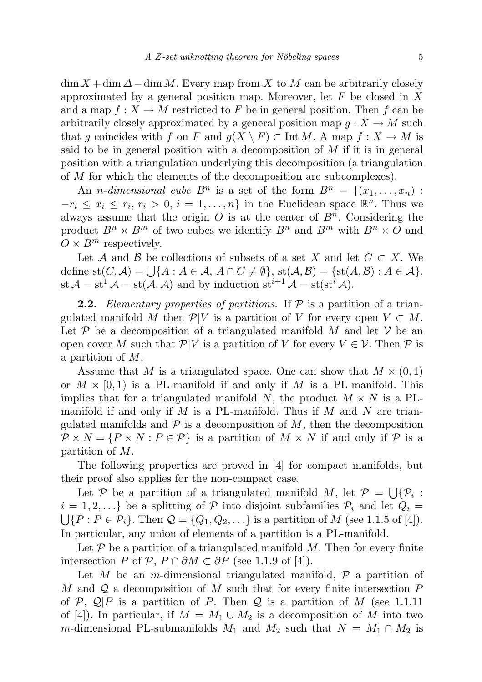$\dim X + \dim \Delta - \dim M$ . Every map from X to M can be arbitrarily closely approximated by a general position map. Moreover, let  $F$  be closed in  $X$ and a map  $f: X \to M$  restricted to F be in general position. Then f can be arbitrarily closely approximated by a general position map  $q: X \to M$  such that g coincides with f on F and  $g(X \setminus F) \subset \text{Int } M$ . A map  $f : X \to M$  is said to be in general position with a decomposition of  $M$  if it is in general position with a triangulation underlying this decomposition (a triangulation of M for which the elements of the decomposition are subcomplexes).

An *n*-dimensional cube  $B^n$  is a set of the form  $B^n = \{(x_1, \ldots, x_n)$ :  $-r_i \leq x_i \leq r_i, r_i > 0, i = 1, ..., n$  in the Euclidean space  $\mathbb{R}^n$ . Thus we always assume that the origin  $O$  is at the center of  $B<sup>n</sup>$ . Considering the product  $B^n \times B^m$  of two cubes we identify  $B^n$  and  $B^m$  with  $B^n \times O$  and  $O \times B^m$  respectively.

Let A and B be collections of subsets of a set X and let  $C \subset X$ . We define  $\text{st}(C, \mathcal{A}) = \bigcup \{A : A \in \mathcal{A}, A \cap C \neq \emptyset\}, \, \text{st}(\mathcal{A}, \mathcal{B}) = \{\text{st}(A, \mathcal{B}) : A \in \mathcal{A}\},\$ st  $\mathcal{A} = st^1 \mathcal{A} = st(\mathcal{A}, \mathcal{A})$  and by induction  $st^{i+1} \mathcal{A} = st(st^i \mathcal{A}).$ 

**2.2.** Elementary properties of partitions. If  $P$  is a partition of a triangulated manifold M then  $\mathcal{P}|V$  is a partition of V for every open  $V \subset M$ . Let  $P$  be a decomposition of a triangulated manifold M and let V be an open cover M such that  $\mathcal{P}|V$  is a partition of V for every  $V \in \mathcal{V}$ . Then  $\mathcal{P}$  is a partition of M.

Assume that M is a triangulated space. One can show that  $M \times (0,1)$ or  $M \times [0, 1)$  is a PL-manifold if and only if M is a PL-manifold. This implies that for a triangulated manifold N, the product  $M \times N$  is a PLmanifold if and only if M is a PL-manifold. Thus if M and N are triangulated manifolds and  $\mathcal P$  is a decomposition of  $M$ , then the decomposition  $\mathcal{P} \times N = \{P \times N : P \in \mathcal{P}\}\$ is a partition of  $M \times N$  if and only if  $\mathcal{P}$  is a partition of M.

The following properties are proved in [4] for compact manifolds, but their proof also applies for the non-compact case.

Let P be a partition of a triangulated manifold M, let  $P = \bigcup \{P_i :$  $i = 1, 2, \ldots$ } be a splitting of P into disjoint subfamilies  $P_i$  and let  $Q_i =$  $\bigcup \{P : P \in \mathcal{P}_i\}.$  Then  $\mathcal{Q} = \{Q_1, Q_2, \ldots\}$  is a partition of M (see 1.1.5 of [4]). In particular, any union of elements of a partition is a PL-manifold.

Let  $P$  be a partition of a triangulated manifold  $M$ . Then for every finite intersection P of P,  $P \cap \partial M \subset \partial P$  (see 1.1.9 of [4]).

Let M be an m-dimensional triangulated manifold,  $\mathcal P$  a partition of M and  $\mathcal Q$  a decomposition of M such that for every finite intersection  $P$ of P,  $\mathcal{Q} | P$  is a partition of P. Then Q is a partition of M (see 1.1.11) of [4]). In particular, if  $M = M_1 \cup M_2$  is a decomposition of M into two m-dimensional PL-submanifolds  $M_1$  and  $M_2$  such that  $N = M_1 \cap M_2$  is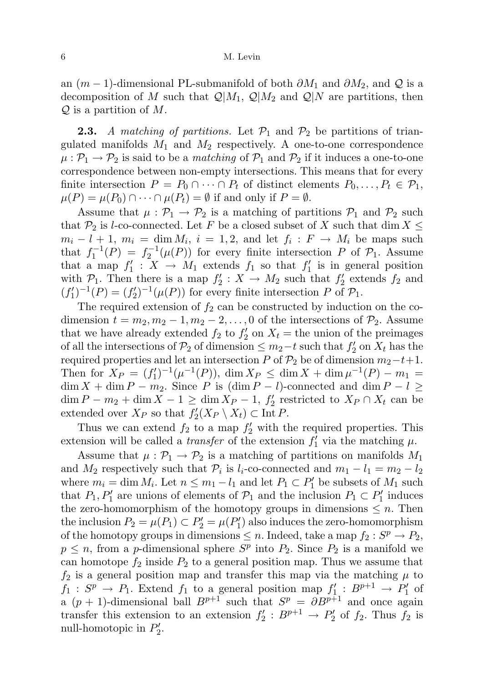an  $(m-1)$ -dimensional PL-submanifold of both  $\partial M_1$  and  $\partial M_2$ , and Q is a decomposition of M such that  $\mathcal{Q}|M_1, \mathcal{Q}|M_2$  and  $\mathcal{Q}|N$  are partitions, then  $Q$  is a partition of M.

**2.3.** A matching of partitions. Let  $\mathcal{P}_1$  and  $\mathcal{P}_2$  be partitions of triangulated manifolds  $M_1$  and  $M_2$  respectively. A one-to-one correspondence  $\mu : \mathcal{P}_1 \to \mathcal{P}_2$  is said to be a *matching* of  $\mathcal{P}_1$  and  $\mathcal{P}_2$  if it induces a one-to-one correspondence between non-empty intersections. This means that for every finite intersection  $P = P_0 \cap \cdots \cap P_t$  of distinct elements  $P_0, \ldots, P_t \in \mathcal{P}_1$ ,  $\mu(P) = \mu(P_0) \cap \cdots \cap \mu(P_t) = \emptyset$  if and only if  $P = \emptyset$ .

Assume that  $\mu : \mathcal{P}_1 \to \mathcal{P}_2$  is a matching of partitions  $\mathcal{P}_1$  and  $\mathcal{P}_2$  such that  $\mathcal{P}_2$  is l-co-connected. Let F be a closed subset of X such that dim  $X \leq$  $m_i - l + 1$ ,  $m_i = \dim M_i$ ,  $i = 1, 2$ , and let  $f_i : F \to M_i$  be maps such that  $f_1^{-1}(P) = f_2^{-1}(\mu(P))$  for every finite intersection P of  $\mathcal{P}_1$ . Assume that a map  $f_1' : X \to M_1$  extends  $f_1$  so that  $f_1'$  is in general position with  $\mathcal{P}_1$ . Then there is a map  $f_2 : X \to M_2$  such that  $f_2'$  extends  $f_2$  and  $(f'_1)^{-1}(P) = (f'_2)^{-1}(\mu(P))$  for every finite intersection P of  $\mathcal{P}_1$ .

The required extension of  $f_2$  can be constructed by induction on the codimension  $t = m_2, m_2 - 1, m_2 - 2, \ldots, 0$  of the intersections of  $\mathcal{P}_2$ . Assume that we have already extended  $f_2$  to  $f'_2$  on  $X_t$  = the union of the preimages of all the intersections of  $\mathcal{P}_2$  of dimension  $\leq m_2-t$  such that  $f'_2$  on  $X_t$  has the required properties and let an intersection P of  $\mathcal{P}_2$  be of dimension  $m_2-t+1$ . Then for  $X_P = (f'_1)^{-1}(\mu^{-1}(P)), \dim X_P \leq \dim X + \dim \mu^{-1}(P) - m_1 =$  $\dim X + \dim P - m_2$ . Since P is  $(\dim P - l)$ -connected and  $\dim P - l \ge$  $\dim P - m_2 + \dim X - 1 \ge \dim X_P - 1$ ,  $f'_2$  restricted to  $X_P \cap X_t$  can be extended over  $X_P$  so that  $f_2'(X_P \setminus X_t) \subset \text{Int } P$ .

Thus we can extend  $f_2$  to a map  $f'_2$  with the required properties. This extension will be called a *transfer* of the extension  $f'_1$  via the matching  $\mu$ .

Assume that  $\mu : \mathcal{P}_1 \to \mathcal{P}_2$  is a matching of partitions on manifolds  $M_1$ and  $M_2$  respectively such that  $\mathcal{P}_i$  is  $l_i$ -co-connected and  $m_1 - l_1 = m_2 - l_2$ where  $m_i = \dim M_i$ . Let  $n \leq m_1 - l_1$  and let  $P_1 \subset P'_1$  be subsets of  $M_1$  such that  $P_1, P'_1$  are unions of elements of  $P_1$  and the inclusion  $P_1 \subset P'_1$  induces the zero-homomorphism of the homotopy groups in dimensions  $\leq n$ . Then the inclusion  $P_2 = \mu(P_1) \subset P_2' = \mu(P_1')$  also induces the zero-homomorphism of the homotopy groups in dimensions  $\leq n$ . Indeed, take a map  $f_2: S^p \to P_2$ ,  $p \leq n$ , from a *p*-dimensional sphere  $S^p$  into  $P_2$ . Since  $P_2$  is a manifold we can homotope  $f_2$  inside  $P_2$  to a general position map. Thus we assume that  $f_2$  is a general position map and transfer this map via the matching  $\mu$  to  $f_1: S^p \to P_1$ . Extend  $f_1$  to a general position map  $f'_1: B^{p+1} \to P'_1$  of a  $(p + 1)$ -dimensional ball  $B^{p+1}$  such that  $S^p = \partial B^{p+1}$  and once again transfer this extension to an extension  $f_2': B^{p+1} \to P_2'$  of  $f_2$ . Thus  $f_2$  is null-homotopic in  $P'_2$ .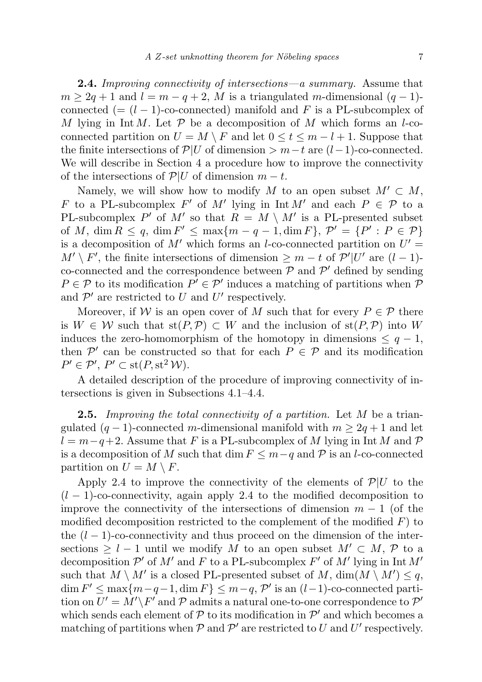**2.4.** Improving connectivity of intersections—a summary. Assume that  $m \geq 2q + 1$  and  $l = m - q + 2$ , M is a triangulated m-dimensional  $(q - 1)$ connected (=  $(l - 1)$ -co-connected) manifold and F is a PL-subcomplex of M lying in Int M. Let  $P$  be a decomposition of M which forms an l-coconnected partition on  $U = M \setminus F$  and let  $0 \le t \le m - l + 1$ . Suppose that the finite intersections of  $\mathcal{P}|U$  of dimension >  $m-t$  are  $(l-1)$ -co-connected. We will describe in Section 4 a procedure how to improve the connectivity of the intersections of  $\mathcal{P}|U$  of dimension  $m-t$ .

Namely, we will show how to modify M to an open subset  $M' \subset M$ , F to a PL-subcomplex F' of M' lying in  $\text{Int } M'$  and each  $P \in \mathcal{P}$  to a PL-subcomplex P' of M' so that  $R = M \setminus M'$  is a PL-presented subset of M,  $\dim R \leq q$ ,  $\dim F' \leq \max\{m-q-1, \dim F\}$ ,  $\mathcal{P}' = \{P' : P \in \mathcal{P}\}\$ is a decomposition of M' which forms an l-co-connected partition on  $U' =$  $M' \setminus F'$ , the finite intersections of dimension  $\geq m-t$  of  $\mathcal{P}'|U'$  are  $(l-1)$ co-connected and the correspondence between  $P$  and  $P'$  defined by sending  $P \in \mathcal{P}$  to its modification  $P' \in \mathcal{P}'$  induces a matching of partitions when  $\mathcal{P}'$ and  $\mathcal{P}'$  are restricted to U and U' respectively.

Moreover, if W is an open cover of M such that for every  $P \in \mathcal{P}$  there is  $W \in \mathcal{W}$  such that  $\text{st}(P, \mathcal{P}) \subset W$  and the inclusion of  $\text{st}(P, \mathcal{P})$  into W induces the zero-homomorphism of the homotopy in dimensions  $\leq q-1$ , then  $\mathcal{P}'$  can be constructed so that for each  $P \in \mathcal{P}$  and its modification  $P' \in \mathcal{P}'$ ,  $P' \subset \text{st}(P, \text{st}^2 \mathcal{W})$ .

A detailed description of the procedure of improving connectivity of intersections is given in Subsections 4.1–4.4.

**2.5.** Improving the total connectivity of a partition. Let  $M$  be a triangulated  $(q-1)$ -connected m-dimensional manifold with  $m \geq 2q+1$  and let  $l = m-q+2$ . Assume that F is a PL-subcomplex of M lying in Int M and P is a decomposition of M such that dim  $F \leq m-q$  and  $P$  is an l-co-connected partition on  $U = M \setminus F$ .

Apply 2.4 to improve the connectivity of the elements of  $\mathcal{P}|U$  to the  $(l-1)$ -co-connectivity, again apply 2.4 to the modified decomposition to improve the connectivity of the intersections of dimension  $m-1$  (of the modified decomposition restricted to the complement of the modified  $F$ ) to the  $(l-1)$ -co-connectivity and thus proceed on the dimension of the intersections  $\geq l-1$  until we modify M to an open subset  $M' \subset M$ , P to a decomposition  $\mathcal{P}'$  of  $M'$  and F to a PL-subcomplex F' of  $M'$  lying in Int  $M'$ such that  $M \setminus M'$  is a closed PL-presented subset of  $M$ ,  $\dim(M \setminus M') \leq q$ ,  $\dim F' \leq \max\{m-q-1, \dim F\} \leq m-q$ ,  $\mathcal{P}'$  is an  $(l-1)$ -co-connected partition on  $U' = M' \backslash F'$  and  $P$  admits a natural one-to-one correspondence to  $P'$ which sends each element of  $P$  to its modification in  $P'$  and which becomes a matching of partitions when  $P$  and  $P'$  are restricted to U and U' respectively.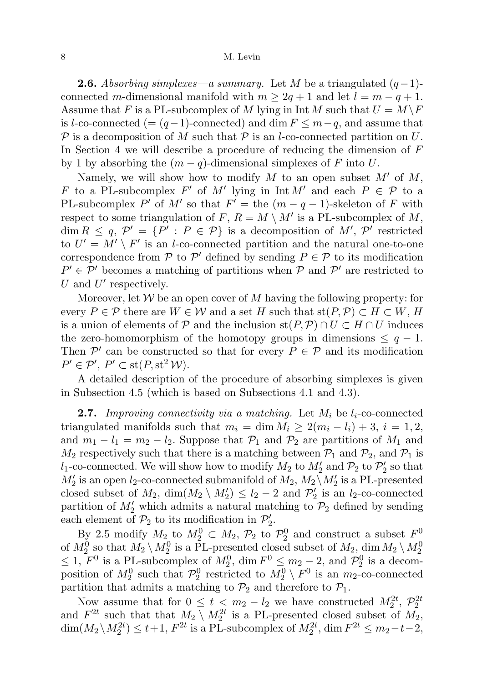**2.6.** Absorbing simplexes—a summary. Let M be a triangulated  $(q-1)$ connected m-dimensional manifold with  $m \geq 2q + 1$  and let  $l = m - q + 1$ . Assume that F is a PL-subcomplex of M lying in  $\text{Int } M$  such that  $U = M \backslash F$ is l-co-connected (=  $(q-1)$ -connected) and dim  $F \leq m-q$ , and assume that P is a decomposition of M such that P is an l-co-connected partition on U. In Section 4 we will describe a procedure of reducing the dimension of  $F$ by 1 by absorbing the  $(m - q)$ -dimensional simplexes of F into U.

Namely, we will show how to modify M to an open subset  $M'$  of M, F to a PL-subcomplex F' of M' lying in  $\text{Int } M'$  and each  $P \in \mathcal{P}$  to a PL-subcomplex P' of M' so that  $F' =$  the  $(m - q - 1)$ -skeleton of F with respect to some triangulation of F,  $R = M \setminus M'$  is a PL-subcomplex of M,  $\dim R \leq q, \mathcal{P}' = \{P' : P \in \mathcal{P}\}\$ is a decomposition of M', P' restricted to  $U' = M' \setminus F'$  is an *l*-co-connected partition and the natural one-to-one correspondence from  $P$  to  $P'$  defined by sending  $P \in \mathcal{P}$  to its modification  $P' \in \mathcal{P}'$  becomes a matching of partitions when  $\mathcal{P}$  and  $\mathcal{P}'$  are restricted to  $U$  and  $U'$  respectively.

Moreover, let  $W$  be an open cover of M having the following property: for every  $P \in \mathcal{P}$  there are  $W \in \mathcal{W}$  and a set H such that  $\text{st}(P, \mathcal{P}) \subset H \subset W$ , H is a union of elements of P and the inclusion  $st(P, P) \cap U \subset H \cap U$  induces the zero-homomorphism of the homotopy groups in dimensions  $\leq q-1$ . Then  $\mathcal{P}'$  can be constructed so that for every  $P \in \mathcal{P}$  and its modification  $P' \in \mathcal{P}'$ ,  $P' \subset \text{st}(P, \text{st}^2 \mathcal{W})$ .

A detailed description of the procedure of absorbing simplexes is given in Subsection 4.5 (which is based on Subsections 4.1 and 4.3).

**2.7.** Improving connectivity via a matching. Let  $M_i$  be  $l_i$ -co-connected triangulated manifolds such that  $m_i = \dim M_i \geq 2(m_i - l_i) + 3$ ,  $i = 1, 2$ , and  $m_1 - l_1 = m_2 - l_2$ . Suppose that  $\mathcal{P}_1$  and  $\mathcal{P}_2$  are partitions of  $M_1$  and  $M_2$  respectively such that there is a matching between  $\mathcal{P}_1$  and  $\mathcal{P}_2$ , and  $\mathcal{P}_1$  is  $l_1$ -co-connected. We will show how to modify  $M_2$  to  $M'_2$  and  $\mathcal{P}_2$  to  $\mathcal{P}'_2$  so that  $M'_2$  is an open  $l_2$ -co-connected submanifold of  $M_2$ ,  $M_2 \backslash M'_2$  is a PL-presented closed subset of  $M_2$ ,  $\dim(M_2 \setminus M_2') \leq l_2 - 2$  and  $\mathcal{P}_2'$  is an  $l_2$ -co-connected partition of  $M'_2$  which admits a natural matching to  $\mathcal{P}_2$  defined by sending each element of  $\mathcal{P}_2$  to its modification in  $\mathcal{P}'_2$ .

By 2.5 modify  $M_2$  to  $M_2^0 \subset M_2$ ,  $\mathcal{P}_2$  to  $\mathcal{P}_2^0$  and construct a subset  $F^0$ . of  $M_2^0$  so that  $M_2 \setminus M_2^0$  is a PL-presented closed subset of  $M_2$ , dim  $M_2 \setminus M_2^0$  $\leq 1$ ,  $F^0$  is a PL-subcomplex of  $M_2^0$ , dim  $F^0 \leq m_2 - 2$ , and  $\mathcal{P}_2^0$  is a decomposition of  $M_2^0$  such that  $\mathcal{P}_2^0$  restricted to  $M_2^0 \setminus F^0$  is an  $m_2$ -co-connected partition that admits a matching to  $\mathcal{P}_2$  and therefore to  $\mathcal{P}_1$ .

Now assume that for  $0 \le t < m_2 - l_2$  we have constructed  $M_2^{2t}$ ,  $\mathcal{P}_2^{2t}$  and  $F^{2t}$  such that that  $M_2 \setminus M_2^{2t}$  is a PL-presented closed subset of  $M_2$ ,  $\dim(M_2 \backslash M_2^{2t}) \leq t+1$ ,  $F^{2t}$  is a PL-subcomplex of  $M_2^{2t}$ ,  $\dim F^{2t} \leq m_2-t-2$ ,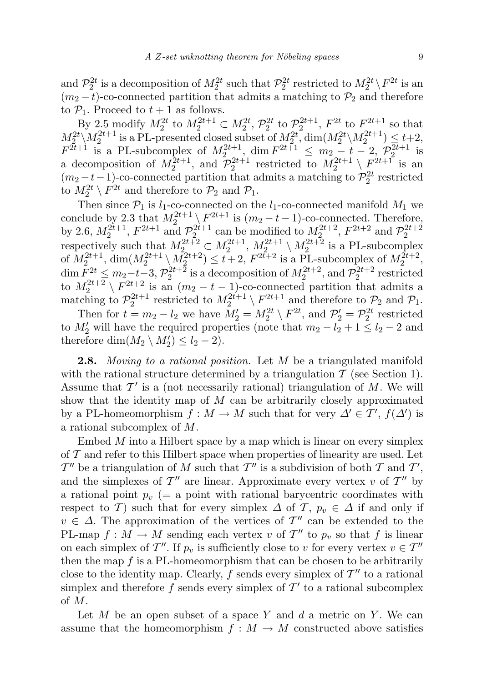and  $\mathcal{P}_2^{2t}$  is a decomposition of  $M_2^{2t}$  such that  $\mathcal{P}_2^{2t}$  restricted to  $M_2^{2t} \setminus F^{2t}$  is an  $(m_2 - t)$ -co-connected partition that admits a matching to  $\mathcal{P}_2$  and therefore to  $P_1$ . Proceed to  $t + 1$  as follows.

By 2.5 modify  $M_2^{2t}$  to  $M_2^{2t+1} \subset M_2^{2t}$ ,  $\mathcal{P}_2^{2t}$  to  $\mathcal{P}_2^{2t+1}$ ,  $F^{2t}$  to  $F^{2t+1}$  so that  $M_2^{2t} \setminus M_2^{2t+1}$  is a PL-presented closed subset of  $M_2^{2t}$ , dim $(M_2^{2t} \setminus M_2^{2t+1}) \leq t+2$ ,  $F^{2t+1}$  is a PL-subcomplex of  $M_2^{2t+1}$ , dim  $F^{2t+1} \n\t\leq m_2 - t - 2$ ,  $\mathcal{P}_2^{2t+1}$  is a decomposition of  $M_2^{2t+1}$ , and  $\mathcal{P}_2^{2t+1}$  restricted to  $M_2^{2t+1} \setminus F_2^{2t+1}$  is an  $(m_2 - t - 1)$ -co-connected partition that admits a matching to  $\mathcal{P}_2^{2t}$  restricted to  $M_2^{2t} \setminus F^{2t}$  and therefore to  $\mathcal{P}_2$  and  $\mathcal{P}_1$ .

Then since  $\mathcal{P}_1$  is  $l_1$ -co-connected on the  $l_1$ -co-connected manifold  $M_1$  we conclude by 2.3 that  $M_2^{2t+1} \setminus F^{2t+1}$  is  $(m_2 - t - 1)$ -co-connected. Therefore, by 2.6,  $M_2^{2t+1}$ ,  $F^{2t+1}$  and  $\mathcal{P}_2^{2t+1}$  can be modified to  $M_2^{2t+2}$ ,  $F^{2t+2}$  and  $\mathcal{P}_2^{2t+2}$  respectively such that  $M_2^{2t+2} \subset M_2^{2t+1}$ ,  $M_2^{2t+1} \setminus M_2^{2t+2}$  is a PL-subcomplex of  $M_2^{2t+1}$ ,  $\dim(M_2^{2t+1} \setminus M_2^{2t+2}) \le t+2$ ,  $F^{2t+2}$  is a PL-subcomplex of  $M_2^{2t+2}$ ,  $\dim F_{2t}^{2t} \leq m_2-t-3$ ,  $\mathcal{P}_2^{2t+2}$  is a decomposition of  $M_2^{2t+2}$ , and  $\mathcal{P}_2^{2t+2}$  restricted to  $M_2^{2t+2} \setminus F^{2t+2}$  is an  $(m_2 - t - 1)$ -co-connected partition that admits a matching to  $\mathcal{P}_2^{2t+1}$  restricted to  $M_2^{2t+1} \setminus F^{2t+1}$  and therefore to  $\mathcal{P}_2$  and  $\mathcal{P}_1$ .

Then for  $t = m_2 - l_2$  we have  $M'_2 = M_2^{2t} \setminus F^{2t}$ , and  $\mathcal{P}'_2 = \mathcal{P}_2^{2t}$  restricted to  $M'_2$  will have the required properties (note that  $m_2 - l_2 + 1 \leq l_2 - 2$  and therefore  $\dim(M_2 \setminus M'_2) \leq l_2 - 2$ .

**2.8.** Moving to a rational position. Let M be a triangulated manifold with the rational structure determined by a triangulation  $\mathcal T$  (see Section 1). Assume that  $\mathcal{T}'$  is a (not necessarily rational) triangulation of M. We will show that the identity map of  $M$  can be arbitrarily closely approximated by a PL-homeomorphism  $f : M \to M$  such that for very  $\Delta' \in \mathcal{T}'$ ,  $f(\Delta')$  is a rational subcomplex of M.

Embed  $M$  into a Hilbert space by a map which is linear on every simplex of  $\mathcal T$  and refer to this Hilbert space when properties of linearity are used. Let  $\mathcal{T}''$  be a triangulation of M such that  $\mathcal{T}''$  is a subdivision of both T and  $\mathcal{T}',$ and the simplexes of  $\mathcal{T}''$  are linear. Approximate every vertex v of  $\mathcal{T}''$  by a rational point  $p_v$  (= a point with rational barycentric coordinates with respect to T) such that for every simplex  $\Delta$  of T,  $p_v \in \Delta$  if and only if  $v \in \Delta$ . The approximation of the vertices of  $\mathcal{T}''$  can be extended to the PL-map  $f: M \to M$  sending each vertex v of  $T''$  to  $p_v$  so that f is linear on each simplex of  $\mathcal{T}''$ . If  $p_v$  is sufficiently close to v for every vertex  $v \in \mathcal{T}''$ then the map  $f$  is a PL-homeomorphism that can be chosen to be arbitrarily close to the identity map. Clearly, f sends every simplex of  $\mathcal{T}''$  to a rational simplex and therefore f sends every simplex of  $\mathcal{T}'$  to a rational subcomplex of M.

Let  $M$  be an open subset of a space  $Y$  and  $d$  a metric on  $Y$ . We can assume that the homeomorphism  $f : M \to M$  constructed above satisfies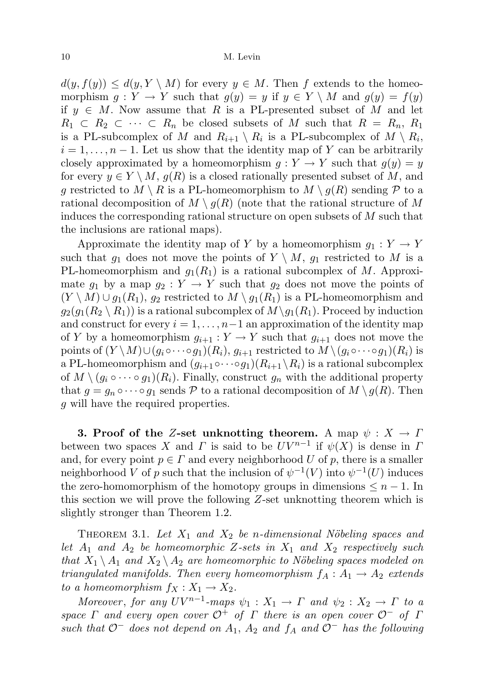$d(y, f(y)) \leq d(y, Y \setminus M)$  for every  $y \in M$ . Then f extends to the homeomorphism  $g: Y \to Y$  such that  $g(y) = y$  if  $y \in Y \setminus M$  and  $g(y) = f(y)$ if  $y \in M$ . Now assume that R is a PL-presented subset of M and let  $R_1 \subset R_2 \subset \cdots \subset R_n$  be closed subsets of M such that  $R = R_n, R_1$ is a PL-subcomplex of M and  $R_{i+1} \setminus R_i$  is a PL-subcomplex of  $M \setminus R_i$ ,  $i = 1, \ldots, n - 1$ . Let us show that the identity map of Y can be arbitrarily closely approximated by a homeomorphism  $g: Y \to Y$  such that  $g(y) = y$ for every  $y \in Y \setminus M$ ,  $q(R)$  is a closed rationally presented subset of M, and g restricted to  $M \setminus R$  is a PL-homeomorphism to  $M \setminus g(R)$  sending  $P$  to a rational decomposition of  $M \setminus g(R)$  (note that the rational structure of M induces the corresponding rational structure on open subsets of M such that the inclusions are rational maps).

Approximate the identity map of Y by a homeomorphism  $g_1: Y \to Y$ such that  $g_1$  does not move the points of  $Y \setminus M$ ,  $g_1$  restricted to M is a PL-homeomorphism and  $g_1(R_1)$  is a rational subcomplex of M. Approximate  $g_1$  by a map  $g_2: Y \to Y$  such that  $g_2$  does not move the points of  $(Y \setminus M) \cup g_1(R_1)$ ,  $g_2$  restricted to  $M \setminus g_1(R_1)$  is a PL-homeomorphism and  $g_2(g_1(R_2 \setminus R_1))$  is a rational subcomplex of  $M \setminus g_1(R_1)$ . Proceed by induction and construct for every  $i = 1, \ldots, n-1$  an approximation of the identity map of Y by a homeomorphism  $g_{i+1}: Y \to Y$  such that  $g_{i+1}$  does not move the points of  $(Y \setminus M) \cup (g_i \circ \cdots \circ g_1)(R_i)$ ,  $g_{i+1}$  restricted to  $M \setminus (g_i \circ \cdots \circ g_1)(R_i)$  is a PL-homeomorphism and  $(g_{i+1} \circ \cdots \circ g_1)(R_{i+1} \setminus R_i)$  is a rational subcomplex of  $M \setminus (g_i \circ \cdots \circ g_1)(R_i)$ . Finally, construct  $g_n$  with the additional property that  $g = g_n \circ \cdots \circ g_1$  sends P to a rational decomposition of  $M \setminus g(R)$ . Then g will have the required properties.

3. Proof of the Z-set unknotting theorem. A map  $\psi : X \to \Gamma$ between two spaces X and  $\Gamma$  is said to be  $UV^{n-1}$  if  $\psi(X)$  is dense in I and, for every point  $p \in \Gamma$  and every neighborhood U of p, there is a smaller neighborhood V of p such that the inclusion of  $\psi^{-1}(V)$  into  $\psi^{-1}(U)$  induces the zero-homomorphism of the homotopy groups in dimensions  $\leq n-1$ . In this section we will prove the following Z-set unknotting theorem which is slightly stronger than Theorem 1.2.

THEOREM 3.1. Let  $X_1$  and  $X_2$  be n-dimensional Nöbeling spaces and let  $A_1$  and  $A_2$  be homeomorphic Z-sets in  $X_1$  and  $X_2$  respectively such that  $X_1 \setminus A_1$  and  $X_2 \setminus A_2$  are homeomorphic to Nöbeling spaces modeled on triangulated manifolds. Then every homeomorphism  $f_A : A_1 \rightarrow A_2$  extends to a homeomorphism  $f_X : X_1 \to X_2$ .

Moreover, for any  $UV^{n-1}$ -maps  $\psi_1: X_1 \to \Gamma$  and  $\psi_2: X_2 \to \Gamma$  to a space  $\Gamma$  and every open cover  $\mathcal{O}^+$  of  $\Gamma$  there is an open cover  $\mathcal{O}^-$  of  $\Gamma$ such that  $\mathcal{O}^-$  does not depend on  $A_1$ ,  $A_2$  and  $f_A$  and  $\mathcal{O}^-$  has the following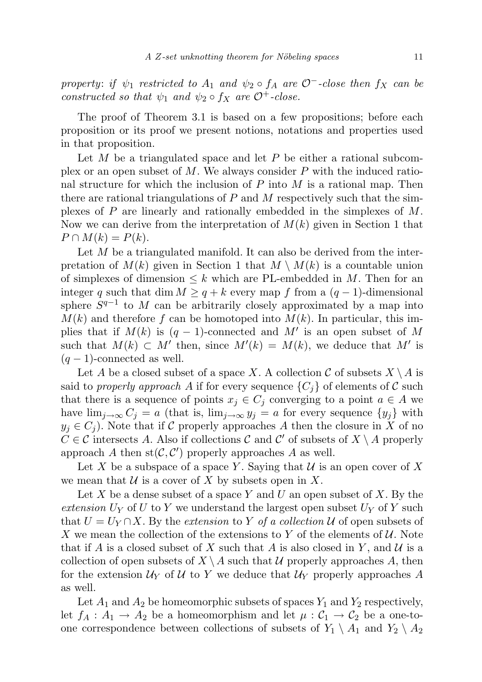property: if  $\psi_1$  restricted to  $A_1$  and  $\psi_2 \circ f_A$  are  $\mathcal{O}^-$ -close then  $f_X$  can be constructed so that  $\psi_1$  and  $\psi_2 \circ f_X$  are  $\mathcal{O}^+$ -close.

The proof of Theorem 3.1 is based on a few propositions; before each proposition or its proof we present notions, notations and properties used in that proposition.

Let  $M$  be a triangulated space and let  $P$  be either a rational subcomplex or an open subset of  $M$ . We always consider  $P$  with the induced rational structure for which the inclusion of  $P$  into  $M$  is a rational map. Then there are rational triangulations of  $P$  and  $M$  respectively such that the simplexes of  $P$  are linearly and rationally embedded in the simplexes of  $M$ . Now we can derive from the interpretation of  $M(k)$  given in Section 1 that  $P \cap M(k) = P(k).$ 

Let  $M$  be a triangulated manifold. It can also be derived from the interpretation of  $M(k)$  given in Section 1 that  $M \setminus M(k)$  is a countable union of simplexes of dimension  $\leq k$  which are PL-embedded in M. Then for an integer q such that dim  $M \geq q + k$  every map f from a  $(q - 1)$ -dimensional sphere  $S^{q-1}$  to M can be arbitrarily closely approximated by a map into  $M(k)$  and therefore f can be homotoped into  $M(k)$ . In particular, this implies that if  $M(k)$  is  $(q-1)$ -connected and M' is an open subset of M such that  $M(k) \subset M'$  then, since  $M'(k) = M(k)$ , we deduce that M' is  $(q-1)$ -connected as well.

Let A be a closed subset of a space X. A collection C of subsets  $X \setminus A$  is said to properly approach A if for every sequence  $\{C_i\}$  of elements of C such that there is a sequence of points  $x_j \in C_j$  converging to a point  $a \in A$  we have  $\lim_{j\to\infty} C_j = a$  (that is,  $\lim_{j\to\infty} y_j = a$  for every sequence  $\{y_j\}$  with  $y_j \in C_j$ ). Note that if C properly approaches A then the closure in X of no  $C \in \mathcal{C}$  intersects A. Also if collections C and C' of subsets of  $X \setminus A$  properly approach A then  $st(C, C')$  properly approaches A as well.

Let X be a subspace of a space Y. Saying that  $\mathcal U$  is an open cover of X we mean that  $\mathcal U$  is a cover of X by subsets open in X.

Let X be a dense subset of a space Y and U an open subset of X. By the extension  $U_Y$  of U to Y we understand the largest open subset  $U_Y$  of Y such that  $U = U_Y \cap X$ . By the extension to Y of a collection U of open subsets of X we mean the collection of the extensions to Y of the elements of  $\mathcal{U}$ . Note that if A is a closed subset of X such that A is also closed in Y, and U is a collection of open subsets of  $X \setminus A$  such that U properly approaches A, then for the extension  $\mathcal{U}_Y$  of U to Y we deduce that  $\mathcal{U}_Y$  properly approaches A as well.

Let  $A_1$  and  $A_2$  be homeomorphic subsets of spaces  $Y_1$  and  $Y_2$  respectively, let  $f_A: A_1 \to A_2$  be a homeomorphism and let  $\mu: C_1 \to C_2$  be a one-toone correspondence between collections of subsets of  $Y_1 \setminus A_1$  and  $Y_2 \setminus A_2$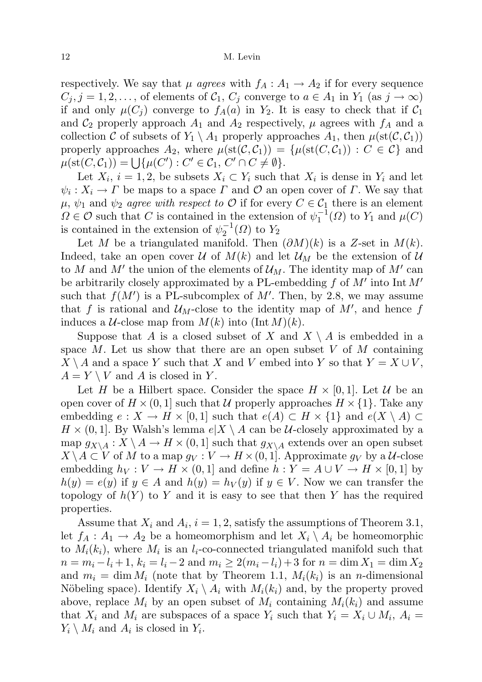respectively. We say that  $\mu$  agrees with  $f_A: A_1 \to A_2$  if for every sequence  $C_j$ ,  $j = 1, 2, \ldots$ , of elements of  $C_1$ ,  $C_j$  converge to  $a \in A_1$  in  $Y_1$  (as  $j \to \infty$ ) if and only  $\mu(C_j)$  converge to  $f_A(a)$  in  $Y_2$ . It is easy to check that if  $C_1$ and  $\mathcal{C}_2$  properly approach  $A_1$  and  $A_2$  respectively,  $\mu$  agrees with  $f_A$  and a collection C of subsets of  $Y_1 \setminus A_1$  properly approaches  $A_1$ , then  $\mu(st(\mathcal{C},\mathcal{C}_1))$ properly approaches  $A_2$ , where  $\mu(\text{st}(\mathcal{C}, \mathcal{C}_1)) = {\mu(\text{st}(C, \mathcal{C}_1)) : C \in \mathcal{C}}$  and  $\mu(\text{st}(C, C_1)) = \bigcup \{\mu(C') : C' \in C_1, C' \cap C \neq \emptyset\}.$ 

Let  $X_i$ ,  $i = 1, 2$ , be subsets  $X_i \subset Y_i$  such that  $X_i$  is dense in  $Y_i$  and let  $\psi_i: X_i \to \Gamma$  be maps to a space  $\Gamma$  and  $\mathcal O$  an open cover of  $\Gamma$ . We say that  $\mu, \psi_1$  and  $\psi_2$  agree with respect to O if for every  $C \in \mathcal{C}_1$  there is an element  $\Omega \in \mathcal{O}$  such that C is contained in the extension of  $\psi_1^{-1}(\Omega)$  to  $Y_1$  and  $\mu(C)$ is contained in the extension of  $\psi_2^{-1}(\Omega)$  to  $Y_2$ 

Let M be a triangulated manifold. Then  $(\partial M)(k)$  is a Z-set in  $M(k)$ . Indeed, take an open cover U of  $M(k)$  and let  $\mathcal{U}_M$  be the extension of U to M and M' the union of the elements of  $\mathcal{U}_M$ . The identity map of M' can be arbitrarily closely approximated by a PL-embedding  $f$  of  $M'$  into Int  $M'$ such that  $f(M')$  is a PL-subcomplex of M'. Then, by 2.8, we may assume that f is rational and  $\mathcal{U}_M$ -close to the identity map of  $M'$ , and hence f induces a  $\mathcal{U}\text{-close map from } M(k)$  into  $(\text{Int }M)(k)$ .

Suppose that A is a closed subset of X and  $X \setminus A$  is embedded in a space M. Let us show that there are an open subset V of M containing  $X \setminus A$  and a space Y such that X and V embed into Y so that  $Y = X \cup V$ ,  $A = Y \setminus V$  and A is closed in Y.

Let H be a Hilbert space. Consider the space  $H \times [0, 1]$ . Let U be an open cover of  $H \times (0, 1]$  such that U properly approaches  $H \times \{1\}$ . Take any embedding  $e: X \to H \times [0,1]$  such that  $e(A) \subset H \times \{1\}$  and  $e(X \setminus A) \subset$  $H \times (0, 1]$ . By Walsh's lemma  $e|X \setminus A$  can be U-closely approximated by a map  $g_{X\setminus A}: X\setminus A \to H \times (0,1]$  such that  $g_{X\setminus A}$  extends over an open subset  $X \setminus A \subset V$  of M to a map  $g_V : V \to H \times (0, 1]$ . Approximate  $g_V$  by a U-close embedding  $h_V : V \to H \times (0,1]$  and define  $h : Y = A \cup V \to H \times [0,1]$  by  $h(y) = e(y)$  if  $y \in A$  and  $h(y) = h<sub>V</sub>(y)$  if  $y \in V$ . Now we can transfer the topology of  $h(Y)$  to Y and it is easy to see that then Y has the required properties.

Assume that  $X_i$  and  $A_i$ ,  $i = 1, 2$ , satisfy the assumptions of Theorem 3.1, let  $f_A: A_1 \to A_2$  be a homeomorphism and let  $X_i \setminus A_i$  be homeomorphic to  $M_i(k_i)$ , where  $M_i$  is an  $l_i$ -co-connected triangulated manifold such that  $n = m_i - l_i + 1$ ,  $k_i = l_i - 2$  and  $m_i \ge 2(m_i - l_i) + 3$  for  $n = \dim X_1 = \dim X_2$ and  $m_i = \dim M_i$  (note that by Theorem 1.1,  $M_i(k_i)$  is an *n*-dimensional Nöbeling space). Identify  $X_i \setminus A_i$  with  $M_i(k_i)$  and, by the property proved above, replace  $M_i$  by an open subset of  $M_i$  containing  $M_i(k_i)$  and assume that  $X_i$  and  $M_i$  are subspaces of a space  $Y_i$  such that  $Y_i = X_i \cup M_i$ ,  $A_i =$  $Y_i \setminus M_i$  and  $A_i$  is closed in  $Y_i$ .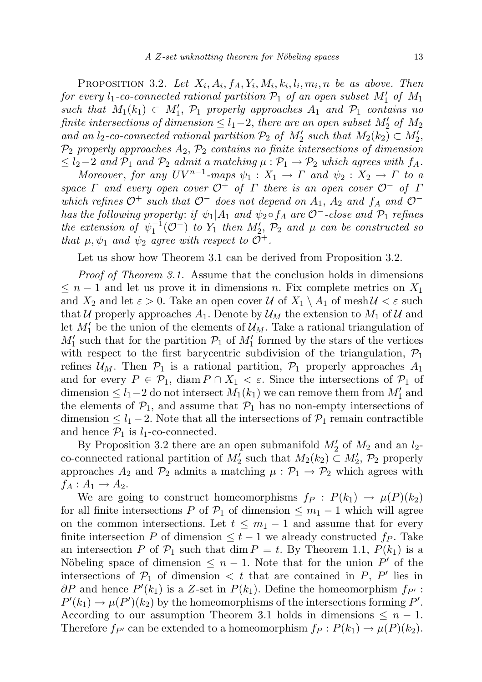PROPOSITION 3.2. Let  $X_i$ ,  $A_i$ ,  $f_A$ ,  $Y_i$ ,  $M_i$ ,  $k_i$ ,  $l_i$ ,  $m_i$ , n be as above. Then for every  $l_1$ -co-connected rational partition  $\mathcal{P}_1$  of an open subset  $M'_1$  of  $M_1$ such that  $M_1(k_1) \subset M'_1$ ,  $\mathcal{P}_1$  properly approaches  $A_1$  and  $\mathcal{P}_1$  contains no finite intersections of dimension  $\leq l_1-2$ , there are an open subset  $M'_2$  of  $M_2$ and an  $l_2$ -co-connected rational partition  $\mathcal{P}_2$  of  $M'_2$  such that  $M_2(k_2) \subset M'_2$ ,  $\mathcal{P}_2$  properly approaches  $A_2$ ,  $\mathcal{P}_2$  contains no finite intersections of dimension  $\leq l_2-2$  and  $\mathcal{P}_1$  and  $\mathcal{P}_2$  admit a matching  $\mu : \mathcal{P}_1 \to \mathcal{P}_2$  which agrees with  $f_A$ .

Moreover, for any  $UV^{n-1}$ -maps  $\psi_1: X_1 \to \Gamma$  and  $\psi_2: X_2 \to \Gamma$  to a space  $\Gamma$  and every open cover  $\mathcal{O}^+$  of  $\Gamma$  there is an open cover  $\mathcal{O}^-$  of  $\Gamma$ which refines  $\mathcal{O}^+$  such that  $\mathcal{O}^-$  does not depend on  $A_1$ ,  $A_2$  and  $f_A$  and  $\mathcal{O}^$ has the following property: if  $\psi_1|A_1$  and  $\psi_2 \circ f_A$  are  $\mathcal{O}^-$ -close and  $\mathcal{P}_1$  refines the extension of  $\psi_1^{-1}(\mathcal{O}^-)$  to  $Y_1$  then  $M'_2$ ,  $\mathcal{P}_2$  and  $\mu$  can be constructed so that  $\mu, \psi_1$  and  $\psi_2$  agree with respect to  $\mathcal{O}^+$ .

Let us show how Theorem 3.1 can be derived from Proposition 3.2.

Proof of Theorem 3.1. Assume that the conclusion holds in dimensions  $\leq n-1$  and let us prove it in dimensions n. Fix complete metrics on  $X_1$ and  $X_2$  and let  $\varepsilon > 0$ . Take an open cover U of  $X_1 \setminus A_1$  of mesh  $U < \varepsilon$  such that U properly approaches  $A_1$ . Denote by  $\mathcal{U}_M$  the extension to  $M_1$  of U and let  $M'_1$  be the union of the elements of  $\mathcal{U}_M$ . Take a rational triangulation of  $M'_1$  such that for the partition  $\mathcal{P}_1$  of  $M'_1$  formed by the stars of the vertices with respect to the first barycentric subdivision of the triangulation,  $P_1$ refines  $\mathcal{U}_M$ . Then  $\mathcal{P}_1$  is a rational partition,  $\mathcal{P}_1$  properly approaches  $A_1$ and for every  $P \in \mathcal{P}_1$ , diam  $P \cap X_1 < \varepsilon$ . Since the intersections of  $\mathcal{P}_1$  of dimension  $\leq l_1 - 2$  do not intersect  $M_1(k_1)$  we can remove them from  $M'_1$  and the elements of  $\mathcal{P}_1$ , and assume that  $\mathcal{P}_1$  has no non-empty intersections of dimension  $\leq l_1 - 2$ . Note that all the intersections of  $\mathcal{P}_1$  remain contractible and hence  $\mathcal{P}_1$  is  $l_1$ -co-connected.

By Proposition 3.2 there are an open submanifold  $M'_2$  of  $M_2$  and an  $l_2$ co-connected rational partition of  $M'_2$  such that  $M_2(k_2) \subset M'_2$ ,  $\mathcal{P}_2$  properly approaches  $A_2$  and  $\mathcal{P}_2$  admits a matching  $\mu : \mathcal{P}_1 \to \mathcal{P}_2$  which agrees with  $f_A: A_1 \rightarrow A_2.$ 

We are going to construct homeomorphisms  $f_P : P(k_1) \to \mu(P)(k_2)$ for all finite intersections P of  $\mathcal{P}_1$  of dimension  $\leq m_1 - 1$  which will agree on the common intersections. Let  $t \leq m_1 - 1$  and assume that for every finite intersection P of dimension  $\leq t-1$  we already constructed  $fp$ . Take an intersection P of  $\mathcal{P}_1$  such that dim  $P = t$ . By Theorem 1.1,  $P(k_1)$  is a Nöbeling space of dimension  $\leq n-1$ . Note that for the union P' of the intersections of  $\mathcal{P}_1$  of dimension  $\langle t \rangle$  that are contained in  $P$ ,  $P'$  lies in  $\partial P$  and hence  $P'(k_1)$  is a Z-set in  $P(k_1)$ . Define the homeomorphism  $f_{P'}$ :  $P'(k_1) \to \mu(P')(k_2)$  by the homeomorphisms of the intersections forming P'. According to our assumption Theorem 3.1 holds in dimensions  $\leq n-1$ . Therefore  $f_{P'}$  can be extended to a homeomorphism  $f_P : P(k_1) \to \mu(P)(k_2)$ .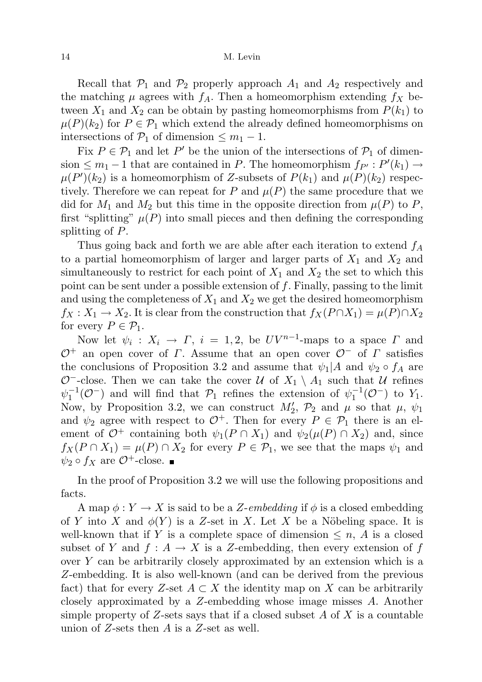Recall that  $P_1$  and  $P_2$  properly approach  $A_1$  and  $A_2$  respectively and the matching  $\mu$  agrees with  $f_A$ . Then a homeomorphism extending  $f_X$  between  $X_1$  and  $X_2$  can be obtain by pasting homeomorphisms from  $P(k_1)$  to  $\mu(P)(k_2)$  for  $P \in \mathcal{P}_1$  which extend the already defined homeomorphisms on intersections of  $\mathcal{P}_1$  of dimension  $\leq m_1 - 1$ .

Fix  $P \in \mathcal{P}_1$  and let  $P'$  be the union of the intersections of  $\mathcal{P}_1$  of dimension  $\leq m_1 - 1$  that are contained in P. The homeomorphism  $f_{P'} : P'(k_1) \to$  $\mu(P')(k_2)$  is a homeomorphism of Z-subsets of  $P(k_1)$  and  $\mu(P)(k_2)$  respectively. Therefore we can repeat for P and  $\mu(P)$  the same procedure that we did for  $M_1$  and  $M_2$  but this time in the opposite direction from  $\mu(P)$  to P, first "splitting"  $\mu(P)$  into small pieces and then defining the corresponding splitting of P.

Thus going back and forth we are able after each iteration to extend  $f_A$ to a partial homeomorphism of larger and larger parts of  $X_1$  and  $X_2$  and simultaneously to restrict for each point of  $X_1$  and  $X_2$  the set to which this point can be sent under a possible extension of f. Finally, passing to the limit and using the completeness of  $X_1$  and  $X_2$  we get the desired homeomorphism  $f_X: X_1 \to X_2$ . It is clear from the construction that  $f_X(P \cap X_1) = \mu(P) \cap X_2$ for every  $P \in \mathcal{P}_1$ .

Now let  $\psi_i: X_i \to \Gamma$ ,  $i = 1, 2$ , be  $UV^{n-1}$ -maps to a space  $\Gamma$  and  $\mathcal{O}^+$  an open cover of  $\Gamma$ . Assume that an open cover  $\mathcal{O}^-$  of  $\Gamma$  satisfies the conclusions of Proposition 3.2 and assume that  $\psi_1|A$  and  $\psi_2 \circ f_A$  are  $\mathcal{O}^-$ -close. Then we can take the cover  $\mathcal{U}$  of  $X_1 \setminus A_1$  such that  $\mathcal{U}$  refines  $\psi_1^{-1}(\mathcal{O}^-)$  and will find that  $\mathcal{P}_1$  refines the extension of  $\psi_1^{-1}(\mathcal{O}^-)$  to  $Y_1$ . Now, by Proposition 3.2, we can construct  $M'_2$ ,  $\mathcal{P}_2$  and  $\mu$  so that  $\mu$ ,  $\psi_1$ and  $\psi_2$  agree with respect to  $\mathcal{O}^+$ . Then for every  $P \in \mathcal{P}_1$  there is an element of  $\mathcal{O}^+$  containing both  $\psi_1(P \cap X_1)$  and  $\psi_2(\mu(P) \cap X_2)$  and, since  $f_X(P \cap X_1) = \mu(P) \cap X_2$  for every  $P \in \mathcal{P}_1$ , we see that the maps  $\psi_1$  and  $\psi_2 \circ f_X$  are  $\mathcal{O}^+$ -close.

In the proof of Proposition 3.2 we will use the following propositions and facts.

A map  $\phi: Y \to X$  is said to be a Z-embedding if  $\phi$  is a closed embedding of Y into X and  $\phi(Y)$  is a Z-set in X. Let X be a Nöbeling space. It is well-known that if Y is a complete space of dimension  $\leq n$ , A is a closed subset of Y and  $f : A \to X$  is a Z-embedding, then every extension of f over Y can be arbitrarily closely approximated by an extension which is a Z-embedding. It is also well-known (and can be derived from the previous fact) that for every Z-set  $A \subset X$  the identity map on X can be arbitrarily closely approximated by a Z-embedding whose image misses A. Another simple property of  $Z$ -sets says that if a closed subset A of X is a countable union of  $Z$ -sets then  $A$  is a  $Z$ -set as well.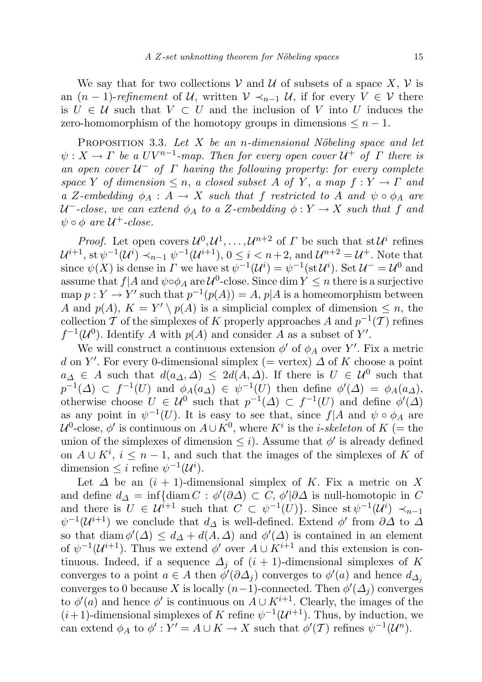We say that for two collections V and U of subsets of a space  $X, V$  is an  $(n-1)$ -refinement of U, written  $V \prec_{n-1} U$ , if for every  $V \in V$  there is  $U \in \mathcal{U}$  such that  $V \subset U$  and the inclusion of V into U induces the zero-homomorphism of the homotopy groups in dimensions  $\leq n-1$ .

PROPOSITION 3.3. Let  $X$  be an n-dimensional Nöbeling space and let  $\psi: X \to \Gamma$  be a  $UV^{n-1}$ -map. Then for every open cover  $\mathcal{U}^+$  of  $\Gamma$  there is an open cover  $U^-$  of  $\Gamma$  having the following property: for every complete space Y of dimension  $\leq n$ , a closed subset A of Y, a map  $f: Y \to \Gamma$  and a Z-embedding  $\phi_A : A \to X$  such that f restricted to A and  $\psi \circ \phi_A$  are U<sup>-</sup>-close, we can extend  $\phi_A$  to a Z-embedding  $\phi: Y \to X$  such that f and  $\psi \circ \phi$  are  $\mathcal{U}^+$ -close.

*Proof.* Let open covers  $\mathcal{U}^0, \mathcal{U}^1, \ldots, \mathcal{U}^{n+2}$  of  $\Gamma$  be such that st  $\mathcal{U}^i$  refines  ${\cal U}^{i+1},$  st  $\psi^{-1}({\cal U}^i)\prec_{n-1}\psi^{-1}({\cal U}^{i+1}),$   $0\leq i < n+2,$  and  ${\cal U}^{n+2}={\cal U}^+.$  Note that since  $\psi(X)$  is dense in  $\Gamma$  we have st  $\psi^{-1}(\mathcal{U}^i) = \psi^{-1}(\text{st } \mathcal{U}^i)$ . Set  $\mathcal{U}^- = \mathcal{U}^0$  and assume that  $f|A$  and  $\psi \circ \phi_A$  are  $\mathcal{U}^0$ -close. Since dim  $Y \leq n$  there is a surjective map  $p: Y \to Y'$  such that  $p^{-1}(p(A)) = A$ ,  $p|A$  is a homeomorphism between A and  $p(A)$ ,  $K = Y' \setminus p(A)$  is a simplicial complex of dimension  $\leq n$ , the collection T of the simplexes of K properly approaches A and  $p^{-1}(\mathcal{T})$  refines  $f^{-1}(\mathcal{U}^0)$ . Identify A with  $p(A)$  and consider A as a subset of Y'.

We will construct a continuous extension  $\phi'$  of  $\phi_A$  over Y'. Fix a metric d on Y'. For every 0-dimensional simplex (= vertex)  $\Delta$  of K choose a point  $a_{\Delta} \in A$  such that  $d(a_{\Delta}, \Delta) \leq 2d(A, \Delta)$ . If there is  $U \in \mathcal{U}^0$  such that  $p^{-1}(\Delta) \subset f^{-1}(U)$  and  $\phi_A(a_{\Delta}) \in \psi^{-1}(U)$  then define  $\phi'(\Delta) = \phi_A(a_{\Delta}),$ otherwise choose  $U \in \mathcal{U}^0$  such that  $p^{-1}(\Delta) \subset f^{-1}(U)$  and define  $\phi'(\Delta)$ as any point in  $\psi^{-1}(U)$ . It is easy to see that, since  $f|A$  and  $\psi \circ \phi_A$  are  $\mathcal{U}^0$ -close,  $\phi'$  is continuous on  $A\cup K^0$ , where  $K^i$  is the *i-skeleton* of  $K$  (= the union of the simplexes of dimension  $\leq i$ ). Assume that  $\phi'$  is already defined on  $A \cup K^i$ ,  $i \leq n-1$ , and such that the images of the simplexes of K of dimension  $\leq i$  refine  $\psi^{-1}(\mathcal{U}^i)$ .

Let  $\Delta$  be an  $(i + 1)$ -dimensional simplex of K. Fix a metric on X and define  $d_{\Delta} = \inf \{ \text{diam } C : \phi'(\partial \Delta) \subset C, \phi'(\partial \Delta) \text{ is null-homotopic in } C \}$ and there is  $U \in \mathcal{U}^{i+1}$  such that  $C \subset \psi^{-1}(U)$ . Since st  $\psi^{-1}(\mathcal{U}^i) \prec_{n-1}$  $\psi^{-1}(\mathcal{U}^{i+1})$  we conclude that  $d_{\Delta}$  is well-defined. Extend  $\phi'$  from  $\partial \Delta$  to  $\Delta$ so that diam  $\phi'(\Delta) \leq d_{\Delta} + d(A, \Delta)$  and  $\phi'(\Delta)$  is contained in an element of  $\psi^{-1}(\mathcal{U}^{i+1})$ . Thus we extend  $\phi'$  over  $A \cup K^{i+1}$  and this extension is continuous. Indeed, if a sequence  $\Delta_i$  of  $(i + 1)$ -dimensional simplexes of K converges to a point  $a \in A$  then  $\phi'(\partial \Delta_j)$  converges to  $\phi'(a)$  and hence  $d_{\Delta_j}$ converges to 0 because X is locally  $(n-1)$ -connected. Then  $\phi'(\Delta_j)$  converges to  $\phi'(a)$  and hence  $\phi'$  is continuous on  $A \cup K^{i+1}$ . Clearly, the images of the  $(i+1)$ -dimensional simplexes of K refine  $\psi^{-1}(\mathcal{U}^{i+1})$ . Thus, by induction, we can extend  $\phi_A$  to  $\phi' : Y' = A \cup K \to X$  such that  $\phi'(T)$  refines  $\psi^{-1}(\mathcal{U}^n)$ .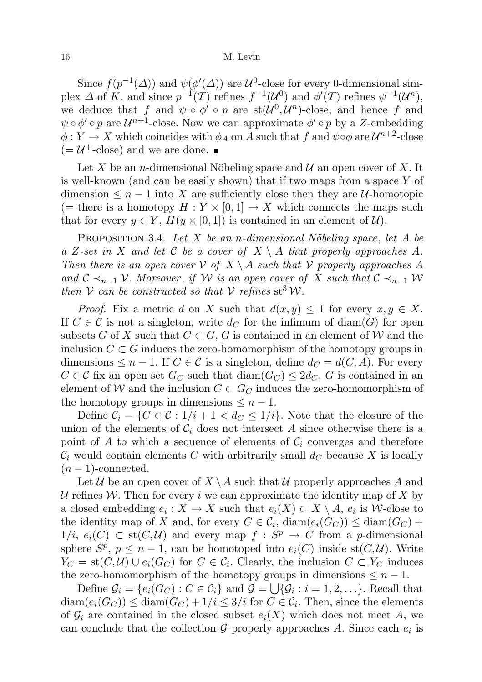Since  $f(p^{-1}(\Delta))$  and  $\psi(\phi'(\Delta))$  are  $\mathcal{U}^0$ -close for every 0-dimensional simplex  $\Delta$  of K, and since  $p^{-1}(\mathcal{T})$  refines  $f^{-1}(\mathcal{U}^0)$  and  $\phi'(\mathcal{T})$  refines  $\psi^{-1}(\mathcal{U}^n)$ , we deduce that f and  $\psi \circ \phi' \circ p$  are  $st(\mathcal{U}^0, \mathcal{U}^n)$ -close, and hence f and  $\psi \circ \phi' \circ p$  are  $\mathcal{U}^{n+1}$ -close. Now we can approximate  $\phi' \circ p$  by a Z-embedding  $\phi: Y \to X$  which coincides with  $\phi_A$  on A such that f and  $\psi \circ \phi$  are  $\mathcal{U}^{n+2}$ -close  $(=\mathcal{U}^+$ -close) and we are done.

Let X be an *n*-dimensional Nöbeling space and  $\mathcal{U}$  an open cover of X. It is well-known (and can be easily shown) that if two maps from a space Y of dimension  $\leq n-1$  into X are sufficiently close then they are U-homotopic (= there is a homotopy  $H: Y \times [0,1] \to X$  which connects the maps such that for every  $y \in Y$ ,  $H(y \times [0,1])$  is contained in an element of  $\mathcal{U}$ .

PROPOSITION 3.4. Let X be an n-dimensional Nöbeling space, let A be a Z-set in X and let C be a cover of  $X \setminus A$  that properly approaches A. Then there is an open cover  $\mathcal V$  of  $X \setminus A$  such that  $\mathcal V$  properly approaches A and  $\mathcal{C} \prec_{n-1} \mathcal{V}$ . Moreover, if W is an open cover of X such that  $\mathcal{C} \prec_{n-1} \mathcal{W}$ then V can be constructed so that V refines  $st^3W$ .

*Proof.* Fix a metric d on X such that  $d(x, y) \leq 1$  for every  $x, y \in X$ . If  $C \in \mathcal{C}$  is not a singleton, write  $d_C$  for the infimum of diam(G) for open subsets G of X such that  $C \subset G$ , G is contained in an element of W and the inclusion  $C \subset G$  induces the zero-homomorphism of the homotopy groups in dimensions  $\leq n-1$ . If  $C \in \mathcal{C}$  is a singleton, define  $d_C = d(C, A)$ . For every  $C \in \mathcal{C}$  fix an open set  $G_C$  such that  $\text{diam}(G_C) \leq 2d_C$ , G is contained in an element of W and the inclusion  $C \subset G_C$  induces the zero-homomorphism of the homotopy groups in dimensions  $\leq n-1$ .

Define  $C_i = \{C \in \mathcal{C} : 1/i + 1 < d_C \leq 1/i\}$ . Note that the closure of the union of the elements of  $\mathcal{C}_i$  does not intersect A since otherwise there is a point of A to which a sequence of elements of  $\mathcal{C}_i$  converges and therefore  $\mathcal{C}_i$  would contain elements C with arbitrarily small  $d_C$  because X is locally  $(n-1)$ -connected.

Let U be an open cover of  $X \setminus A$  such that U properly approaches A and U refines W. Then for every i we can approximate the identity map of X by a closed embedding  $e_i: X \to X$  such that  $e_i(X) \subset X \setminus A$ ,  $e_i$  is W-close to the identity map of X and, for every  $C \in \mathcal{C}_i$ ,  $\text{diam}(e_i(G_C)) \leq \text{diam}(G_C) +$  $1/i, e_i(C) \subset st(C, \mathcal{U})$  and every map  $f : S^p \to C$  from a p-dimensional sphere  $S^p$ ,  $p \leq n-1$ , can be homotoped into  $e_i(C)$  inside st $(C, \mathcal{U})$ . Write  $Y_C = st(C, \mathcal{U}) \cup e_i(G_C)$  for  $C \in \mathcal{C}_i$ . Clearly, the inclusion  $C \subset Y_C$  induces the zero-homomorphism of the homotopy groups in dimensions  $\leq n-1$ .

Define  $\mathcal{G}_i = \{e_i(G_C) : C \in \mathcal{C}_i\}$  and  $\mathcal{G} = \bigcup \{\mathcal{G}_i : i = 1, 2, \ldots\}$ . Recall that  $\text{diam}(e_i(G_C)) \leq \text{diam}(G_C) + 1/i \leq 3/i$  for  $C \in \mathcal{C}_i$ . Then, since the elements of  $\mathcal{G}_i$  are contained in the closed subset  $e_i(X)$  which does not meet A, we can conclude that the collection  $G$  properly approaches A. Since each  $e_i$  is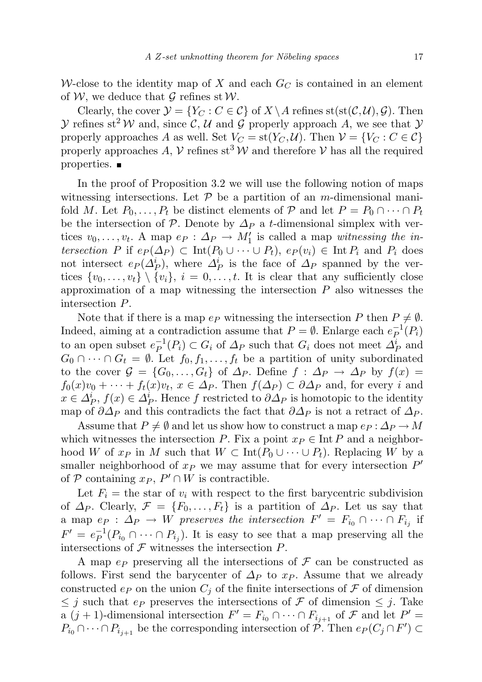W-close to the identity map of X and each  $G_C$  is contained in an element of W, we deduce that  $\mathcal G$  refines st W.

Clearly, the cover  $\mathcal{Y} = \{Y_C : C \in \mathcal{C}\}\$  of  $X \setminus A$  refines  $st(st(\mathcal{C}, \mathcal{U}), \mathcal{G})$ . Then  $\mathcal Y$  refines st<sup>2</sup> W and, since C, U and G properly approach A, we see that  $\mathcal Y$ properly approaches A as well. Set  $V_C = st(Y_C, \mathcal{U})$ . Then  $\mathcal{V} = \{V_C : C \in \mathcal{C}\}\$ properly approaches A,  $\mathcal V$  refines st<sup>3</sup> W and therefore  $\mathcal V$  has all the required properties.

In the proof of Proposition 3.2 we will use the following notion of maps witnessing intersections. Let  $P$  be a partition of an m-dimensional manifold M. Let  $P_0, \ldots, P_t$  be distinct elements of P and let  $P = P_0 \cap \cdots \cap P_t$ be the intersection of P. Denote by  $\Delta_P$  a t-dimensional simplex with vertices  $v_0, \ldots, v_t$ . A map  $e_P : \Delta_P \to M'_1$  is called a map witnessing the intersection P if  $e_P(\Delta_P) \subset \text{Int}(P_0 \cup \cdots \cup P_t)$ ,  $e_P(v_i) \in \text{Int}(P_i)$  and  $P_i$  does not intersect  $e_P(\Delta_P^i)$ , where  $\Delta_P^i$  is the face of  $\Delta_P$  spanned by the vertices  $\{v_0, \ldots, v_t\} \setminus \{v_i\}, i = 0, \ldots, t$ . It is clear that any sufficiently close approximation of a map witnessing the intersection  $P$  also witnesses the intersection P.

Note that if there is a map  $e_P$  witnessing the intersection P then  $P \neq \emptyset$ . Indeed, aiming at a contradiction assume that  $P = \emptyset$ . Enlarge each  $e_P^{-1}$  $^{-1}_{P}(P_i)$ to an open subset  $e^{-1}_{P}$  $P^{-1}(P_i) \subset G_i$  of  $\Delta_P$  such that  $G_i$  does not meet  $\Delta_P^i$  and  $G_0 \cap \cdots \cap G_t = \emptyset$ . Let  $f_0, f_1, \ldots, f_t$  be a partition of unity subordinated to the cover  $\mathcal{G} = \{G_0, \ldots, G_t\}$  of  $\Delta_P$ . Define  $f : \Delta_P \to \Delta_P$  by  $f(x) =$  $f_0(x)v_0 + \cdots + f_t(x)v_t, x \in \Delta_P$ . Then  $f(\Delta_P) \subset \partial \Delta_P$  and, for every i and  $x \in \Delta_P^i$ ,  $f(x) \in \Delta_P^i$ . Hence f restricted to  $\partial \Delta_P$  is homotopic to the identity map of  $\partial \Delta_P$  and this contradicts the fact that  $\partial \Delta_P$  is not a retract of  $\Delta_P$ .

Assume that  $P \neq \emptyset$  and let us show how to construct a map  $ep : \Delta_P \to M$ which witnesses the intersection P. Fix a point  $x_P \in \text{Int } P$  and a neighborhood W of  $x_P$  in M such that  $W \subset \text{Int}(P_0 \cup \cdots \cup P_t)$ . Replacing W by a smaller neighborhood of  $x_P$  we may assume that for every intersection  $P'$ of  $P$  containing  $x_P$ ,  $P' \cap W$  is contractible.

Let  $F_i$  = the star of  $v_i$  with respect to the first barycentric subdivision of  $\Delta_P$ . Clearly,  $\mathcal{F} = \{F_0, \ldots, F_t\}$  is a partition of  $\Delta_P$ . Let us say that a map  $ep : \Delta_P \to W$  preserves the intersection  $F' = F_{i_0} \cap \cdots \cap F_{i_j}$  if  $F' = e^{-1}_{P}$  $P_P^{-1}(P_{i_0} \cap \cdots \cap P_{i_j})$ . It is easy to see that a map preserving all the intersections of  $\mathcal F$  witnesses the intersection  $P$ .

A map  $e_P$  preserving all the intersections of  $\mathcal F$  can be constructed as follows. First send the barycenter of  $\Delta_P$  to  $x_P$ . Assume that we already constructed  $e_P$  on the union  $C_j$  of the finite intersections of  $\mathcal F$  of dimension  $\leq j$  such that  $e_P$  preserves the intersections of F of dimension  $\leq j$ . Take a  $(j + 1)$ -dimensional intersection  $F' = F_{i_0} \cap \cdots \cap F_{i_{j+1}}$  of  $\mathcal F$  and let  $P' =$  $P_{i_0} \cap \cdots \cap P_{i_{j+1}}$  be the corresponding intersection of  $\mathcal{P}$ . Then  $e_P(C_j \cap F') \subset$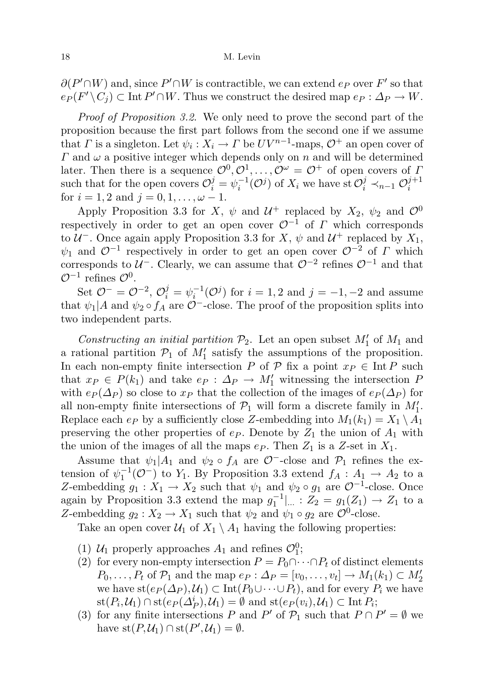$\partial(P' \cap W)$  and, since  $P' \cap W$  is contractible, we can extend  $e_P$  over  $F'$  so that  $e_P(F' \setminus C_j) \subset \text{Int } P' \cap W$ . Thus we construct the desired map  $e_P : \Delta_P \to W$ .

Proof of Proposition 3.2. We only need to prove the second part of the proposition because the first part follows from the second one if we assume that  $\Gamma$  is a singleton. Let  $\psi_i: X_i \to \Gamma$  be  $UV^{n-1}$ -maps,  $\mathcal{O}^+$  an open cover of  $\Gamma$  and  $\omega$  a positive integer which depends only on n and will be determined later. Then there is a sequence  $\mathcal{O}^0, \mathcal{O}^1, \ldots, \mathcal{O}^{\omega} = \mathcal{O}^+$  of open covers of I such that for the open covers  $\mathcal{O}_i^j = \psi_i^{-1}(\mathcal{O}^j)$  of  $X_i$  we have st  $\mathcal{O}_i^j \prec_{n-1} \mathcal{O}_i^{j+1}$ i for  $i = 1, 2$  and  $j = 0, 1, \ldots, \omega - 1$ .

Apply Proposition 3.3 for X,  $\psi$  and  $\mathcal{U}^+$  replaced by  $X_2$ ,  $\psi_2$  and  $\mathcal{O}^0$ respectively in order to get an open cover  $\mathcal{O}^{-1}$  of  $\Gamma$  which corresponds to  $\mathcal{U}^-$ . Once again apply Proposition 3.3 for X,  $\psi$  and  $\mathcal{U}^+$  replaced by  $X_1$ ,  $\psi_1$  and  $\mathcal{O}^{-1}$  respectively in order to get an open cover  $\mathcal{O}^{-2}$  of  $\Gamma$  which corresponds to  $\mathcal{U}^-$ . Clearly, we can assume that  $\mathcal{O}^{-2}$  refines  $\mathcal{O}^{-1}$  and that  $\mathcal{O}^{-1}$  refines  $\mathcal{O}^0$ .

Set  $\mathcal{O}^- = \mathcal{O}^{-2}$ ,  $\mathcal{O}_i^j = \psi_i^{-1}(\mathcal{O}^j)$  for  $i = 1, 2$  and  $j = -1, -2$  and assume that  $\psi_1|A$  and  $\psi_2 \circ f_A$  are  $\mathcal{O}^-$ -close. The proof of the proposition splits into two independent parts.

Constructing an initial partition  $\mathcal{P}_2$ . Let an open subset  $M'_1$  of  $M_1$  and a rational partition  $P_1$  of  $M'_1$  satisfy the assumptions of the proposition. In each non-empty finite intersection P of  $\mathcal P$  fix a point  $x_P \in \text{Int } P$  such that  $x_P \in P(k_1)$  and take  $e_P : \Delta_P \to M'_1$  witnessing the intersection P with  $e_P(\Delta_P)$  so close to  $x_P$  that the collection of the images of  $e_P(\Delta_P)$  for all non-empty finite intersections of  $\mathcal{P}_1$  will form a discrete family in  $M'_1$ . Replace each  $e_P$  by a sufficiently close Z-embedding into  $M_1(k_1) = X_1 \setminus A_1$ preserving the other properties of  $e_P$ . Denote by  $Z_1$  the union of  $A_1$  with the union of the images of all the maps  $e_P$ . Then  $Z_1$  is a Z-set in  $X_1$ .

Assume that  $\psi_1|A_1$  and  $\psi_2 \circ f_A$  are  $\mathcal{O}^-$ -close and  $\mathcal{P}_1$  refines the extension of  $\psi_1^{-1}(\mathcal{O}^-)$  to  $Y_1$ . By Proposition 3.3 extend  $f_A: A_1 \to A_2$  to a Z-embedding  $g_1 : X_1 \to X_2$  such that  $\psi_1$  and  $\psi_2 \circ g_1$  are  $\mathcal{O}^{-1}$ -close. Once again by Proposition 3.3 extend the map  $g_1^{-1}|_{\dots}$  :  $Z_2 = g_1(Z_1) \rightarrow Z_1$  to a Z-embedding  $g_2: X_2 \to X_1$  such that  $\psi_2$  and  $\psi_1 \circ g_2$  are  $\mathcal{O}^0$ -close.

Take an open cover  $\mathcal{U}_1$  of  $X_1 \setminus A_1$  having the following properties:

- (1)  $U_1$  properly approaches  $A_1$  and refines  $\mathcal{O}_1^0$ ;
- (2) for every non-empty intersection  $P = P_0 \cap \cdots \cap P_t$  of distinct elements  $P_0, \ldots, P_t$  of  $\mathcal{P}_1$  and the map  $e_P : \Delta_P = [v_0, \ldots, v_t] \to M_1(k_1) \subset M'_2$ we have  $st(e_P(\Delta_P), \mathcal{U}_1) \subset Int(P_0 \cup \cdots \cup P_t)$ , and for every  $P_i$  we have  $\operatorname{st}(P_i,\mathcal{U}_1) \cap \operatorname{st}(e_P(\Delta_P^i),\mathcal{U}_1) = \emptyset$  and  $\operatorname{st}(e_P(v_i),\mathcal{U}_1) \subset \text{Int } P_i$ ;
- (3) for any finite intersections P and P' of  $\mathcal{P}_1$  such that  $P \cap P' = \emptyset$  we have  $\text{st}(P, \mathcal{U}_1) \cap \text{st}(P', \mathcal{U}_1) = \emptyset$ .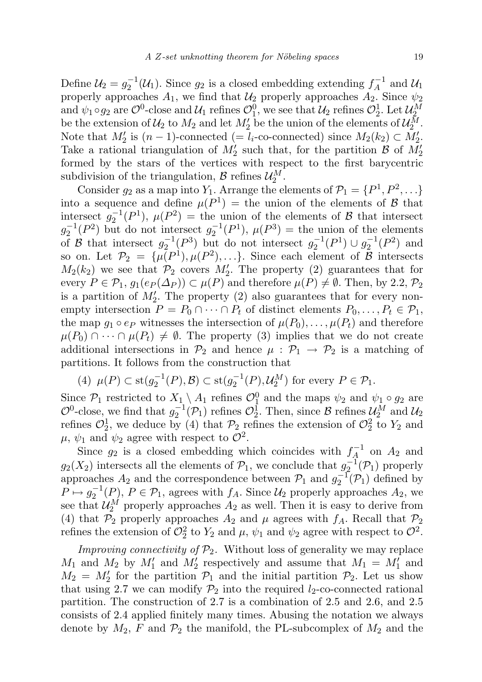Define  $\mathcal{U}_2 = g_2^{-1}(\mathcal{U}_1)$ . Since  $g_2$  is a closed embedding extending  $f_A^{-1}$  $\mathcal{A}^{-1}$  and  $\mathcal{U}_1$ properly approaches  $A_1$ , we find that  $U_2$  properly approaches  $A_2$ . Since  $\psi_2$ and  $\psi_1 \circ g_2$  are  $\mathcal{O}^0$ -close and  $\mathcal{U}_1$  refines  $\mathcal{O}_1^0$ , we see that  $\mathcal{U}_2$  refines  $\mathcal{O}_2^1$ . Let  $\mathcal{U}_2^M$ be the extension of  $\mathcal{U}_2$  to  $M_2$  and let  $M'_2$  be the union of the elements of  $\mathcal{U}_2^M$ . Note that  $M'_2$  is  $(n-1)$ -connected  $(= l_i$ -co-connected) since  $M_2(k_2) \subset M'_2$ . Take a rational triangulation of  $M'_2$  such that, for the partition  $\mathcal{B}$  of  $M'_2$ formed by the stars of the vertices with respect to the first barycentric subdivision of the triangulation,  $\mathcal{B}$  refines  $\mathcal{U}_2^M$ .

Consider  $g_2$  as a map into  $Y_1$ . Arrange the elements of  $\mathcal{P}_1 = \{P^1, P^2, \ldots\}$ into a sequence and define  $\mu(P^1)$  = the union of the elements of B that intersect  $g_2^{-1}(P^1)$ ,  $\mu(P^2)$  = the union of the elements of B that intersect  $g_2^{-1}(P^2)$  but do not intersect  $g_2^{-1}(P^1)$ ,  $\mu(P^3) =$  the union of the elements of B that intersect  $g_2^{-1}(P^3)$  but do not intersect  $g_2^{-1}(P^1) \cup g_2^{-1}(P^2)$  and so on. Let  $\mathcal{P}_2 = {\mu(P^1), \mu(P^2), \ldots}.$  Since each element of  $\mathcal B$  intersects  $M_2(k_2)$  we see that  $\mathcal{P}_2$  covers  $M'_2$ . The property (2) guarantees that for every  $P \in \mathcal{P}_1$ ,  $g_1(e_P(\Delta_P)) \subset \mu(P)$  and therefore  $\mu(P) \neq \emptyset$ . Then, by 2.2,  $\mathcal{P}_2$ is a partition of  $M'_2$ . The property (2) also guarantees that for every nonempty intersection  $P = P_0 \cap \cdots \cap P_t$  of distinct elements  $P_0, \ldots, P_t \in \mathcal{P}_1$ , the map  $g_1 \circ e_P$  witnesses the intersection of  $\mu(P_0), \ldots, \mu(P_t)$  and therefore  $\mu(P_0) \cap \cdots \cap \mu(P_t) \neq \emptyset$ . The property (3) implies that we do not create additional intersections in  $\mathcal{P}_2$  and hence  $\mu : \mathcal{P}_1 \to \mathcal{P}_2$  is a matching of partitions. It follows from the construction that

(4) 
$$
\mu(P) \subset \text{st}(g_2^{-1}(P), \mathcal{B}) \subset \text{st}(g_2^{-1}(P), \mathcal{U}_2^M)
$$
 for every  $P \in \mathcal{P}_1$ .

Since  $P_1$  restricted to  $X_1 \setminus A_1$  refines  $\mathcal{O}_1^0$  and the maps  $\psi_2$  and  $\psi_1 \circ g_2$  are  $\mathcal{O}^0$ -close, we find that  $g_2^{-1}(\mathcal{P}_1)$  refines  $\mathcal{O}_2^1$ . Then, since  $\mathcal{B}$  refines  $\mathcal{U}_2^M$  and  $\mathcal{U}_2$ refines  $\mathcal{O}_2^1$ , we deduce by (4) that  $\mathcal{P}_2$  refines the extension of  $\mathcal{O}_2^2$  to  $Y_2$  and  $\mu, \psi_1$  and  $\psi_2$  agree with respect to  $\mathcal{O}^2$ .

Since  $g_2$  is a closed embedding which coincides with  $f_A^{-1}$  $A_4^{\cdot-1}$  on  $A_2$  and  $g_2(X_2)$  intersects all the elements of  $\mathcal{P}_1$ , we conclude that  $g_2^{-1}(\mathcal{P}_1)$  properly approaches  $A_2$  and the correspondence between  $\mathcal{P}_1$  and  $g_2^{-1}(\mathcal{P}_1)$  defined by  $P \mapsto g_2^{-1}(P)$ ,  $P \in \mathcal{P}_1$ , agrees with  $f_A$ . Since  $\mathcal{U}_2$  properly approaches  $A_2$ , we see that  $\mathcal{U}_2^M$  properly approaches  $A_2$  as well. Then it is easy to derive from (4) that  $\mathcal{P}_2$  properly approaches  $A_2$  and  $\mu$  agrees with  $f_A$ . Recall that  $\mathcal{P}_2$ refines the extension of  $\mathcal{O}_2^2$  to  $Y_2$  and  $\mu$ ,  $\psi_1$  and  $\psi_2$  agree with respect to  $\mathcal{O}^2$ .

*Improving connectivity of*  $\mathcal{P}_2$ . Without loss of generality we may replace  $M_1$  and  $M_2$  by  $M'_1$  and  $M'_2$  respectively and assume that  $M_1 = M'_1$  and  $M_2 = M_2'$  for the partition  $\mathcal{P}_1$  and the initial partition  $\mathcal{P}_2$ . Let us show that using 2.7 we can modify  $\mathcal{P}_2$  into the required  $l_2$ -co-connected rational partition. The construction of 2.7 is a combination of 2.5 and 2.6, and 2.5 consists of 2.4 applied finitely many times. Abusing the notation we always denote by  $M_2$ , F and  $\mathcal{P}_2$  the manifold, the PL-subcomplex of  $M_2$  and the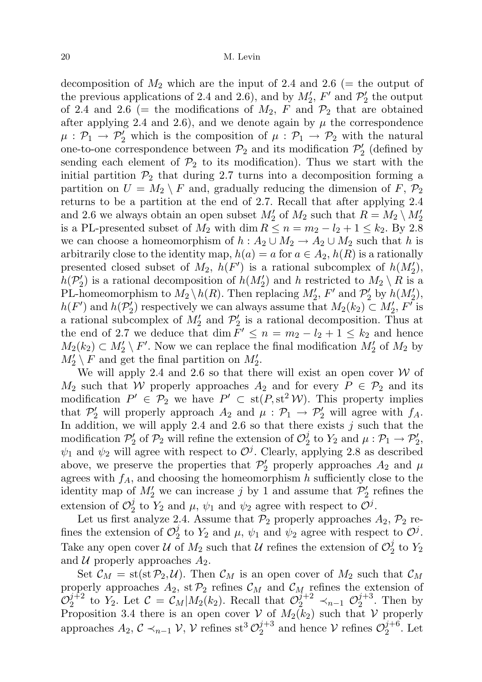decomposition of  $M_2$  which are the input of 2.4 and 2.6 (= the output of the previous applications of 2.4 and 2.6), and by  $M'_2$ ,  $F'$  and  $\mathcal{P}'_2$  the output of 2.4 and 2.6 (= the modifications of  $M_2$ , F and  $\mathcal{P}_2$  that are obtained after applying 2.4 and 2.6), and we denote again by  $\mu$  the correspondence  $\mu : \mathcal{P}_1 \to \mathcal{P}'_2$  which is the composition of  $\mu : \mathcal{P}_1 \to \mathcal{P}_2$  with the natural one-to-one correspondence between  $\mathcal{P}_2$  and its modification  $\mathcal{P}'_2$  (defined by sending each element of  $\mathcal{P}_2$  to its modification). Thus we start with the initial partition  $\mathcal{P}_2$  that during 2.7 turns into a decomposition forming a partition on  $U = M_2 \setminus F$  and, gradually reducing the dimension of  $F, \mathcal{P}_2$ returns to be a partition at the end of 2.7. Recall that after applying 2.4 and 2.6 we always obtain an open subset  $M'_2$  of  $M_2$  such that  $R = M_2 \setminus M'_2$ is a PL-presented subset of  $M_2$  with dim  $R \leq n = m_2 - l_2 + 1 \leq k_2$ . By 2.8 we can choose a homeomorphism of  $h : A_2 \cup M_2 \to A_2 \cup M_2$  such that h is arbitrarily close to the identity map,  $h(a) = a$  for  $a \in A_2$ ,  $h(R)$  is a rationally presented closed subset of  $M_2$ ,  $h(F')$  is a rational subcomplex of  $h(M'_2)$ ,  $h(\mathcal{P}_2')$  is a rational decomposition of  $h(M_2')$  and h restricted to  $M_2 \setminus R$  is a PL-homeomorphism to  $M_2 \setminus h(R)$ . Then replacing  $M'_2$ ,  $F'$  and  $\mathcal{P}'_2$  by  $h(M'_2)$ ,  $h(F')$  and  $h(\mathcal{P}'_2)$  respectively we can always assume that  $M_2(k_2) \subset M'_2$ ,  $F'$  is a rational subcomplex of  $M'_2$  and  $\mathcal{P}'_2$  is a rational decomposition. Thus at the end of 2.7 we deduce that dim  $F' \leq n = m_2 - l_2 + 1 \leq k_2$  and hence  $M_2(k_2) \subset M'_2 \setminus F'$ . Now we can replace the final modification  $M'_2$  of  $M_2$  by  $M'_2 \setminus F$  and get the final partition on  $M'_2$ .

We will apply 2.4 and 2.6 so that there will exist an open cover  $W$  of  $M_2$  such that W properly approaches  $A_2$  and for every  $P \in \mathcal{P}_2$  and its modification  $P' \in \mathcal{P}_2$  we have  $P' \subset st(P, st^2 \mathcal{W})$ . This property implies that  $\mathcal{P}'_2$  will properly approach  $A_2$  and  $\mu : \mathcal{P}_1 \to \mathcal{P}'_2$  will agree with  $f_A$ . In addition, we will apply 2.4 and 2.6 so that there exists  $j$  such that the modification  $\mathcal{P}_2'$  of  $\mathcal{P}_2$  will refine the extension of  $\mathcal{O}_2^j$  $p_2^j$  to  $Y_2$  and  $\mu: \mathcal{P}_1 \to \mathcal{P}_2'$ ,  $\psi_1$  and  $\psi_2$  will agree with respect to  $\mathcal{O}^j$ . Clearly, applying 2.8 as described above, we preserve the properties that  $\mathcal{P}'_2$  properly approaches  $A_2$  and  $\mu$ agrees with  $f_A$ , and choosing the homeomorphism h sufficiently close to the identity map of  $M'_2$  we can increase j by 1 and assume that  $\mathcal{P}'_2$  refines the extension of  $\mathcal{O}_2^j$  $\frac{j}{2}$  to  $Y_2$  and  $\mu$ ,  $\psi_1$  and  $\psi_2$  agree with respect to  $\mathcal{O}^j$ .

Let us first analyze 2.4. Assume that  $\mathcal{P}_2$  properly approaches  $A_2$ ,  $\mathcal{P}_2$  refines the extension of  $\mathcal{O}_2^j$  $\frac{1}{2}$  to  $Y_2$  and  $\mu$ ,  $\psi_1$  and  $\psi_2$  agree with respect to  $\mathcal{O}^j$ . Take any open cover  $\mathcal U$  of  $M_2$  such that  $\mathcal U$  refines the extension of  $\mathcal O_2^{\mathcal J}$  $\frac{1}{2}$  to  $Y_2$ and  $U$  properly approaches  $A_2$ .

Set  $\mathcal{C}_M =$  st(st  $\mathcal{P}_2, \mathcal{U}$ ). Then  $\mathcal{C}_M$  is an open cover of  $M_2$  such that  $\mathcal{C}_M$ properly approaches  $A_2$ , st $\mathcal{P}_2$  refines  $\mathcal{C}_M$  and  $\mathcal{C}_M$  refines the extension of  $\mathcal{O}^{j+2}_2$  $2^{j+2}$  to  $Y_2$ . Let  $C = C_M | M_2(k_2)$ . Recall that  $\mathcal{O}_2^{j+2} \prec_{n-1} \mathcal{O}_2^{j+3}$  $i^{j+3}$ . Then by Proposition 3.4 there is an open cover V of  $M_2(k_2)$  such that V properly approaches  $A_2, C \prec_{n-1} \mathcal{V}, \mathcal{V}$  refines st<sup>3</sup> $\mathcal{O}_2^{j+3}$  $i_2^{j+3}$  and hence  $\mathcal{V}$  refines  $\mathcal{O}_2^{j+6}$  $i_2^{j+6}$ . Let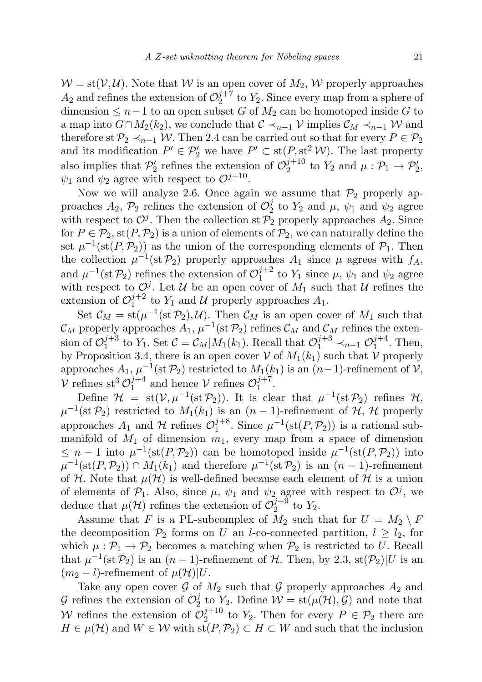$W = st(V, U)$ . Note that W is an open cover of  $M_2$ , W properly approaches  $A_2$  and refines the extension of  $\mathcal{O}_2^{j+7}$  $y_2^{j+i}$  to  $Y_2$ . Since every map from a sphere of dimension  $≤$  n − 1 to an open subset G of  $M_2$  can be homotoped inside G to a map into  $G \cap M_2(k_2)$ , we conclude that  $\mathcal{C} \prec_{n-1} \mathcal{V}$  implies  $\mathcal{C}_M \prec_{n-1} \mathcal{W}$  and therefore st  $\mathcal{P}_2 \prec_{n-1} \mathcal{W}$ . Then 2.4 can be carried out so that for every  $P \in \mathcal{P}_2$ and its modification  $P' \in \mathcal{P}'_2$  we have  $P' \subset \text{st}(P, \text{st}^2 \mathcal{W})$ . The last property also implies that  $\mathcal{P}'_2$  refines the extension of  $\mathcal{O}_2^{j+10}$  $i^{j+10}_{2}$  to  $Y_2$  and  $\mu : \mathcal{P}_1 \to \mathcal{P}'_2$ ,  $\psi_1$  and  $\psi_2$  agree with respect to  $\mathcal{O}^{j+10}$ .

Now we will analyze 2.6. Once again we assume that  $\mathcal{P}_2$  properly approaches  $A_2$ ,  $\mathcal{P}_2$  refines the extension of  $\mathcal{O}_2^j$  $\frac{y}{2}$  to  $Y_2$  and  $\mu$ ,  $\psi_1$  and  $\psi_2$  agree with respect to  $\mathcal{O}^j$ . Then the collection st  $\mathcal{P}_2$  properly approaches  $A_2$ . Since for  $P \in \mathcal{P}_2$ , st $(P, \mathcal{P}_2)$  is a union of elements of  $\mathcal{P}_2$ , we can naturally define the set  $\mu^{-1}(\text{st}(P, \mathcal{P}_2))$  as the union of the corresponding elements of  $\mathcal{P}_1$ . Then the collection  $\mu^{-1}(\text{st } \mathcal{P}_2)$  properly approaches  $A_1$  since  $\mu$  agrees with  $f_A$ , and  $\mu^{-1}(\text{st }\mathcal{P}_2)$  refines the extension of  $\mathcal{O}_1^{j+2}$  $j_1^{j+2}$  to  $Y_1$  since  $\mu$ ,  $\psi_1$  and  $\psi_2$  agree with respect to  $\mathcal{O}^j$ . Let U be an open cover of  $M_1$  such that U refines the extension of  $\mathcal{O}_1^{j+2}$  $_1^{j+2}$  to  $Y_1$  and U properly approaches  $A_1$ .

Set  $\mathcal{C}_M = \text{st}(\mu^{-1}(\text{st } \mathcal{P}_2), \mathcal{U})$ . Then  $\mathcal{C}_M$  is an open cover of  $M_1$  such that  $\mathcal{C}_M$  properly approaches  $A_1$ ,  $\mu^{-1}(\text{st}\,\mathcal{P}_2)$  refines  $\mathcal{C}_M$  and  $\mathcal{C}_M$  refines the extension of  $\mathcal{O}_1^{j+3}$  $j^{+3}_{1}$  to Y<sub>1</sub>. Set  $C = \mathcal{C}_M|M_1(k_1)$ . Recall that  $\mathcal{O}_1^{j+3} \prec_{n-1} \mathcal{O}_1^{j+4}$  $j_1^{j+4}$ . Then, by Proposition 3.4, there is an open cover  $V$  of  $M_1(k_1)$  such that  $\overline{V}$  properly approaches  $A_1$ ,  $\mu^{-1}$ (st  $\mathcal{P}_2$ ) restricted to  $M_1(k_1)$  is an  $(n-1)$ -refinement of  $\mathcal{V}$ ,  $\mathcal V$  refines st<sup>3</sup>  $\mathcal O_1^{j+4}$  $j+4$  and hence  $V$  refines  $\mathcal{O}_1^{j+7}$  $\frac{j+\ell}{1}$ .

Define  $\mathcal{H} = \text{st}(\mathcal{V}, \mu^{-1}(\text{st}\,\mathcal{P}_2)).$  It is clear that  $\mu^{-1}(\text{st}\,\mathcal{P}_2)$  refines  $\mathcal{H},$  $\mu^{-1}(\text{st } \mathcal{P}_2)$  restricted to  $M_1(k_1)$  is an  $(n-1)$ -refinement of  $\mathcal{H}, \mathcal{H}$  properly approaches  $A_1$  and H refines  $\mathcal{O}_1^{j+8}$  $\mu^{-1}(\text{st}(P, \mathcal{P}_2))$  is a rational submanifold of  $M_1$  of dimension  $m_1$ , every map from a space of dimension  $\leq n-1$  into  $\mu^{-1}(\text{st}(P, \mathcal{P}_2))$  can be homotoped inside  $\mu^{-1}(\text{st}(P, \mathcal{P}_2))$  into  $\mu^{-1}(\text{st}(P, \mathcal{P}_2)) \cap M_1(k_1)$  and therefore  $\mu^{-1}(\text{st} \mathcal{P}_2)$  is an  $(n-1)$ -refinement of H. Note that  $\mu(\mathcal{H})$  is well-defined because each element of H is a union of elements of  $\mathcal{P}_1$ . Also, since  $\mu$ ,  $\psi_1$  and  $\psi_2$  agree with respect to  $\mathcal{O}^j$ , we deduce that  $\mu(\mathcal{H})$  refines the extension of  $\mathcal{O}_2^{j+9}$  $_2^{j+9}$  to  $Y_2$ .

Assume that F is a PL-subcomplex of  $M_2$  such that for  $U = M_2 \setminus F$ the decomposition  $\mathcal{P}_2$  forms on U an l-co-connected partition,  $l \geq l_2$ , for which  $\mu : \mathcal{P}_1 \to \mathcal{P}_2$  becomes a matching when  $\mathcal{P}_2$  is restricted to U. Recall that  $\mu^{-1}(\text{st } \mathcal{P}_2)$  is an  $(n-1)$ -refinement of H. Then, by 2.3, st $(\mathcal{P}_2)|U$  is an  $(m_2 - l)$ -refinement of  $\mu(\mathcal{H})|U$ .

Take any open cover  $\mathcal G$  of  $M_2$  such that  $\mathcal G$  properly approaches  $A_2$  and G refines the extension of  $\mathcal{O}_2^j$  $\mathcal{V}_2$  to  $Y_2$ . Define  $\mathcal{W} = \text{st}(\mu(\mathcal{H}), \mathcal{G})$  and note that W refines the extension of  $\mathcal{O}_2^{j+10}$  $2^{j+10}$  to  $Y_2$ . Then for every  $P \in \mathcal{P}_2$  there are  $H \in \mu(\mathcal{H})$  and  $W \in \mathcal{W}$  with  $\text{st}(P, \mathcal{P}_2) \subset H \subset W$  and such that the inclusion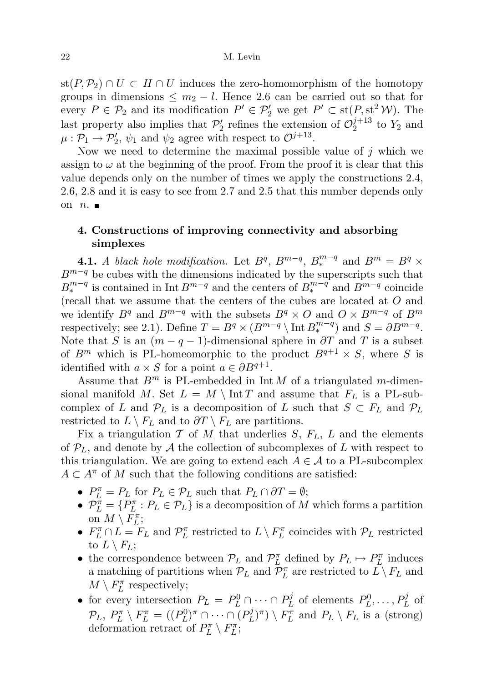$\text{st}(P,\mathcal{P}_2) \cap U \subset H \cap U$  induces the zero-homomorphism of the homotopy groups in dimensions  $\leq m_2 - l$ . Hence 2.6 can be carried out so that for every  $P \in \mathcal{P}_2$  and its modification  $P' \in \mathcal{P}'_2$  we get  $P' \subset \text{st}(P, \text{st}^2 \mathcal{W})$ . The last property also implies that  $\mathcal{P}'_2$  refines the extension of  $\mathcal{O}_2^{j+13}$  $_2^{j+15}$  to  $Y_2$  and  $\mu : \mathcal{P}_1 \to \mathcal{P}'_2$ ,  $\psi_1$  and  $\psi_2$  agree with respect to  $\mathcal{O}^{j+13}$ .

Now we need to determine the maximal possible value of  $j$  which we assign to  $\omega$  at the beginning of the proof. From the proof it is clear that this value depends only on the number of times we apply the constructions 2.4, 2.6, 2.8 and it is easy to see from 2.7 and 2.5 that this number depends only on  $n.$ 

## 4. Constructions of improving connectivity and absorbing simplexes

**4.1.** A black hole modification. Let  $B^q$ ,  $B^{m-q}$ ,  $B^{m-q}$  and  $B^m = B^q \times$  $B^{m-q}$  be cubes with the dimensions indicated by the superscripts such that  $B_*^{m-q}$  is contained in Int  $B^{m-q}$  and the centers of  $B_*^{m-q}$  and  $B^{m-q}$  coincide (recall that we assume that the centers of the cubes are located at O and we identify  $B^q$  and  $B^{m-q}$  with the subsets  $B^q \times O$  and  $O \times B^{m-q}$  of  $B^m$ respectively; see 2.1). Define  $T = B^q \times (B^{m-q} \setminus \text{Int } B^{m-q}_*)$  and  $S = \partial B^{m-q}$ . Note that S is an  $(m - q - 1)$ -dimensional sphere in  $\partial T$  and T is a subset of  $B^m$  which is PL-homeomorphic to the product  $B^{q+1} \times S$ , where S is identified with  $a \times S$  for a point  $a \in \partial B^{q+1}$ .

Assume that  $B^m$  is PL-embedded in Int M of a triangulated m-dimensional manifold M. Set  $L = M \setminus \text{Int } T$  and assume that  $F_L$  is a PL-subcomplex of L and  $\mathcal{P}_L$  is a decomposition of L such that  $S \subset F_L$  and  $\mathcal{P}_L$ restricted to  $L \setminus F_L$  and to  $\partial T \setminus F_L$  are partitions.

Fix a triangulation  $\mathcal T$  of  $M$  that underlies  $S, F_L, L$  and the elements of  $\mathcal{P}_L$ , and denote by A the collection of subcomplexes of L with respect to this triangulation. We are going to extend each  $A \in \mathcal{A}$  to a PL-subcomplex  $A \subset A^{\pi}$  of M such that the following conditions are satisfied:

- $P_L^{\pi} = P_L$  for  $P_L \in \mathcal{P}_L$  such that  $P_L \cap \partial T = \emptyset$ ;
- $\mathcal{P}_L^{\pi} = \{P_L^{\pi} : P_L \in \mathcal{P}_L\}$  is a decomposition of M which forms a partition on  $M \setminus F_L^{\pi}$ ;
- $F_L^{\pi} \cap L = F_L$  and  $\mathcal{P}_L^{\pi}$  restricted to  $L \setminus F_L^{\pi}$  coincides with  $\mathcal{P}_L$  restricted to  $L \setminus F_L$ ;
- the correspondence between  $\mathcal{P}_L$  and  $\mathcal{P}_L^{\pi}$  defined by  $P_L \mapsto P_L^{\pi}$  induces a matching of partitions when  $\mathcal{P}_L$  and  $\overline{\mathcal{P}}_L^{\pi}$  are restricted to  $\overline{L}\setminus F_L$  and  $M\setminus F_L^\pi$  respectively;
- for every intersection  $P_L = P_L^0 \cap \cdots \cap P_L^j$  $P_L^j$  of elements  $P_L^0, \ldots, P_L^j$  of  $\mathcal{P}_L, \ P_L^{\pi} \setminus F_L^{\pi} = ((P_L^0)^{\pi} \cap \cdots \cap (P_L^j)$  $(L)^{j}$   $\bigcap$   $\bigcap$   $\bigcap$   $\bigcap$   $\bigcap$   $L \setminus F_L$  is a (strong) deformation retract of  $P_L^{\pi} \setminus F_L^{\pi}$ ;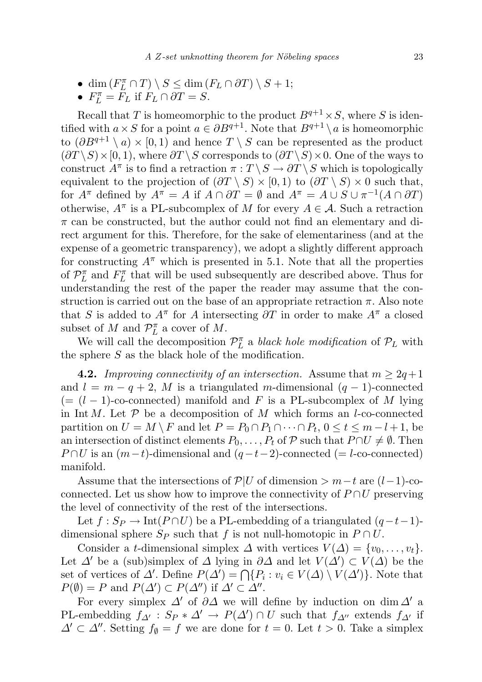- dim  $(F_L^{\pi} \cap T) \setminus S \leq \dim(F_L \cap \partial T) \setminus S + 1;$
- $F_L^{\pi} = F_L$  if  $F_L \cap \partial T = S$ .

Recall that T is homeomorphic to the product  $B^{q+1} \times S$ , where S is identified with  $a \times S$  for a point  $a \in \partial B^{q+1}$ . Note that  $B^{q+1} \setminus a$  is homeomorphic to  $(\partial B^{q+1} \setminus a) \times [0,1)$  and hence  $T \setminus S$  can be represented as the product  $(\partial T \setminus S) \times [0, 1)$ , where  $\partial T \setminus S$  corresponds to  $(\partial T \setminus S) \times 0$ . One of the ways to construct  $A^{\pi}$  is to find a retraction  $\pi : T \setminus S \to \partial T \setminus S$  which is topologically equivalent to the projection of  $(\partial T \setminus S) \times [0,1)$  to  $(\partial T \setminus S) \times 0$  such that, for  $A^{\pi}$  defined by  $A^{\pi} = A$  if  $A \cap \partial T = \emptyset$  and  $A^{\pi} = A \cup S \cup \pi^{-1}(A \cap \partial T)$ otherwise,  $A^{\pi}$  is a PL-subcomplex of M for every  $A \in \mathcal{A}$ . Such a retraction  $\pi$  can be constructed, but the author could not find an elementary and direct argument for this. Therefore, for the sake of elementariness (and at the expense of a geometric transparency), we adopt a slightly different approach for constructing  $A^{\pi}$  which is presented in 5.1. Note that all the properties of  $\mathcal{P}_L^{\pi}$  and  $F_L^{\pi}$  that will be used subsequently are described above. Thus for understanding the rest of the paper the reader may assume that the construction is carried out on the base of an appropriate retraction  $\pi$ . Also note that S is added to  $A^{\pi}$  for A intersecting  $\partial T$  in order to make  $A^{\pi}$  a closed subset of M and  $\mathcal{P}_L^{\pi}$  a cover of M.

We will call the decomposition  $\mathcal{P}_L^{\pi}$  a black hole modification of  $\mathcal{P}_L$  with the sphere S as the black hole of the modification.

**4.2.** Improving connectivity of an intersection. Assume that  $m \geq 2q+1$ and  $l = m - q + 2$ , M is a triangulated m-dimensional  $(q - 1)$ -connected  $(=(l-1)$ -co-connected) manifold and F is a PL-subcomplex of M lying in Int M. Let  $P$  be a decomposition of M which forms an l-co-connected partition on  $U = M \setminus F$  and let  $P = P_0 \cap P_1 \cap \cdots \cap P_t$ ,  $0 \le t \le m - l + 1$ , be an intersection of distinct elements  $P_0, \ldots, P_t$  of  $\mathcal P$  such that  $P \cap U \neq \emptyset$ . Then  $P \cap U$  is an  $(m-t)$ -dimensional and  $(q-t-2)$ -connected (= l-co-connected) manifold.

Assume that the intersections of  $\mathcal{P}|U$  of dimension >  $m-t$  are  $(l-1)$ -coconnected. Let us show how to improve the connectivity of  $P \cap U$  preserving the level of connectivity of the rest of the intersections.

Let  $f : Sp \to Int(P \cap U)$  be a PL-embedding of a triangulated  $(q-t-1)$ dimensional sphere  $S_P$  such that f is not null-homotopic in  $P \cap U$ .

Consider a t-dimensional simplex  $\Delta$  with vertices  $V(\Delta) = \{v_0, \ldots, v_t\}.$ Let  $\Delta'$  be a (sub)simplex of  $\Delta$  lying in  $\partial \Delta$  and let  $V(\Delta') \subset V(\Delta)$  be the set of vertices of  $\Delta'$ . Define  $P(\Delta') = \bigcap \{P_i : v_i \in V(\Delta) \setminus V(\Delta')\}$ . Note that  $P(\emptyset) = P$  and  $P(\Delta') \subset P(\Delta'')$  if  $\Delta' \subset \Delta''$ .

For every simplex  $\Delta'$  of  $\partial\Delta$  we will define by induction on dim  $\Delta'$  a PL-embedding  $f_{\Delta'}$ :  $S_P * \Delta' \to P(\Delta') \cap U$  such that  $f_{\Delta''}$  extends  $f_{\Delta'}$  if  $\Delta' \subset \Delta''$ . Setting  $f_{\emptyset} = f$  we are done for  $t = 0$ . Let  $t > 0$ . Take a simplex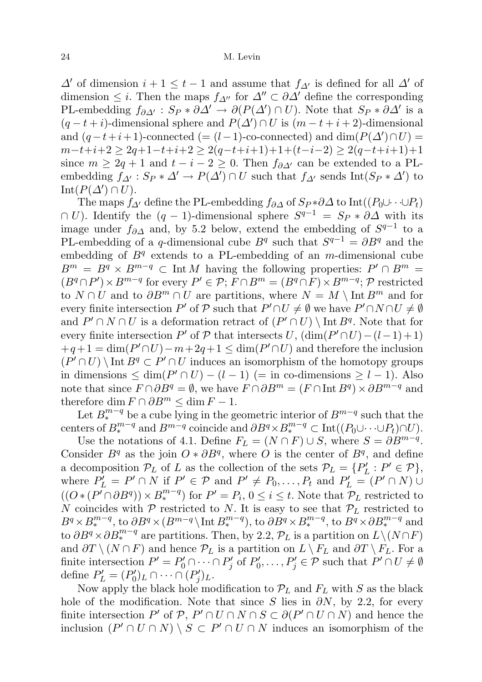$\Delta'$  of dimension  $i + 1 \leq t - 1$  and assume that  $f_{\Delta'}$  is defined for all  $\Delta'$  of dimension  $\leq i$ . Then the maps  $f_{\Delta}$ <sup>*n*</sup> for  $\Delta'' \subset \partial \Delta'$  define the corresponding PL-embedding  $f_{\partial \Delta'} : S_P * \partial \Delta' \to \partial (P(\Delta') \cap U)$ . Note that  $S_P * \partial \Delta'$  is a  $(q-t+i)$ -dimensional sphere and  $P(\Delta') \cap U$  is  $(m-t+i+2)$ -dimensional and  $(q-t+i+1)$ -connected  $(=(l-1)$ -co-connected) and  $\dim(P(\Delta') \cap U)$  $m-t+i+2 \geq 2q+1-t+i+2 \geq 2(q-t+i+1)+1+(t-i-2) \geq 2(q-t+i+1)+1$ since  $m \geq 2q + 1$  and  $t - i - 2 \geq 0$ . Then  $f_{\partial \Delta'}$  can be extended to a PLembedding  $f_{\Delta'} : S_P * \Delta' \to P(\Delta') \cap U$  such that  $f_{\Delta'}$  sends  $\text{Int}(S_P * \Delta')$  to  $\mathrm{Int}(P(\Delta')\cap U).$ 

The maps  $f_{\Delta}$ <sup>*d*</sup> define the PL-embedding  $f_{\partial \Delta}$  of  $S_P * \partial \Delta$  to Int $((P_0 \cup \cdots \cup P_t)$  $\cap$  U). Identify the  $(q-1)$ -dimensional sphere  $S^{q-1} = S_P * \partial \Delta$  with its image under  $f_{\partial\Delta}$  and, by 5.2 below, extend the embedding of  $S^{q-1}$  to a PL-embedding of a q-dimensional cube  $B<sup>q</sup>$  such that  $S<sup>q-1</sup> = \partial B<sup>q</sup>$  and the embedding of  $B<sup>q</sup>$  extends to a PL-embedding of an m-dimensional cube  $B^m = B^q \times B^{m-q} \subset \text{Int } M$  having the following properties:  $P' \cap B^m =$  $(B^q \cap P') \times B^{m-q}$  for every  $P' \in \mathcal{P}; F \cap B^m = (B^q \cap F) \times B^{m-q}; \mathcal{P}$  restricted to  $N \cap U$  and to  $\partial B^m \cap U$  are partitions, where  $N = M \setminus \text{Int } B^m$  and for every finite intersection P' of P such that  $P' \cap U \neq \emptyset$  we have  $P' \cap N \cap U \neq \emptyset$ and  $P' \cap N \cap U$  is a deformation retract of  $(P' \cap U) \setminus \text{Int } B^q$ . Note that for every finite intersection P' of  $P$  that intersects U,  $(\dim(P' \cap U) - (l-1)+1)$  $+q+1 = \dim(P' \cap U) - m + 2q + 1 \leq \dim(P' \cap U)$  and therefore the inclusion  $(P' \cap U) \setminus \text{Int } B^q \subset P' \cap U$  induces an isomorphism of the homotopy groups in dimensions  $\leq \dim(P' \cap U) - (l-1)$  (= in co-dimensions  $\geq l-1$ ). Also note that since  $F \cap \partial B^q = \emptyset$ , we have  $F \cap \partial B^m = (F \cap \text{Int } B^q) \times \partial B^{m-q}$  and therefore dim  $F \cap \partial B^m \leq \dim F - 1$ .

Let  $B_*^{m-q}$  be a cube lying in the geometric interior of  $B^{m-q}$  such that the centers of  $B^{m-q}_*$  and  $B^{m-q}$  coincide and  $\partial B^q \times B^{m-q}_* \subset \text{Int}((P_0 \cup \cdots \cup P_t) \cap U)$ .

Use the notations of 4.1. Define  $F_L = (N \cap F) \cup S$ , where  $S = \partial B^{m-q}$ . Consider  $B<sup>q</sup>$  as the join  $O * \partial B<sup>q</sup>$ , where O is the center of  $B<sup>q</sup>$ , and define a decomposition  $\mathcal{P}_L$  of L as the collection of the sets  $\mathcal{P}_L = \{P'_L : P' \in \mathcal{P}\},\$ where  $P'_L = P' \cap N$  if  $P' \in \mathcal{P}$  and  $P' \neq P_0, \ldots, P_t$  and  $P'_L = (P' \cap N) \cup$  $((O * (P<sup>r</sup> ∩ \partial B<sup>q</sup>)) × B_*^{m-q})$  for  $P' = P_i$ ,  $0 \le i \le t$ . Note that  $\mathcal{P}_L$  restricted to N coincides with  $P$  restricted to N. It is easy to see that  $P_L$  restricted to  $B^q \times B^{m-q}_*$ , to  $\partial B^q \times (B^{m-q} \setminus \text{Int } B^{m-q}_*)$ , to  $\partial B^q \times B^{m-q}_*$ , to  $B^q \times \partial B^{m-q}_*$  and to  $\partial B^q \times \partial B^{m-q}_*$  are partitions. Then, by 2.2,  $\mathcal{P}_L$  is a partition on  $L \setminus (N \cap F)$ and  $\partial T \setminus (N \cap F)$  and hence  $\mathcal{P}_L$  is a partition on  $L \setminus F_L$  and  $\partial T \setminus F_L$ . For a finite intersection  $P' = P'_0 \cap \cdots \cap P'_j$  of  $P'_0, \ldots, P'_j \in \mathcal{P}$  such that  $P' \cap U \neq \emptyset$ define  $P'_L = (P'_0)_L \cap \cdots \cap (P'_j)_L$ .

Now apply the black hole modification to  $\mathcal{P}_L$  and  $F_L$  with S as the black hole of the modification. Note that since S lies in  $\partial N$ , by 2.2, for every finite intersection P' of P,  $P' \cap U \cap N \cap S \subset \partial (P' \cap U \cap N)$  and hence the inclusion  $(P' \cap U \cap N) \setminus S \subset P' \cap U \cap N$  induces an isomorphism of the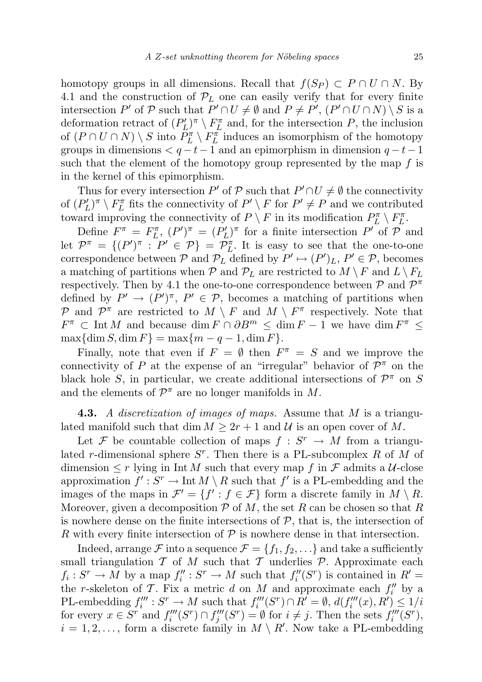homotopy groups in all dimensions. Recall that  $f(S_P) \subset P \cap U \cap N$ . By 4.1 and the construction of  $\mathcal{P}_L$  one can easily verify that for every finite intersection P' of P such that  $P' \cap U \neq \emptyset$  and  $P \neq P'$ ,  $(P' \cap U \cap N) \setminus S$  is a deformation retract of  $(P'_L)^{\pi} \setminus F_L^{\pi}$  and, for the intersection P, the inclusion of  $(P \cap U \cap N) \setminus S$  into  $P_L^{\pi} \setminus F_L^{\pi}$  induces an isomorphism of the homotopy groups in dimensions  $\lt q - t - 1$  and an epimorphism in dimension  $q - t - 1$ such that the element of the homotopy group represented by the map  $f$  is in the kernel of this epimorphism.

Thus for every intersection P' of  $\mathcal P$  such that  $P' \cap U \neq \emptyset$  the connectivity of  $(P'_L)^\pi \setminus F_L^\pi$  fits the connectivity of  $P' \setminus F$  for  $P' \neq P$  and we contributed toward improving the connectivity of  $P \setminus F$  in its modification  $P_L^{\pi} \setminus F_L^{\pi}$ .

Define  $F^{\pi} = F^{\pi}_L$ ,  $(P')^{\pi} = (P'_L)^{\pi}$  for a finite intersection P' of P and let  $\mathcal{P}^{\pi} = \{ (P')^{\pi} : P' \in \mathcal{P} \} = \overline{\mathcal{P}_{L}^{\pi}}$ . It is easy to see that the one-to-one correspondence between  $P$  and  $P_L$  defined by  $P' \mapsto (P')_L$ ,  $P' \in P$ , becomes a matching of partitions when  $P$  and  $P_L$  are restricted to  $M \setminus F$  and  $L \setminus F_L$ respectively. Then by 4.1 the one-to-one correspondence between  $P$  and  $P^{\pi}$ defined by  $P' \to (P')^{\pi}, P' \in \mathcal{P}$ , becomes a matching of partitions when P and  $\mathcal{P}^{\pi}$  are restricted to  $M \setminus F$  and  $M \setminus F^{\pi}$  respectively. Note that  $F^{\pi}$   $\subset$  Int M and because  $\dim F \cap \partial B^{m} \leq \dim F - 1$  we have  $\dim F^{\pi} \leq$  $\max{\dim S, \dim F} = \max{m - q - 1, \dim F}.$ 

Finally, note that even if  $F = \emptyset$  then  $F^{\pi} = S$  and we improve the connectivity of P at the expense of an "irregular" behavior of  $\mathcal{P}^{\pi}$  on the black hole S, in particular, we create additional intersections of  $\mathcal{P}^{\pi}$  on S and the elements of  $\mathcal{P}^{\pi}$  are no longer manifolds in M.

**4.3.** A discretization of images of maps. Assume that  $M$  is a triangulated manifold such that dim  $M \geq 2r + 1$  and U is an open cover of M.

Let F be countable collection of maps  $f: S^r \to M$  from a triangulated r-dimensional sphere  $S<sup>r</sup>$ . Then there is a PL-subcomplex R of M of dimension  $\leq r$  lying in Int M such that every map f in F admits a U-close approximation  $f': S^r \to \text{Int } M \setminus R$  such that  $f'$  is a PL-embedding and the images of the maps in  $\mathcal{F}' = \{f' : f \in \mathcal{F}\}\$ form a discrete family in  $M \setminus R$ . Moreover, given a decomposition  $P$  of M, the set R can be chosen so that R is nowhere dense on the finite intersections of  $P$ , that is, the intersection of R with every finite intersection of  $P$  is nowhere dense in that intersection.

Indeed, arrange  $\mathcal F$  into a sequence  $\mathcal F = \{f_1, f_2, \ldots\}$  and take a sufficiently small triangulation  $T$  of  $M$  such that  $T$  underlies  $P$ . Approximate each  $f_i: S^r \to M$  by a map  $f''_i: S^r \to M$  such that  $f''_i(S^r)$  is contained in  $R' =$ the *r*-skeleton of T. Fix a metric d on M and approximate each  $f''_i$  by a PL-embedding  $f_i''' : S^r \to M$  such that  $f_i'''(S^r) \cap R' = \emptyset$ ,  $d(f_i'''(x), R') \leq 1/i$ for every  $x \in S^r$  and  $f_i'''(S^r) \cap f_j'''(S^r) = \emptyset$  for  $i \neq j$ . Then the sets  $f_i'''(S^r)$ ,  $i = 1, 2, \ldots$ , form a discrete family in  $M \setminus R'$ . Now take a PL-embedding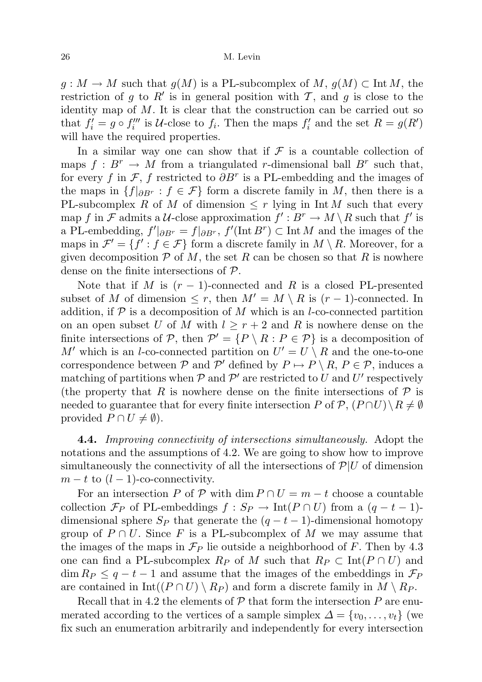$g: M \to M$  such that  $g(M)$  is a PL-subcomplex of  $M, g(M) \subset \text{Int } M$ , the restriction of g to R' is in general position with T, and g is close to the identity map of  $M$ . It is clear that the construction can be carried out so that  $f_i' = g \circ f_i'''$  is U-close to  $f_i$ . Then the maps  $f_i'$  and the set  $R = g(R')$ will have the required properties.

In a similar way one can show that if  $\mathcal F$  is a countable collection of maps  $f: B^r \to M$  from a triangulated r-dimensional ball  $B^r$  such that, for every f in  $\mathcal{F}$ , f restricted to  $\partial B^r$  is a PL-embedding and the images of the maps in  $\{f|_{\partial B^r} : f \in \mathcal{F}\}\$ form a discrete family in M, then there is a PL-subcomplex R of M of dimension  $\leq r$  lying in Int M such that every map f in F admits a U-close approximation  $f': B^r \to M \setminus R$  such that f' is a PL-embedding,  $f' \mid_{\partial B^r} = f \mid_{\partial B^r}$ ,  $f'(\text{Int } B^r) \subset \text{Int } M$  and the images of the maps in  $\mathcal{F}' = \{f' : f \in \mathcal{F}\}\$ form a discrete family in  $M \setminus R$ . Moreover, for a given decomposition  $P$  of M, the set R can be chosen so that R is nowhere dense on the finite intersections of P.

Note that if M is  $(r-1)$ -connected and R is a closed PL-presented subset of M of dimension  $\leq r$ , then  $M' = M \setminus R$  is  $(r - 1)$ -connected. In addition, if  $P$  is a decomposition of M which is an l-co-connected partition on an open subset U of M with  $l \geq r+2$  and R is nowhere dense on the finite intersections of P, then  $\mathcal{P}' = \{P \setminus R : P \in \mathcal{P}\}\$ is a decomposition of M' which is an l-co-connected partition on  $U' = U \setminus R$  and the one-to-one correspondence between  $P$  and  $P'$  defined by  $P \mapsto P \setminus R$ ,  $P \in \mathcal{P}$ , induces a matching of partitions when  $P$  and  $P'$  are restricted to U and U' respectively (the property that R is nowhere dense on the finite intersections of  $P$  is needed to guarantee that for every finite intersection P of  $\mathcal{P}, (P \cap U) \setminus R \neq \emptyset$ provided  $P \cap U \neq \emptyset$ ).

4.4. Improving connectivity of intersections simultaneously. Adopt the notations and the assumptions of 4.2. We are going to show how to improve simultaneously the connectivity of all the intersections of  $\mathcal{P}|U$  of dimension  $m - t$  to  $(l - 1)$ -co-connectivity.

For an intersection P of P with dim  $P \cap U = m - t$  choose a countable collection  $\mathcal{F}_P$  of PL-embeddings  $f : S_P \to \text{Int}(P \cap U)$  from a  $(q - t - 1)$ dimensional sphere  $S_P$  that generate the  $(q - t - 1)$ -dimensional homotopy group of  $P \cap U$ . Since F is a PL-subcomplex of M we may assume that the images of the maps in  $\mathcal{F}_P$  lie outside a neighborhood of F. Then by 4.3 one can find a PL-subcomplex  $R_P$  of M such that  $R_P \subset \text{Int}(P \cap U)$  and  $\dim R_P \leq q-t-1$  and assume that the images of the embeddings in  $\mathcal{F}_P$ are contained in  $Int((P \cap U) \setminus R_P)$  and form a discrete family in  $M \setminus R_P$ .

Recall that in 4.2 the elements of  $P$  that form the intersection  $P$  are enumerated according to the vertices of a sample simplex  $\Delta = \{v_0, \ldots, v_t\}$  (we fix such an enumeration arbitrarily and independently for every intersection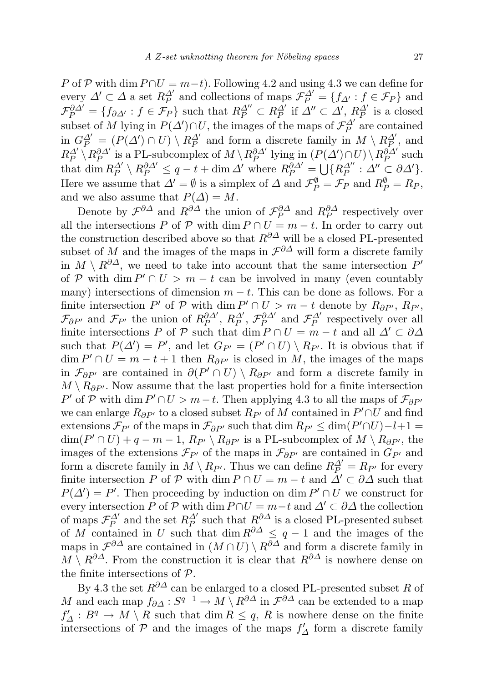P of P with dim  $P \cap U = m-t$ . Following 4.2 and using 4.3 we can define for every  $\Delta' \subset \Delta$  a set  $R_P^{\Delta'}$  and collections of maps  $\mathcal{F}_P^{\Delta'} = \{f_{\Delta'} : f \in \mathcal{F}_P\}$  and  $\mathcal{F}_{P}^{\partial \Delta'} = \{f_{\partial \Delta'} : f \in \mathcal{F}_P\}$  such that  $R_P^{\Delta''} \subset R_P^{\Delta'}$  if  $\Delta'' \subset \Delta', R_P^{\Delta'}$  is a closed subset of M lying in  $P(\Delta') \cap U$ , the images of the maps of  $\mathcal{F}_{P}^{\Delta'}$  are contained in  $G_P^{\Delta'} = (P(\Delta') \cap U) \setminus R_P^{\Delta'}$  and form a discrete family in  $M \setminus R_P^{\Delta'}$ , and  $R_P^{\Delta'}\setminus R_P^{\partial\Delta'}$  is a PL-subcomplex of  $M\setminus R_P^{\partial\Delta'}$  lying in  $(P(\Delta')\cap U)\setminus R_P^{\partial\Delta'}$  such that  $\dim R_P^{\Delta'} \setminus R_P^{\partial \Delta'} \leq q - t + \dim \Delta'$  where  $R_P^{\partial \Delta'} = \bigcup \{ R_P^{\Delta''} : \Delta'' \subset \partial \Delta' \}.$ Here we assume that  $\Delta' = \emptyset$  is a simplex of  $\Delta$  and  $\mathcal{F}_P^{\emptyset} = \mathcal{F}_P$  and  $R_P^{\emptyset} = R_P$ , and we also assume that  $P(\Delta) = M$ .

Denote by  $\mathcal{F}^{\partial\Delta}$  and  $R^{\partial\Delta}$  the union of  $\mathcal{F}_P^{\partial\Delta}$  and  $R_P^{\partial\Delta}$  respectively over all the intersections P of P with dim  $P \cap U = m - t$ . In order to carry out the construction described above so that  $R^{\partial\Delta}$  will be a closed PL-presented subset of M and the images of the maps in  $\mathcal{F}^{\partial \Delta}$  will form a discrete family in  $M \setminus R^{\partial \Delta}$ , we need to take into account that the same intersection  $P'$ of P with dim  $P' \cap U > m - t$  can be involved in many (even countably many) intersections of dimension  $m - t$ . This can be done as follows. For a finite intersection P' of P with dim  $P' \cap U > m - t$  denote by  $R_{\partial P'}$ ,  $R_{P'}$ ,  $\mathcal{F}_{\partial P'}$  and  $\mathcal{F}_{P'}$  the union of  $R_P^{\partial \Delta'}$ ,  $R_P^{\Delta'}$ ,  $\mathcal{F}_P^{\partial \Delta'}$  and  $\mathcal{F}_P^{\Delta'}$  respectively over all finite intersections P of P such that dim  $P \cap U = m - t$  and all  $\Delta' \subset \partial \Delta$ such that  $P(\Delta') = P'$ , and let  $G_{P'} = (P' \cap U) \setminus R_{P'}$ . It is obvious that if  $\dim P' \cap U = m - t + 1$  then  $R_{\partial P'}$  is closed in M, the images of the maps in  $\mathcal{F}_{\partial P'}$  are contained in  $\partial(P' \cap U) \setminus R_{\partial P'}$  and form a discrete family in  $M \setminus R_{\partial P'}$ . Now assume that the last properties hold for a finite intersection P' of P with dim  $P' \cap U > m - t$ . Then applying 4.3 to all the maps of  $\mathcal{F}_{\partial P'}$ we can enlarge  $R_{\partial P'}$  to a closed subset  $R_{P'}$  of M contained in  $P' \cap U$  and find extensions  $\mathcal{F}_{P'}$  of the maps in  $\mathcal{F}_{\partial P'}$  such that dim  $R_{P'} \leq \dim(P' \cap U) - l + 1 =$  $\dim(P' \cap U) + q - m - 1$ ,  $R_{P'} \setminus R_{\partial P'}$  is a PL-subcomplex of  $M \setminus R_{\partial P'}$ , the images of the extensions  $\mathcal{F}_{P'}$  of the maps in  $\mathcal{F}_{\partial P'}$  are contained in  $G_{P'}$  and form a discrete family in  $M \setminus R_{P'}$ . Thus we can define  $R_P^{\Delta'} = R_{P'}$  for every finite intersection P of P with dim  $P \cap U = m - t$  and  $\overline{\Delta'} \subset \partial \Delta$  such that  $P(\Delta') = P'$ . Then proceeding by induction on dim  $P' \cap U$  we construct for every intersection P of P with dim  $P \cap U = m-t$  and  $\Delta' \subset \partial \Delta$  the collection of maps  $\mathcal{F}_{P}^{\Delta'}$  and the set  $R_{P}^{\Delta'}$  such that  $R^{\partial\Delta}$  is a closed PL-presented subset of M contained in U such that dim  $R^{\partial\Delta} \leq q-1$  and the images of the maps in  $\mathcal{F}^{\partial\Delta}$  are contained in  $(M\cap U)\setminus R^{\partial\Delta}$  and form a discrete family in  $M \setminus R^{\partial\Delta}$ . From the construction it is clear that  $R^{\partial\Delta}$  is nowhere dense on the finite intersections of P.

By 4.3 the set  $R^{\partial\Delta}$  can be enlarged to a closed PL-presented subset R of M and each map  $f_{\partial\Delta}: S^{q-1} \to M \setminus R^{\partial\Delta}$  in  $\mathcal{F}^{\partial\Delta}$  can be extended to a map  $f'_{\Delta}: B^q \to M \setminus R$  such that  $\dim R \leq q$ , R is nowhere dense on the finite intersections of  $P$  and the images of the maps  $f'_{\Delta}$  form a discrete family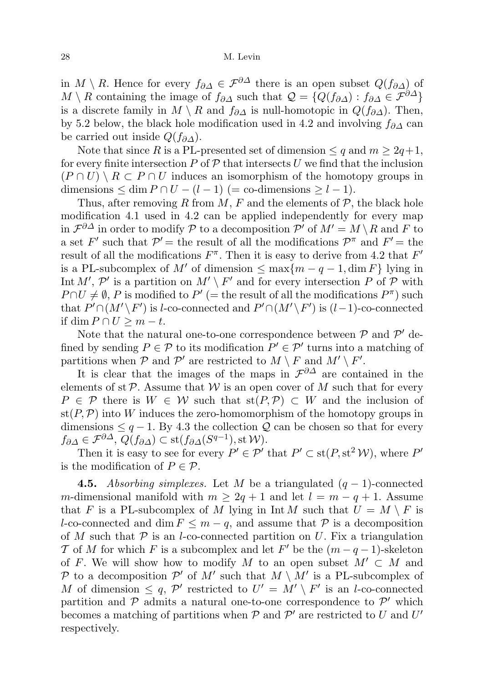in  $M \setminus R$ . Hence for every  $f_{\partial\Delta} \in \mathcal{F}^{\partial\Delta}$  there is an open subset  $Q(f_{\partial\Delta})$  of  $M \setminus R$  containing the image of  $f_{\partial\Delta}$  such that  $\mathcal{Q} = \{Q(f_{\partial\Delta}) : f_{\partial\Delta} \in \mathcal{F}^{\partial\Delta}\}\$ is a discrete family in  $M \setminus R$  and  $f_{\partial \Delta}$  is null-homotopic in  $Q(f_{\partial \Delta})$ . Then, by 5.2 below, the black hole modification used in 4.2 and involving  $f_{\partial\Delta}$  can be carried out inside  $Q(f_{\partial\Delta})$ .

Note that since R is a PL-presented set of dimension  $\leq q$  and  $m \geq 2q+1$ , for every finite intersection P of  $\mathcal P$  that intersects U we find that the inclusion  $(P \cap U) \setminus R \subset P \cap U$  induces an isomorphism of the homotopy groups in dimensions  $\leq$  dim  $P \cap U - (l-1)$  (= co-dimensions  $\geq$   $l-1$ ).

Thus, after removing R from M, F and the elements of  $P$ , the black hole modification 4.1 used in 4.2 can be applied independently for every map in  $\mathcal{F}^{\partial\Delta}$  in order to modify  $\mathcal P$  to a decomposition  $\mathcal P'$  of  $M'=M\setminus R$  and  $F$  to a set F' such that  $\mathcal{P}' =$  the result of all the modifications  $\mathcal{P}^{\pi}$  and  $F' =$  the result of all the modifications  $F^{\pi}$ . Then it is easy to derive from 4.2 that  $F'$ is a PL-subcomplex of M' of dimension  $\leq \max\{m-q-1, \dim F\}$  lying in Int M',  $\mathcal{P}'$  is a partition on  $M' \setminus F'$  and for every intersection P of P with  $P \cap U \neq \emptyset$ , P is modified to  $P'$  (= the result of all the modifications  $P^{\pi}$ ) such that  $P' \cap (M' \backslash F')$  is l-co-connected and  $P' \cap (M' \backslash F')$  is  $(l-1)$ -co-connected if dim  $P \cap U \geq m - t$ .

Note that the natural one-to-one correspondence between  $P$  and  $P'$  defined by sending  $P \in \mathcal{P}$  to its modification  $P' \in \mathcal{P}'$  turns into a matching of partitions when  $P$  and  $P'$  are restricted to  $M \setminus F$  and  $M' \setminus F'$ .

It is clear that the images of the maps in  $\mathcal{F}^{\partial\Delta}$  are contained in the elements of st  $\mathcal P$ . Assume that  $\mathcal W$  is an open cover of M such that for every  $P \in \mathcal{P}$  there is  $W \in \mathcal{W}$  such that  $\text{st}(P, \mathcal{P}) \subset W$  and the inclusion of  $\text{st}(P,\mathcal{P})$  into W induces the zero-homomorphism of the homotopy groups in dimensions  $\leq$  q − 1. By 4.3 the collection  $\mathcal{Q}$  can be chosen so that for every  $f_{\partial\Delta}\in\mathcal{F}^{\partial\Delta},\ Q(f_{\partial\Delta})\subset \mathrm{st}(f_{\partial\Delta}(S^{q-1}),\mathrm{st}\,\mathcal{W}).$ 

Then it is easy to see for every  $P' \in \mathcal{P}'$  that  $P' \subset \text{st}(P, \text{st}^2 \mathcal{W})$ , where  $P'$ is the modification of  $P \in \mathcal{P}$ .

**4.5.** Absorbing simplexes. Let M be a triangulated  $(q - 1)$ -connected m-dimensional manifold with  $m \geq 2q + 1$  and let  $l = m - q + 1$ . Assume that F is a PL-subcomplex of M lying in Int M such that  $U = M \setminus F$  is l-co-connected and dim  $F \leq m - q$ , and assume that  $P$  is a decomposition of M such that  $P$  is an l-co-connected partition on U. Fix a triangulation T of M for which F is a subcomplex and let F' be the  $(m - q - 1)$ -skeleton of F. We will show how to modify M to an open subset  $M' \subset M$  and P to a decomposition P' of M' such that  $M \setminus M'$  is a PL-subcomplex of M of dimension  $\leq q$ , P' restricted to  $U' = M' \setminus F'$  is an l-co-connected partition and  $P$  admits a natural one-to-one correspondence to  $P'$  which becomes a matching of partitions when  $P$  and  $P'$  are restricted to U and U' respectively.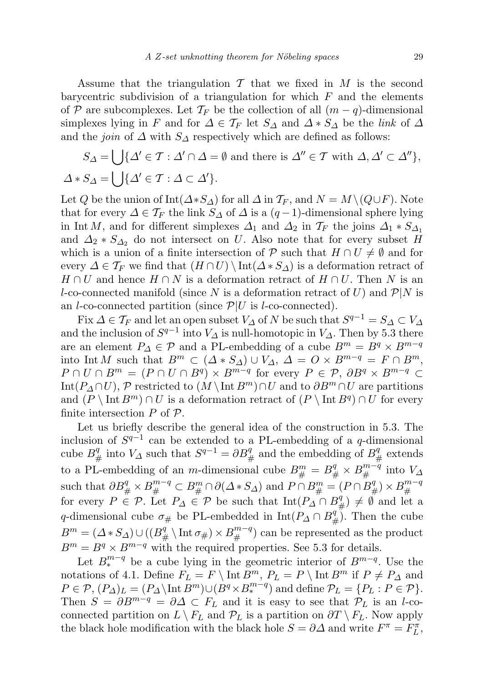Assume that the triangulation  $\mathcal T$  that we fixed in  $M$  is the second barycentric subdivision of a triangulation for which  $F$  and the elements of P are subcomplexes. Let  $\mathcal{T}_F$  be the collection of all  $(m-q)$ -dimensional simplexes lying in F and for  $\Delta \in \mathcal{T}_F$  let  $S_{\Delta}$  and  $\Delta * S_{\Delta}$  be the link of  $\Delta$ and the *join* of  $\Delta$  with  $S_{\Delta}$  respectively which are defined as follows:

$$
S_{\Delta} = \bigcup \{ \Delta' \in \mathcal{T} : \Delta' \cap \Delta = \emptyset \text{ and there is } \Delta'' \in \mathcal{T} \text{ with } \Delta, \Delta' \subset \Delta'' \},\
$$

$$
\Delta * S_{\Delta} = \bigcup \{ \Delta' \in \mathcal{T} : \Delta \subset \Delta' \}.
$$

Let Q be the union of  $\text{Int}(\Delta * S_\Delta)$  for all  $\Delta$  in  $\mathcal{T}_F$ , and  $N = M \setminus (Q \cup F)$ . Note that for every  $\Delta \in \mathcal{T}_F$  the link  $S_{\Delta}$  of  $\Delta$  is a  $(q-1)$ -dimensional sphere lying in Int M, and for different simplexes  $\Delta_1$  and  $\Delta_2$  in  $\mathcal{T}_F$  the joins  $\Delta_1 * S_{\Delta_1}$ and  $\Delta_2 * S_{\Delta_2}$  do not intersect on U. Also note that for every subset H which is a union of a finite intersection of P such that  $H \cap U \neq \emptyset$  and for every  $\Delta \in \mathcal{T}_F$  we find that  $(H \cap U) \setminus \text{Int}(\Delta * S_\Delta)$  is a deformation retract of  $H \cap U$  and hence  $H \cap N$  is a deformation retract of  $H \cap U$ . Then N is an l-co-connected manifold (since N is a deformation retract of U) and  $\mathcal{P}|N$  is an *l*-co-connected partition (since  $\mathcal{P}|U$  is *l*-co-connected).

Fix  $\Delta \in \mathcal{T}_F$  and let an open subset  $V_{\Delta}$  of N be such that  $S^{q-1} = S_{\Delta} \subset V_{\Delta}$ and the inclusion of  $S^{q-1}$  into  $V_{\Delta}$  is null-homotopic in  $V_{\Delta}$ . Then by 5.3 there are an element  $P_{\Delta} \in \mathcal{P}$  and a PL-embedding of a cube  $B^m = B^q \times B^{m-q}$ into Int M such that  $B^m \subset (\Delta * S_\Delta) \cup V_\Delta$ ,  $\Delta = O \times B^{m-q} = F \cap B^m$ ,  $P \cap U \cap B^m = (P \cap U \cap B^q) \times B^{m-q}$  for every  $P \in \mathcal{P}, \partial B^q \times B^{m-q} \subset$ Int( $P_{\Delta} \cap U$ ), P restricted to  $(M \setminus \text{Int } B^m) \cap U$  and to  $\partial B^m \cap U$  are partitions and  $(P \setminus \text{Int } B^m) \cap U$  is a deformation retract of  $(P \setminus \text{Int } B^q) \cap U$  for every finite intersection  $P$  of  $\mathcal{P}$ .

Let us briefly describe the general idea of the construction in 5.3. The inclusion of  $S^{q-1}$  can be extended to a PL-embedding of a q-dimensional cube  $B^q_{\#}$  into  $V_{\Delta}$  such that  $S^{q-1} = \partial B^q_{\#}$  and the embedding of  $B^q_{\#}$  extends to a PL-embedding of an *m*-dimensional cube  $B_{\#}^m = B_{\#}^q \times B_{\#}^{m-q}$  into  $V_{\Delta}$ such that  $\partial B^q_{\#} \times B^{m-q}_{\#} \subset B^m_{\#} \cap \partial(\Delta * S_{\Delta})$  and  $P \cap B^m_{\#} = (P \cap B^q_{\#}) \times B^{m-q}_{\#}$ # for every  $P \stackrel{\shortparallel}{\in} \mathcal{P}$ . Let  $P_{\Delta} \stackrel{\shortparallel}{\in} \mathcal{P}$  be such that  $\text{Int}(P_{\Delta} \cap B_{\#}^{q}) \neq \emptyset$  and let a q-dimensional cube  $\sigma_{\#}$  be PL-embedded in  $\mathrm{Int}(P_{\Delta} \cap B_{\#}^{q})$ . Then the cube  $B^m = (\Delta * S_{\Delta}) \cup ((B^q_{\#} \setminus \text{Int } \sigma_{\#}) \times B^{m-q}_{\#})$  can be represented as the product  $B^m = B^q \times B^{m-q}$  with the required properties. See 5.3 for details.

Let  $B_*^{m-q}$  be a cube lying in the geometric interior of  $B^{m-q}$ . Use the notations of 4.1. Define  $F_L = F \setminus \text{Int } B^m$ ,  $P_L = P \setminus \text{Int } B^m$  if  $P \neq P_\Delta$  and  $P \in \mathcal{P}, (P_{\Delta})_L = (P_{\Delta} \setminus \text{Int } B^m) \cup (B^q \times B_*^{m-q})$  and define  $\mathcal{P}_L = \{P_L : P \in \mathcal{P}\}.$ Then  $S = \partial B^{m-q} = \partial \Delta \subset F_L$  and it is easy to see that  $\mathcal{P}_L$  is an *l*-coconnected partition on  $L \setminus F_L$  and  $\mathcal{P}_L$  is a partition on  $\partial T \setminus F_L$ . Now apply the black hole modification with the black hole  $S = \partial \Delta$  and write  $F^{\pi} = F_L^{\pi}$ ,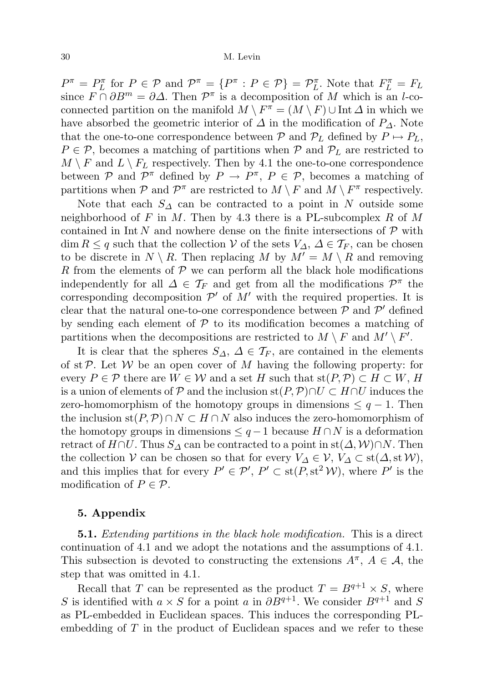$P^{\pi} = P_L^{\pi}$  for  $P \in \mathcal{P}$  and  $\mathcal{P}^{\pi} = \{P^{\pi} : P \in \mathcal{P}\} = \mathcal{P}_L^{\pi}$ . Note that  $F_L^{\pi} = F_L$ since  $F \cap \partial B^m = \partial \Delta$ . Then  $\mathcal{P}^{\pi}$  is a decomposition of M which is an l-coconnected partition on the manifold  $M \setminus F^{\pi} = (M \setminus F) \cup \text{Int } \Delta$  in which we have absorbed the geometric interior of  $\Delta$  in the modification of  $P_{\Delta}$ . Note that the one-to-one correspondence between P and  $\mathcal{P}_L$  defined by  $P \mapsto P_L$ ,  $P \in \mathcal{P}$ , becomes a matching of partitions when  $\mathcal{P}$  and  $\mathcal{P}_L$  are restricted to  $M \setminus F$  and  $L \setminus F_L$  respectively. Then by 4.1 the one-to-one correspondence between P and  $\mathcal{P}^{\pi}$  defined by  $P \to P^{\pi}$ ,  $P \in \mathcal{P}$ , becomes a matching of partitions when  $P$  and  $P^{\pi}$  are restricted to  $M \setminus F$  and  $M \setminus F^{\pi}$  respectively.

Note that each  $S_\Delta$  can be contracted to a point in N outside some neighborhood of F in M. Then by 4.3 there is a PL-subcomplex R of M contained in Int N and nowhere dense on the finite intersections of  $\mathcal P$  with  $\dim R \leq q$  such that the collection V of the sets  $V_{\Delta}$ ,  $\Delta \in \mathcal{T}_F$ , can be chosen to be discrete in  $N \setminus R$ . Then replacing M by  $M' = M \setminus R$  and removing R from the elements of  $P$  we can perform all the black hole modifications independently for all  $\Delta \in \mathcal{T}_F$  and get from all the modifications  $\mathcal{P}^{\pi}$  the corresponding decomposition  $\mathcal{P}'$  of  $M'$  with the required properties. It is clear that the natural one-to-one correspondence between  $P$  and  $P'$  defined by sending each element of  $P$  to its modification becomes a matching of partitions when the decompositions are restricted to  $M \setminus F$  and  $M' \setminus F'$ .

It is clear that the spheres  $S_{\Delta}$ ,  $\Delta \in \mathcal{T}_F$ , are contained in the elements of st $P$ . Let  $W$  be an open cover of  $M$  having the following property: for every  $P \in \mathcal{P}$  there are  $W \in \mathcal{W}$  and a set H such that  $\text{st}(P, \mathcal{P}) \subset H \subset W$ , H is a union of elements of P and the inclusion st $(P, P) \cap U \subset H \cap U$  induces the zero-homomorphism of the homotopy groups in dimensions  $\leq q-1$ . Then the inclusion st(P, P) ∩  $N \subset H \cap N$  also induces the zero-homomorphism of the homotopy groups in dimensions  $\leq q-1$  because  $H \cap N$  is a deformation retract of  $H \cap U$ . Thus  $S_{\Delta}$  can be contracted to a point in st $(\Delta, \mathcal{W}) \cap N$ . Then the collection  $\mathcal V$  can be chosen so that for every  $V_{\Delta} \in \mathcal V$ ,  $V_{\Delta} \subset st(\Delta, st\mathcal W)$ , and this implies that for every  $P' \in \mathcal{P}'$ ,  $P' \subset \text{st}(P, \text{st}^2 \mathcal{W})$ , where  $P'$  is the modification of  $P \in \mathcal{P}$ .

## 5. Appendix

**5.1.** Extending partitions in the black hole modification. This is a direct continuation of 4.1 and we adopt the notations and the assumptions of 4.1. This subsection is devoted to constructing the extensions  $A^{\pi}$ ,  $A \in \mathcal{A}$ , the step that was omitted in 4.1.

Recall that T can be represented as the product  $T = B^{q+1} \times S$ , where S is identified with  $a \times S$  for a point a in  $\partial B^{q+1}$ . We consider  $B^{q+1}$  and S as PL-embedded in Euclidean spaces. This induces the corresponding PLembedding of T in the product of Euclidean spaces and we refer to these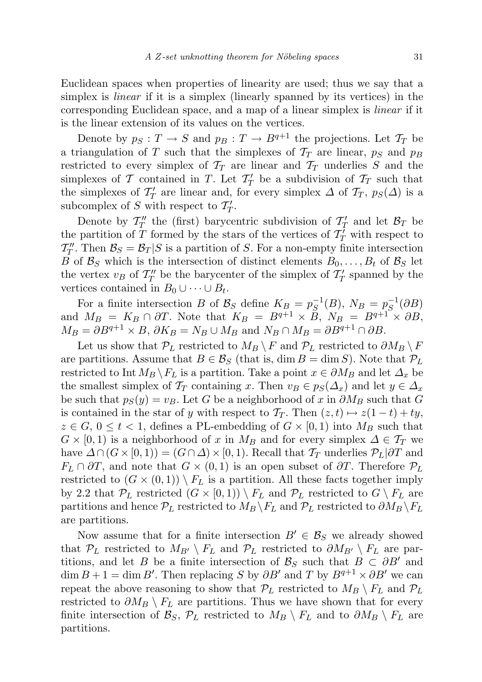Euclidean spaces when properties of linearity are used; thus we say that a simplex is *linear* if it is a simplex (linearly spanned by its vertices) in the corresponding Euclidean space, and a map of a linear simplex is linear if it is the linear extension of its values on the vertices.

Denote by  $p_S : T \to S$  and  $p_B : T \to B^{q+1}$  the projections. Let  $\mathcal{T}_T$  be a triangulation of T such that the simplexes of  $\mathcal{T}_T$  are linear,  $p_S$  and  $p_B$ restricted to every simplex of  $\mathcal{T}_T$  are linear and  $\mathcal{T}_T$  underlies S and the simplexes of T contained in T. Let  $T'_T$  be a subdivision of  $T_T$  such that the simplexes of  $\mathcal{T}'_T$  are linear and, for every simplex  $\Delta$  of  $\mathcal{T}_T$ ,  $p_S(\Delta)$  is a subcomplex of S with respect to  $T'_T$ .

Denote by  $\mathcal{T}''_T$  the (first) barycentric subdivision of  $\mathcal{T}'_T$  and let  $\mathcal{B}_T$  be the partition of  $\overline{T}$  formed by the stars of the vertices of  $\overline{T}$  with respect to  $\mathcal{T}}''_T$ . Then  $\mathcal{B}_S = \mathcal{B}_T | S$  is a partition of S. For a non-empty finite intersection B of  $\mathcal{B}_S$  which is the intersection of distinct elements  $B_0, \ldots, B_t$  of  $\mathcal{B}_S$  let the vertex  $v_B$  of  $\mathcal{T}''_T$  be the barycenter of the simplex of  $\mathcal{T}'_T$  spanned by the vertices contained in  $B_0 \cup \cdots \cup B_t$ .

For a finite intersection B of  $\mathcal{B}_S$  define  $K_B = p_S^{-1}$  $g_S^{-1}(B)$ ,  $N_B = p_S^{-1}$  $S^{\mathsf{-1}}(\partial B)$ and  $M_B = K_B \cap \partial T$ . Note that  $K_B = B^{q+1} \times \overline{B}$ ,  $N_B = B^{q+1} \times \partial B$ ,  $M_B = \partial B^{q+1} \times B$ ,  $\partial K_B = N_B \cup M_B$  and  $N_B \cap M_B = \partial B^{q+1} \cap \partial B$ .

Let us show that  $\mathcal{P}_L$  restricted to  $M_B \setminus F$  and  $\mathcal{P}_L$  restricted to  $\partial M_B \setminus F$ are partitions. Assume that  $B \in \mathcal{B}_S$  (that is, dim  $B = \dim S$ ). Note that  $\mathcal{P}_L$ restricted to Int  $M_B \backslash F_L$  is a partition. Take a point  $x \in \partial M_B$  and let  $\Delta_x$  be the smallest simplex of  $\mathcal{T}_T$  containing x. Then  $v_B \in p_S(\Delta_x)$  and let  $y \in \Delta_x$ be such that  $p_S(y) = v_B$ . Let G be a neighborhood of x in  $\partial M_B$  such that G is contained in the star of y with respect to  $\mathcal{T}_T$ . Then  $(z, t) \mapsto z(1-t) + ty$ ,  $z \in G$ ,  $0 \le t < 1$ , defines a PL-embedding of  $G \times [0,1)$  into  $M_B$  such that  $G \times [0, 1)$  is a neighborhood of x in  $M_B$  and for every simplex  $\Delta \in \mathcal{T}_T$  we have  $\Delta \cap (G \times [0, 1)) = (G \cap \Delta) \times [0, 1)$ . Recall that  $\mathcal{T}_T$  underlies  $\mathcal{P}_L | \partial T$  and  $F_L \cap \partial T$ , and note that  $G \times (0,1)$  is an open subset of  $\partial T$ . Therefore  $\mathcal{P}_L$ restricted to  $(G \times (0,1)) \setminus F_L$  is a partition. All these facts together imply by 2.2 that  $\mathcal{P}_L$  restricted  $(G \times [0, 1)) \setminus F_L$  and  $\mathcal{P}_L$  restricted to  $G \setminus F_L$  are partitions and hence  $\mathcal{P}_L$  restricted to  $M_B \backslash F_L$  and  $\mathcal{P}_L$  restricted to  $\partial M_B \backslash F_L$ are partitions.

Now assume that for a finite intersection  $B' \in \mathcal{B}_S$  we already showed that  $\mathcal{P}_L$  restricted to  $M_{B'} \setminus F_L$  and  $\mathcal{P}_L$  restricted to  $\partial M_{B'} \setminus F_L$  are partitions, and let B be a finite intersection of  $\mathcal{B}_S$  such that  $B \subset \partial B'$  and  $\dim B + 1 = \dim B'$ . Then replacing S by  $\partial B'$  and T by  $B^{q+1} \times \partial B'$  we can repeat the above reasoning to show that  $P_L$  restricted to  $M_B \setminus F_L$  and  $P_L$ restricted to  $\partial M_B \setminus F_L$  are partitions. Thus we have shown that for every finite intersection of  $\mathcal{B}_S$ ,  $\mathcal{P}_L$  restricted to  $M_B \setminus F_L$  and to  $\partial M_B \setminus F_L$  are partitions.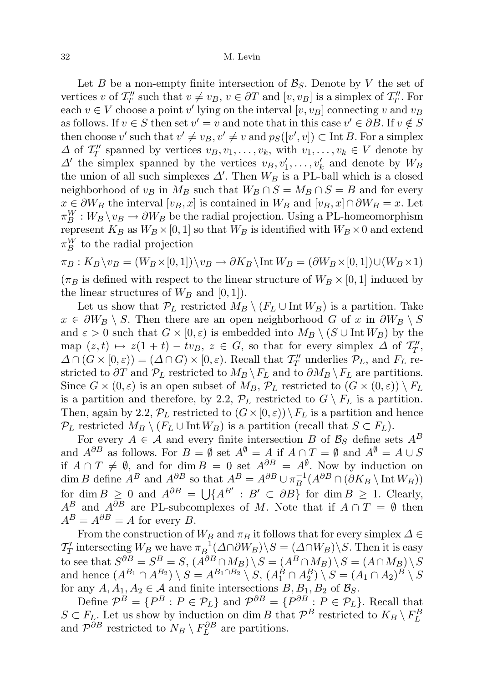Let B be a non-empty finite intersection of  $\mathcal{B}_S$ . Denote by V the set of vertices v of  $\mathcal{T}''_T$  such that  $v \neq v_B$ ,  $v \in \partial T$  and  $[v, v_B]$  is a simplex of  $\mathcal{T}''_T$ . For each  $v \in V$  choose a point v' lying on the interval  $[v, v_B]$  connecting v and  $v_B$ as follows. If  $v \in S$  then set  $v' = v$  and note that in this case  $v' \in \partial B$ . If  $v \notin S$ then choose v' such that  $v' \neq v_B$ ,  $v' \neq v$  and  $p_S([v', v]) \subset \text{Int } B$ . For a simplex  $\Delta$  of  $\mathcal{T}_T''$  spanned by vertices  $v_B, v_1, \ldots, v_k$ , with  $v_1, \ldots, v_k \in V$  denote by  $\Delta'$  the simplex spanned by the vertices  $v_B, v'_1, \ldots, v'_k$  and denote by  $W_B$ the union of all such simplexes  $\Delta'$ . Then  $W_B$  is a PL-ball which is a closed neighborhood of  $v_B$  in  $M_B$  such that  $W_B \cap S = M_B \cap S = B$  and for every  $x \in \partial W_B$  the interval  $[v_B, x]$  is contained in  $W_B$  and  $[v_B, x] \cap \partial W_B = x$ . Let  $\pi_B^W : W_B \setminus v_B \to \partial W_B$  be the radial projection. Using a PL-homeomorphism represent  $K_B$  as  $W_B \times [0, 1]$  so that  $W_B$  is identified with  $W_B \times 0$  and extend  $\pi_B^W$  to the radial projection

 $\pi_B : K_B \setminus v_B = (W_B \times [0, 1]) \setminus v_B \to \partial K_B \setminus \text{Int } W_B = (\partial W_B \times [0, 1]) \cup (W_B \times 1)$  $(\pi_B$  is defined with respect to the linear structure of  $W_B \times [0, 1]$  induced by the linear structures of  $W_B$  and  $[0, 1]$ .

Let us show that  $\mathcal{P}_L$  restricted  $M_B \setminus (F_L \cup \text{Int } W_B)$  is a partition. Take  $x \in \partial W_B \setminus S$ . Then there are an open neighborhood G of x in  $\partial W_B \setminus S$ and  $\varepsilon > 0$  such that  $G \times [0, \varepsilon)$  is embedded into  $M_B \setminus (S \cup \text{Int } W_B)$  by the map  $(z, t) \mapsto z(1 + t) - tv_B, z \in G$ , so that for every simplex  $\Delta$  of  $\mathcal{T}_T''$ ,  $\Delta \cap (G \times [0, \varepsilon)) = (\Delta \cap G) \times [0, \varepsilon)$ . Recall that  $\mathcal{T}''_T$  underlies  $\mathcal{P}_L$ , and  $F_L$  restricted to  $\partial T$  and  $\mathcal{P}_L$  restricted to  $M_B \backslash F_L$  and to  $\partial M_B \backslash F_L$  are partitions. Since  $G \times (0,\varepsilon)$  is an open subset of  $M_B$ ,  $\mathcal{P}_L$  restricted to  $(G \times (0,\varepsilon)) \setminus F_L$ is a partition and therefore, by 2.2,  $\mathcal{P}_L$  restricted to  $G \setminus F_L$  is a partition. Then, again by 2.2,  $\mathcal{P}_L$  restricted to  $(G \times [0, \varepsilon)) \setminus F_L$  is a partition and hence  $\mathcal{P}_L$  restricted  $M_B \setminus (F_L \cup \text{Int } W_B)$  is a partition (recall that  $S \subset F_L$ ).

For every  $A \in \mathcal{A}$  and every finite intersection B of  $\mathcal{B}_S$  define sets  $A^B$ and  $A^{\partial B}$  as follows. For  $B = \emptyset$  set  $A^{\emptyset} = A$  if  $A \cap T = \emptyset$  and  $A^{\emptyset} = A \cup S$ if  $A \cap T \neq \emptyset$ , and for dim  $B = 0$  set  $A^{\partial B} = A^{\emptyset}$ . Now by induction on dim B define  $A^B$  and  $A^{\partial B}$  so that  $A^B = A^{\partial B} \cup \pi_B^{-1}$  $\overline{B}^{-1}(A^{\partial B} \cap (\partial K_B \setminus \text{Int } W_B))$ for dim  $B \geq 0$  and  $A^{\partial B} = \bigcup \{A^{B'} : B' \subset \partial B\}$  for dim  $B \geq 1$ . Clearly,  $A^B$  and  $A^{\partial B}$  are PL-subcomplexes of M. Note that if  $A \cap T = \emptyset$  then  $A^B = A^{\partial B} = A$  for every B.

From the construction of  $W_B$  and  $\pi_B$  it follows that for every simplex  $\Delta \in$  $\mathcal{T}'_T$  intersecting  $W_B$  we have  $\pi_B^{-1}$  $B^{-1}_{B}(\Delta \cap \partial W_B)\backslash S = (\Delta \cap W_B)\backslash S$ . Then it is easy to see that  $S^{\partial B} = S^B = S$ ,  $(A^{\partial B} \cap M_B) \setminus S = (A^B \cap M_B) \setminus S = (A \cap M_B) \setminus S$ and hence  $(A^{B_1} \cap A^{B_2}) \setminus S = A^{B_1 \cap B_2} \setminus S$ ,  $(A_1^B \cap A_2^B) \setminus S = (A_1 \cap A_2)^B \setminus S$ for any  $A, A_1, A_2 \in \mathcal{A}$  and finite intersections  $B, B_1, B_2$  of  $\mathcal{B}_S$ .

Define  $\mathcal{P}^B = \{P^B : P \in \mathcal{P}_L\}$  and  $\mathcal{P}^{\partial B} = \{P^{\partial B} : P \in \mathcal{P}_L\}$ . Recall that  $S \subset F_L$ . Let us show by induction on dim B that  $\mathcal{P}^B$  restricted to  $K_B \setminus F_L^B$ and  $\mathcal{P}^{\partial B}$  restricted to  $N_B \setminus F_L^{\partial B}$  are partitions.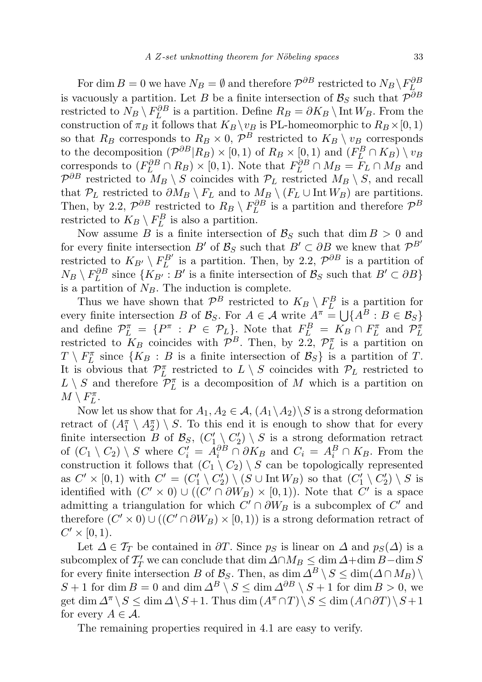For dim  $B = 0$  we have  $N_B = \emptyset$  and therefore  $\mathcal{P}^{\partial B}$  restricted to  $N_B \setminus F_L^{\partial B}$ is vacuously a partition. Let B be a finite intersection of  $\mathcal{B}_S$  such that  $\mathcal{P}^{\partial B}$ restricted to  $N_B \setminus F_L^{\partial B}$  is a partition. Define  $R_B = \partial K_B \setminus \text{Int } W_B$ . From the construction of  $\pi_B$  it follows that  $K_B \setminus v_B$  is PL-homeomorphic to  $R_B \times [0, 1)$ so that  $R_B$  corresponds to  $R_B \times 0$ ,  $\mathcal{P}^B$  restricted to  $K_B \setminus v_B$  corresponds to the decomposition  $(\mathcal{P}^{\partial B}|R_B) \times [0,1)$  of  $R_B \times [0,1)$  and  $(F^B_L \cap K_B) \setminus v_B$ corresponds to  $(F_L^{\partial B} \cap R_B) \times [0,1)$ . Note that  $F_L^{\partial B} \cap M_B = F_L \cap M_B$  and  $\mathcal{P}^{\partial B}$  restricted to  $M_B \setminus S$  coincides with  $\mathcal{P}_L$  restricted  $M_B \setminus S$ , and recall that  $\mathcal{P}_L$  restricted to  $\partial M_B \setminus F_L$  and to  $M_B \setminus (F_L \cup \text{Int } W_B)$  are partitions. Then, by 2.2,  $\mathcal{P}^{\partial B}$  restricted to  $R_B \setminus F_L^{\partial B}$  is a partition and therefore  $\mathcal{P}^B$ restricted to  $K_B \setminus F_L^B$  is also a partition.

Now assume B is a finite intersection of  $\mathcal{B}_S$  such that dim  $B > 0$  and for every finite intersection  $B'$  of  $\mathcal{B}_S$  such that  $B' \subset \partial B$  we knew that  $\mathcal{P}^{B'}$ restricted to  $K_{B'} \setminus F_L^{B'}$  is a partition. Then, by 2.2,  $\mathcal{P}^{\partial B}$  is a partition of  $N_B \setminus F_L^{\partial B}$  since  $\{K_{B'} : B'$  is a finite intersection of  $\mathcal{B}_S$  such that  $B' \subset \partial B\}$ is a partition of  $N_B$ . The induction is complete.

Thus we have shown that  $\mathcal{P}^B$  restricted to  $K_B \setminus F_L^B$  is a partition for every finite intersection B of  $\mathcal{B}_S$ . For  $A \in \mathcal{A}$  write  $A^{\pi} = \bigcup \{A^B : B \in \mathcal{B}_S\}$ and define  $\mathcal{P}_L^{\pi} = \{P^{\pi} : P \in \mathcal{P}_L\}$ . Note that  $F_L^B = K_B \cap F_L^{\pi}$  and  $\mathcal{P}_L^{\pi}$ restricted to  $K_B$  coincides with  $\mathcal{P}^B$ . Then, by 2.2,  $\mathcal{P}_L^{\pi}$  is a partition on  $T \setminus F_L^{\pi}$  since  $\{K_B : B$  is a finite intersection of  $\mathcal{B}_S\}$  is a partition of T. It is obvious that  $\mathcal{P}_L^{\pi}$  restricted to  $L \setminus S$  coincides with  $\mathcal{P}_L$  restricted to  $L \setminus S$  and therefore  $\mathcal{P}_L^{\pi}$  is a decomposition of M which is a partition on  $M \setminus F_L^{\pi}$ .

Now let us show that for  $A_1, A_2 \in \mathcal{A}, (A_1 \backslash A_2) \backslash S$  is a strong deformation retract of  $(A_1^{\pi} \setminus A_2^{\pi}) \setminus S$ . To this end it is enough to show that for every finite intersection B of  $\mathcal{B}_S$ ,  $(C'_1 \setminus C'_2) \setminus S$  is a strong deformation retract of  $(C_1 \setminus C_2) \setminus S$  where  $C_i' = A_i^{\partial B} \cap \partial K_B$  and  $C_i = A_i^B \cap K_B$ . From the construction it follows that  $(C_1 \setminus C_2) \setminus S$  can be topologically represented as  $C' \times [0,1)$  with  $C' = (C'_1 \setminus C'_2) \setminus (S \cup \text{Int } W_B)$  so that  $(C'_1 \setminus C'_2) \setminus S$  is identified with  $(C' \times 0) \cup ((C' \cap \partial W_B) \times [0,1))$ . Note that  $C'$  is a space admitting a triangulation for which  $C' \cap \partial W_B$  is a subcomplex of  $C'$  and therefore  $(C' \times 0) \cup ((C' \cap \partial W_B) \times [0,1))$  is a strong deformation retract of  $C' \times [0,1)$ .

Let  $\Delta \in \mathcal{T}_T$  be contained in  $\partial T$ . Since  $p_S$  is linear on  $\Delta$  and  $p_S(\Delta)$  is a subcomplex of  $\mathcal{T}'_T$  we can conclude that dim  $\Delta \cap M_B \leq \dim \Delta + \dim B - \dim S$ for every finite intersection B of  $\mathcal{B}_S$ . Then, as dim  $\Delta^B \setminus S \leq \dim(\Delta \cap M_B) \setminus$ S + 1 for dim B = 0 and dim  $\Delta^B \setminus S \leq \dim \Delta^{\partial B} \setminus S + 1$  for dim  $B > 0$ , we get dim  $\Delta^{\pi} \backslash S \le \dim \Delta \backslash S + 1$ . Thus dim  $(A^{\pi} \cap T) \backslash S \le \dim (A \cap \partial T) \backslash S + 1$ for every  $A \in \mathcal{A}$ .

The remaining properties required in 4.1 are easy to verify.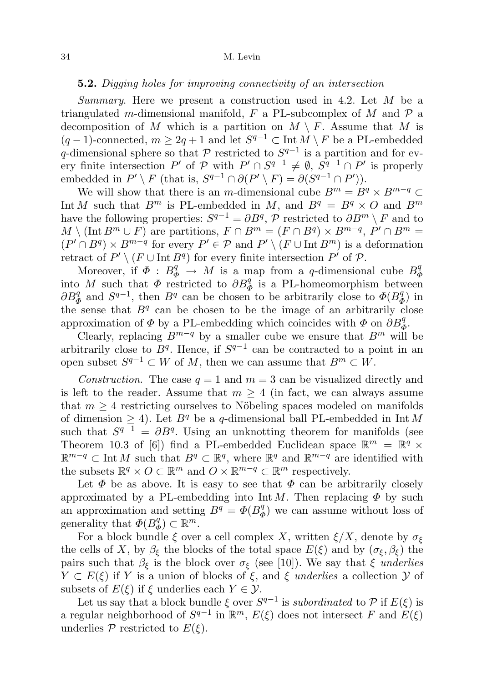## 5.2. Digging holes for improving connectivity of an intersection

Summary. Here we present a construction used in 4.2. Let M be a triangulated m-dimensional manifold, F a PL-subcomplex of M and  $\mathcal P$  a decomposition of M which is a partition on  $M \setminus F$ . Assume that M is  $(q-1)$ -connected,  $m \geq 2q+1$  and let  $S^{q-1} \subset \text{Int } M \setminus F$  be a PL-embedded q-dimensional sphere so that  $P$  restricted to  $S^{q-1}$  is a partition and for every finite intersection P' of P with  $P' \cap S^{q-1} \neq \emptyset$ ,  $S^{q-1} \cap P'$  is properly embedded in  $P' \setminus F$  (that is,  $S^{q-1} \cap \partial (P' \setminus F) = \partial (S^{q-1} \cap P')$ ).

We will show that there is an m-dimensional cube  $B^m = B^q \times B^{m-q} \subset$ Int M such that  $B^m$  is PL-embedded in M, and  $B^q = B^q \times O$  and  $B^m$ have the following properties:  $S^{q-1} = \partial B^q$ ,  $\mathcal P$  restricted to  $\partial B^m \setminus F$  and to  $M \setminus (\text{Int } B^m \cup F)$  are partitions,  $F \cap B^m = (F \cap B^q) \times B^{m-q}$ ,  $P' \cap B^m =$  $(P' \cap B^q) \times B^{m-q}$  for every  $P' \in \mathcal{P}$  and  $P' \setminus (F \cup \text{Int } B^m)$  is a deformation retract of  $P' \setminus (F \cup \text{Int } B^q)$  for every finite intersection  $P'$  of  $P$ .

Moreover, if  $\Phi : B_{\Phi}^q \to M$  is a map from a q-dimensional cube  $B_q^q$ Φ into M such that  $\Phi$  restricted to  $\partial B_{\Phi}^{q}$  is a PL-homeomorphism between  $\partial B_{\Phi}^q$  and  $S^{q-1}$ , then  $B^q$  can be chosen to be arbitrarily close to  $\Phi(B_q^q)$  $\binom{q}{\Phi}$  in the sense that  $B<sup>q</sup>$  can be chosen to be the image of an arbitrarily close approximation of  $\Phi$  by a PL-embedding which coincides with  $\Phi$  on  $\partial B_{\Phi}^q$ .

Clearly, replacing  $B^{m-q}$  by a smaller cube we ensure that  $B^m$  will be arbitrarily close to  $B<sup>q</sup>$ . Hence, if  $S<sup>q-1</sup>$  can be contracted to a point in an open subset  $S^{q-1} \subset W$  of M, then we can assume that  $B^m \subset W$ .

Construction. The case  $q = 1$  and  $m = 3$  can be visualized directly and is left to the reader. Assume that  $m \geq 4$  (in fact, we can always assume that  $m \geq 4$  restricting ourselves to Nöbeling spaces modeled on manifolds of dimension  $\geq 4$ ). Let  $B<sup>q</sup>$  be a q-dimensional ball PL-embedded in Int M such that  $S^{q-1} = \partial B^q$ . Using an unknotting theorem for manifolds (see Theorem 10.3 of [6]) find a PL-embedded Euclidean space  $\mathbb{R}^m = \mathbb{R}^q \times$  $\mathbb{R}^{m-q}$  ⊂ Int M such that  $B^q \subset \mathbb{R}^q$ , where  $\mathbb{R}^q$  and  $\mathbb{R}^{m-q}$  are identified with the subsets  $\mathbb{R}^q \times O \subset \mathbb{R}^m$  and  $O \times \mathbb{R}^{m-q} \subset \mathbb{R}^m$  respectively.

Let  $\Phi$  be as above. It is easy to see that  $\Phi$  can be arbitrarily closely approximated by a PL-embedding into Int M. Then replacing  $\Phi$  by such an approximation and setting  $B^q = \Phi(B_d^q)$  $\phi_{\Phi}^{q}$ ) we can assume without loss of generality that  $\Phi(B_d^q)$  $\varphi^q_{\Phi}) \subset \mathbb{R}^m$ .

For a block bundle  $\xi$  over a cell complex X, written  $\xi/X$ , denote by  $\sigma_{\xi}$ the cells of X, by  $\beta_{\xi}$  the blocks of the total space  $E(\xi)$  and by  $(\sigma_{\xi}, \beta_{\xi})$  the pairs such that  $\beta_{\xi}$  is the block over  $\sigma_{\xi}$  (see [10]). We say that  $\xi$  underlies  $Y \subset E(\xi)$  if Y is a union of blocks of  $\xi$ , and  $\xi$  underlies a collection  $\mathcal Y$  of subsets of  $E(\xi)$  if  $\xi$  underlies each  $Y \in \mathcal{Y}$ .

Let us say that a block bundle  $\xi$  over  $S^{q-1}$  is subordinated to P if  $E(\xi)$  is a regular neighborhood of  $S^{q-1}$  in  $\mathbb{R}^m$ ,  $E(\xi)$  does not intersect F and  $E(\xi)$ underlies  $P$  restricted to  $E(\xi)$ .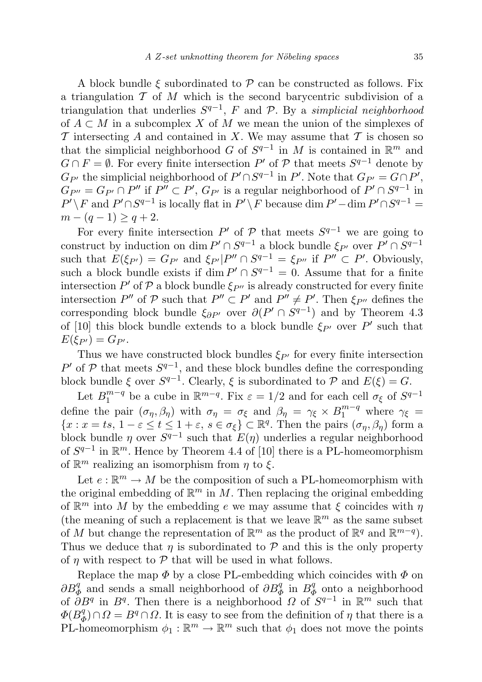A block bundle  $\xi$  subordinated to  $\mathcal P$  can be constructed as follows. Fix a triangulation  $\mathcal T$  of M which is the second barycentric subdivision of a triangulation that underlies  $S^{q-1}$ , F and P. By a simplicial neighborhood of  $A \subset M$  in a subcomplex X of M we mean the union of the simplexes of  $\mathcal T$  intersecting  $A$  and contained in X. We may assume that  $\mathcal T$  is chosen so that the simplicial neighborhood G of  $S^{q-1}$  in M is contained in  $\mathbb{R}^m$  and  $G \cap F = \emptyset$ . For every finite intersection P' of P that meets  $S^{q-1}$  denote by  $G_{P'}$  the simplicial neighborhood of  $P' \cap S^{q-1}$  in  $P'$ . Note that  $G_{P'} = G \cap P'$ ,  $G_{P''}=G_{P'}\cap P''$  if  $P''\subset P'$ ,  $G_{P'}$  is a regular neighborhood of  $P'\cap S^{q-1}$  in  $P' \setminus F$  and  $P' \cap S^{q-1}$  is locally flat in  $P' \setminus F$  because dim  $P'$  -dim  $P' \cap S^{q-1}$  =  $m - (q - 1) \geq q + 2.$ 

For every finite intersection  $P'$  of  $P$  that meets  $S^{q-1}$  we are going to construct by induction on dim  $P' \cap S^{q-1}$  a block bundle  $\xi_{P'}$  over  $P' \cap S^{q-1}$ such that  $E(\xi_{P'}) = G_{P'}$  and  $\xi_{P'}|P'' \cap S^{q-1} = \xi_{P''}$  if  $P'' \subset P'$ . Obviously, such a block bundle exists if  $\dim P' \cap S^{q-1} = 0$ . Assume that for a finite intersection  $P'$  of  $P$  a block bundle  $\xi_{P''}$  is already constructed for every finite intersection  $P''$  of  $P$  such that  $P'' \subset P'$  and  $P'' \neq P'$ . Then  $\xi_{P''}$  defines the corresponding block bundle  $\xi_{\partial P'}$  over  $\partial(P' \cap S^{q-1})$  and by Theorem 4.3 of [10] this block bundle extends to a block bundle  $\xi_{P'}$  over P' such that  $E(\xi_{P'})=G_{P'}.$ 

Thus we have constructed block bundles  $\xi_{P'}$  for every finite intersection P' of  $P$  that meets  $S^{q-1}$ , and these block bundles define the corresponding block bundle  $\xi$  over  $S^{q-1}$ . Clearly,  $\xi$  is subordinated to  $\mathcal P$  and  $E(\xi) = G$ .

Let  $B_1^{m-q}$  $_{1}^{m-q}$  be a cube in  $\mathbb{R}^{m-q}$ . Fix  $\varepsilon = 1/2$  and for each cell  $\sigma_{\xi}$  of  $S^{q-1}$ define the pair  $(\sigma_{\eta}, \beta_{\eta})$  with  $\sigma_{\eta} = \sigma_{\xi}$  and  $\beta_{\eta} = \gamma_{\xi} \times B_1^{m-q}$  where  $\gamma_{\xi} =$  ${x : x = ts, 1 - \varepsilon \le t \le 1 + \varepsilon, s \in \sigma_{\xi} } \subset \mathbb{R}^{q}$ . Then the pairs  $(\sigma_{\eta}, \beta_{\eta})$  form a block bundle  $\eta$  over  $S^{q-1}$  such that  $E(\eta)$  underlies a regular neighborhood of  $S^{q-1}$  in  $\mathbb{R}^m$ . Hence by Theorem 4.4 of [10] there is a PL-homeomorphism of  $\mathbb{R}^m$  realizing an isomorphism from  $\eta$  to  $\xi$ .

Let  $e: \mathbb{R}^m \to M$  be the composition of such a PL-homeomorphism with the original embedding of  $\mathbb{R}^m$  in M. Then replacing the original embedding of  $\mathbb{R}^m$  into M by the embedding e we may assume that  $\xi$  coincides with  $\eta$ (the meaning of such a replacement is that we leave  $\mathbb{R}^m$  as the same subset of M but change the representation of  $\mathbb{R}^m$  as the product of  $\mathbb{R}^q$  and  $\mathbb{R}^{m-q}$ ). Thus we deduce that  $\eta$  is subordinated to  $\mathcal P$  and this is the only property of  $\eta$  with respect to  $\mathcal P$  that will be used in what follows.

Replace the map  $\Phi$  by a close PL-embedding which coincides with  $\Phi$  on  $\partial B^q_{\Phi}$  and sends a small neighborhood of  $\partial B^q_{\Phi}$  in  $B^q_{\Phi}$  $\frac{q}{\phi}$  onto a neighborhood of  $\overline{\partial}B^q$  in  $B^q$ . Then there is a neighborhood  $\overline{\Omega}$  of  $S^{q-1}$  in  $\mathbb{R}^m$  such that  $\Phi(B^q_d)$  $\mathcal{L}_{\Phi}^{q}$ ) ∩  $\Omega = B^{q} \cap \Omega$ . It is easy to see from the definition of  $\eta$  that there is a PL-homeomorphism  $\phi_1 : \mathbb{R}^m \to \mathbb{R}^m$  such that  $\phi_1$  does not move the points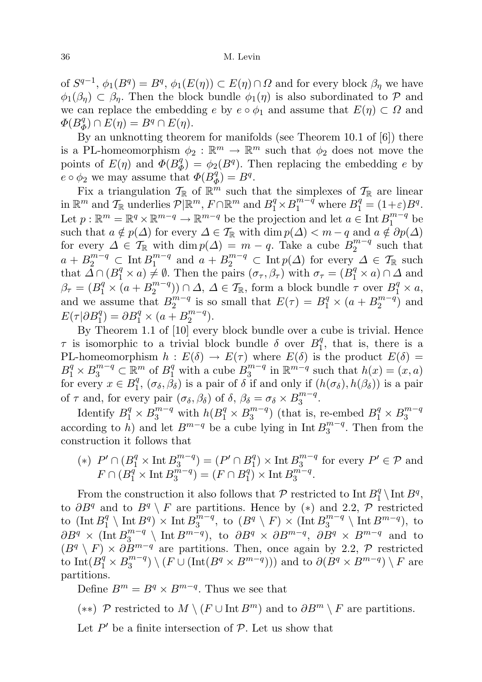of  $S^{q-1}$ ,  $\phi_1(B^q) = B^q$ ,  $\phi_1(E(\eta)) \subset E(\eta) \cap \Omega$  and for every block  $\beta_\eta$  we have  $\phi_1(\beta_n) \subset \beta_n$ . Then the block bundle  $\phi_1(\eta)$  is also subordinated to P and we can replace the embedding e by  $e \circ \phi_1$  and assume that  $E(\eta) \subset \Omega$  and  $\Phi(B^q_d$  $\binom{q}{\Phi} \cap E(\eta) = B^q \cap E(\eta).$ 

By an unknotting theorem for manifolds (see Theorem 10.1 of [6]) there is a PL-homeomorphism  $\phi_2 : \mathbb{R}^m \to \mathbb{R}^m$  such that  $\phi_2$  does not move the points of  $E(\eta)$  and  $\overline{\Phi(B_d^q)}$  $\phi_{\Phi}^{q}$ ) =  $\phi_{2}(B^{q})$ . Then replacing the embedding e by  $e \circ \phi_2$  we may assume that  $\Phi(B_q^q)$  $_{\Phi}^{q}$ ) =  $B^{q}$ .

Fix a triangulation  $\mathcal{T}_{\mathbb{R}}$  of  $\mathbb{R}^m$  such that the simplexes of  $\mathcal{T}_{\mathbb{R}}$  are linear in  $\mathbb{R}^m$  and  $\mathcal{T}_{\mathbb{R}}$  underlies  $\mathcal{P}|\mathbb{R}^m$ ,  $F \cap \mathbb{R}^m$  and  $B_1^q \times B_1^{m-q}$  where  $B_1^q = (1+\varepsilon)B^q$ . Let  $p : \mathbb{R}^m = \mathbb{R}^q \times \mathbb{R}^{m-q} \to \mathbb{R}^{m-q}$  be the projection and let  $a \in \text{Int } B_1^{m-q}$  $\int_1^{m-q}$  be such that  $a \notin p(\Delta)$  for every  $\Delta \in \mathcal{T}_{\mathbb{R}}$  with  $\dim p(\Delta) < m - q$  and  $a \notin \partial p(\Delta)$ for every  $\Delta \in \mathcal{T}_{\mathbb{R}}$  with  $\dim p(\Delta) = m - q$ . Take a cube  $B_2^{m-q}$  $\frac{m-q}{2}$  such that  $a + B_2^{m-q} \subset \text{Int } B_1^{m-q}$  $\sum_{1}^{m-q}$  and  $a + B_2^{m-q} \subset \text{Int } p(\Delta)$  for every  $\Delta \in \mathcal{T}_{\mathbb{R}}$  such that  $\tilde{\Delta} \cap (B_1^q \times a) \neq \emptyset$ . Then the pairs  $(\sigma_{\tau}, \beta_{\tau})$  with  $\sigma_{\tau} = (B_1^q \times a) \cap \Delta$  and  $\beta_{\tau} = (B_1^q \times (a + B_2^{m-q})$  $\binom{m-q}{2}$ )  $\cap \Delta$ ,  $\Delta \in \mathcal{T}_{\mathbb{R}}$ , form a block bundle  $\tau$  over  $B_1^q \times a$ , and we assume that  $B_2^{m-q}$  $2^{m-q}$  is so small that  $E(\tau) = B_1^q \times (a + B_2^{m-q})$  $x_2^{m-q}$ ) and  $E(\tau | \partial B_1^q) = \partial B_1^q \times (a + B_2^{m-q})$  $\binom{m-q}{2}$ .

By Theorem 1.1 of [10] every block bundle over a cube is trivial. Hence  $\tau$  is isomorphic to a trivial block bundle  $\delta$  over  $B_1^q$  $\frac{q}{1}$ , that is, there is a PL-homeomorphism  $h : E(\delta) \to E(\tau)$  where  $E(\delta)$  is the product  $E(\delta) =$  $B_1^q \times B_3^{m-q} \subset \mathbb{R}^m$  of  $B_1^q$  with a cube  $B_3^{m-q}$  $j_3^{m-q}$  in  $\mathbb{R}^{m-q}$  such that  $h(x) = (x, a)$ for every  $x \in B_1^q$  $_1^q$ ,  $(\sigma_\delta, \beta_\delta)$  is a pair of  $\delta$  if and only if  $(h(\sigma_\delta), h(\beta_\delta))$  is a pair of  $\tau$  and, for every pair  $(\sigma_{\delta}, \beta_{\delta})$  of  $\delta, \beta_{\delta} = \sigma_{\delta} \times B_{3}^{m-q}$  $\frac{m-q}{3}$ .

Identify  $B_1^q \times B_3^{m-q}$  with  $h(B_1^q \times B_3^{m-q})$  $B_3^{m-q}$ ) (that is, re-embed  $B_1^q \times B_3^{m-q}$ 3 according to h) and let  $B^{m-q}$  be a cube lying in Int  $B_3^{m-q}$  $\frac{3^{m-q}}{3}$ . Then from the construction it follows that

$$
(*)\ P'\cap(B_1^q\times\operatorname{Int}B_3^{m-q})=(P'\cap B_1^q)\times\operatorname{Int}B_3^{m-q}\text{ for every }P'\in\mathcal{P}\text{ and }
$$
  

$$
F\cap(B_1^q\times\operatorname{Int}B_3^{m-q})=(F\cap B_1^q)\times\operatorname{Int}B_3^{m-q}.
$$

From the construction it also follows that  $P$  restricted to Int  $B_1^q$  $B_1^q \setminus \text{Int } B^q,$ to  $\partial B^q$  and to  $B^q \setminus F$  are partitions. Hence by (\*) and 2.2, P restricted to  $(\text{Int }B_1^q)$  $\binom{q}{1}$  \ Int  $B^q$ )  $\times$  Int  $B_3^{\bar{m}-q}$  $\int_3^{\overline{m}-q}$ , to  $(B^q \setminus F) \times (\text{Int } B_3^{m-q})$  $B^{m-q}$  \ Int  $B^{m-q}$ ), to  $\partial B^q \times (\text{Int } B_3^{m-q})$  $3^{m-q}$  \ Int  $B^{m-q}$ , to  $\partial B^q \times \partial B^{m-q}$ ,  $\partial B^q \times B^{m-q}$  and to  $(B<sup>q</sup> \setminus F) \times \partial B^{m-q}$  are partitions. Then, once again by 2.2, P restricted to  $\text{Int}(B_1^q \times B_3^{m-q})$  $\binom{m-q}{3} \setminus (F \cup (\text{Int}(B^q \times B^{m-q})) )$  and to  $\partial(B^q \times B^{m-q}) \setminus F$  are partitions.

Define  $B^m = B^q \times B^{m-q}$ . Thus we see that

(\*\*) P restricted to  $M \setminus (F \cup \text{Int } B^m)$  and to  $\partial B^m \setminus F$  are partitions.

Let  $P'$  be a finite intersection of  $P$ . Let us show that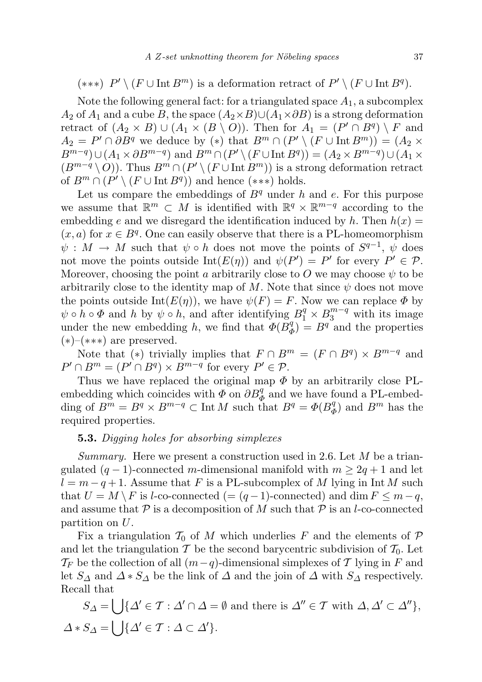$(***)$   $P' \setminus (F \cup \text{Int } B^m)$  is a deformation retract of  $P' \setminus (F \cup \text{Int } B^q)$ .

Note the following general fact: for a triangulated space  $A_1$ , a subcomplex  $A_2$  of  $A_1$  and a cube B, the space  $(A_2 \times B) \cup (A_1 \times \partial B)$  is a strong deformation retract of  $(A_2 \times B) \cup (A_1 \times (B \setminus O))$ . Then for  $A_1 = (P' \cap B^q) \setminus F$  and  $A_2 = P' \cap \partial B^q$  we deduce by (\*) that  $B^m \cap (P' \setminus (F \cup \text{Int } B^m)) = (A_2 \times$  $B^{m-q}$ )∪ $(A_1 \times \partial B^{m-q})$  and  $B^m \cap (P' \setminus (F \cup \text{Int } B^q)) = (A_2 \times B^{m-q}) \cup (A_1 \times$  $(B^{m-q} \setminus O)$ ). Thus  $B^m \cap (P' \setminus (F \cup \text{Int } B^m))$  is a strong deformation retract of  $B^m \cap (P' \setminus (F \cup \text{Int } B^q))$  and hence  $(***)$  holds.

Let us compare the embeddings of  $B<sup>q</sup>$  under h and e. For this purpose we assume that  $\mathbb{R}^m \subset M$  is identified with  $\mathbb{R}^q \times \mathbb{R}^{m-q}$  according to the embedding e and we disregard the identification induced by h. Then  $h(x) =$  $(x, a)$  for  $x \in B<sup>q</sup>$ . One can easily observe that there is a PL-homeomorphism  $\psi : M \to M$  such that  $\psi \circ h$  does not move the points of  $S^{q-1}$ ,  $\psi$  does not move the points outside  $Int(E(\eta))$  and  $\psi(P') = P'$  for every  $P' \in \mathcal{P}$ . Moreover, choosing the point a arbitrarily close to O we may choose  $\psi$  to be arbitrarily close to the identity map of M. Note that since  $\psi$  does not move the points outside Int $(E(\eta))$ , we have  $\psi(F) = F$ . Now we can replace  $\Phi$  by  $\psi \circ \hat{h} \circ \Phi$  and  $h$  by  $\psi \circ \hat{h}$ , and after identifying  $B_1^q \times B_3^{m-q}$  with its image under the new embedding h, we find that  $\Phi(B_d^q)$  $\binom{q}{\Phi} = B^q$  and the properties  $(*)-(***)$  are preserved.

Note that (\*) trivially implies that  $F \cap B^m = (F \cap B^q) \times B^{m-q}$  and  $P' \cap B^m = (P' \cap B^q) \times B^{m-q}$  for every  $P' \in \mathcal{P}$ .

Thus we have replaced the original map  $\Phi$  by an arbitrarily close PLembedding which coincides with  $\overline{\Phi}$  on  $\partial B_{\Phi}^q$  and we have found a PL-embedding of  $B^m = B^q \times B^{m-q} \subset \text{Int } M$  such that  $B^q = \Phi(B^q_d)$  $\binom{q}{\Phi}$  and  $B^m$  has the required properties.

## **5.3.** Digging holes for absorbing simplexes

Summary. Here we present a construction used in 2.6. Let  $M$  be a triangulated  $(q-1)$ -connected m-dimensional manifold with  $m \geq 2q+1$  and let  $l = m - q + 1$ . Assume that F is a PL-subcomplex of M lying in Int M such that  $U = M \setminus F$  is l-co-connected (=  $(q-1)$ -connected) and dim  $F \leq m-q$ , and assume that  $P$  is a decomposition of M such that  $P$  is an l-co-connected partition on U.

Fix a triangulation  $\mathcal{T}_0$  of M which underlies F and the elements of P and let the triangulation T be the second barycentric subdivision of  $T_0$ . Let  $\mathcal{T}_F$  be the collection of all  $(m-q)$ -dimensional simplexes of T lying in F and let  $S_{\Delta}$  and  $\Delta * S_{\Delta}$  be the link of  $\Delta$  and the join of  $\Delta$  with  $S_{\Delta}$  respectively. Recall that

 $S_{\Delta} = \bigcup \{\Delta' \in \mathcal{T} : \Delta' \cap \Delta = \emptyset \text{ and there is } \Delta'' \in \mathcal{T} \text{ with } \Delta, \Delta' \subset \Delta''\},\$  $\Delta * S_{\Delta} = \bigcup \{\Delta' \in \mathcal{T} : \Delta \subset \Delta'\}.$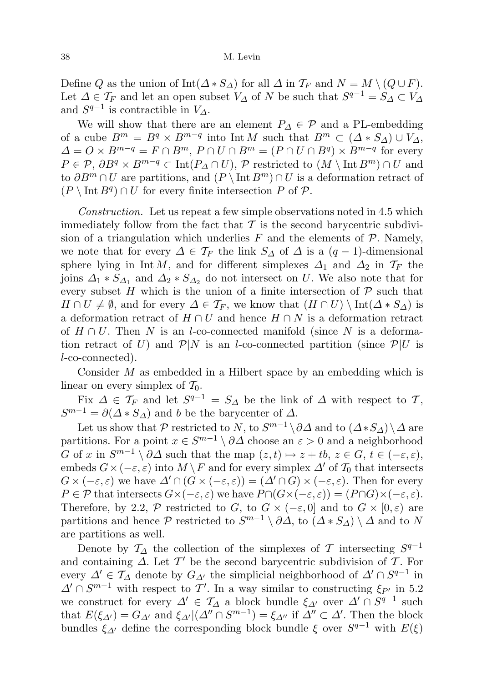Define Q as the union of Int( $\Delta$  ∗  $S_{\Delta}$ ) for all  $\Delta$  in  $\mathcal{T}_F$  and  $N = M \setminus (Q \cup F)$ . Let  $\Delta \in \mathcal{T}_F$  and let an open subset  $V_{\Delta}$  of N be such that  $S^{q-1} = S_{\Delta} \subset V_{\Delta}$ and  $S^{q-1}$  is contractible in  $V_{\Delta}$ .

We will show that there are an element  $P_{\Delta} \in \mathcal{P}$  and a PL-embedding of a cube  $B^m = B^q \times B^{m-q}$  into Int M such that  $B^m \subset (\Delta * S_{\Delta}) \cup V_{\Delta}$ ,  $\Delta = O \times B^{m-q} = F \cap B^m$ ,  $P \cap U \cap B^m = (P \cap U \cap B^q) \times B^{m-q}$  for every  $P \in \mathcal{P}, \partial B^q \times B^{m-q} \subset \text{Int}(P_{\Delta} \cap U), \mathcal{P}$  restricted to  $(M \setminus \text{Int } B^m) \cap U$  and to  $\partial B^m \cap U$  are partitions, and  $(P \setminus \text{Int } B^m) \cap U$  is a deformation retract of  $(P \setminus \text{Int } B^q) \cap U$  for every finite intersection P of P.

Construction. Let us repeat a few simple observations noted in 4.5 which immediately follow from the fact that  $\mathcal T$  is the second barycentric subdivision of a triangulation which underlies  $F$  and the elements of  $\mathcal{P}$ . Namely, we note that for every  $\Delta \in \mathcal{T}_F$  the link  $S_\Delta$  of  $\Delta$  is a  $(q-1)$ -dimensional sphere lying in Int M, and for different simplexes  $\Delta_1$  and  $\Delta_2$  in  $\mathcal{T}_F$  the joins  $\Delta_1 * S_{\Delta_1}$  and  $\Delta_2 * S_{\Delta_2}$  do not intersect on U. We also note that for every subset H which is the union of a finite intersection of  $P$  such that  $H \cap U \neq \emptyset$ , and for every  $\Delta \in \mathcal{T}_F$ , we know that  $(H \cap U) \setminus \text{Int}(\Delta * S_{\Delta})$  is a deformation retract of  $H \cap U$  and hence  $H \cap N$  is a deformation retract of  $H \cap U$ . Then N is an l-co-connected manifold (since N is a deformation retract of U) and  $\mathcal{P}|N$  is an l-co-connected partition (since  $\mathcal{P}|U$  is l-co-connected).

Consider M as embedded in a Hilbert space by an embedding which is linear on every simplex of  $\mathcal{T}_0$ .

Fix  $\Delta \in \mathcal{T}_F$  and let  $S^{q-1} = S_{\Delta}$  be the link of  $\Delta$  with respect to  $\mathcal{T},$  $S^{m-1} = \partial(\Delta * S_{\Delta})$  and b be the barycenter of  $\Delta$ .

Let us show that  $P$  restricted to N, to  $S^{m-1} \setminus \partial \Delta$  and to  $(\Delta * S_{\Delta}) \setminus \Delta$  are partitions. For a point  $x \in S^{m-1} \setminus \partial \Delta$  choose an  $\varepsilon > 0$  and a neighborhood G of x in  $S^{m-1} \setminus \partial \Delta$  such that the map  $(z, t) \mapsto z + tb, z \in G, t \in (-\varepsilon, \varepsilon),$ embeds  $G \times (-\varepsilon, \varepsilon)$  into  $M \setminus F$  and for every simplex  $\Delta'$  of  $\mathcal{T}_0$  that intersects  $G \times (-\varepsilon, \varepsilon)$  we have  $\Delta' \cap (G \times (-\varepsilon, \varepsilon)) = (\Delta' \cap G) \times (-\varepsilon, \varepsilon)$ . Then for every  $P \in \mathcal{P}$  that intersects  $G \times (-\varepsilon, \varepsilon)$  we have  $P \cap (G \times (-\varepsilon, \varepsilon)) = (P \cap G) \times (-\varepsilon, \varepsilon)$ . Therefore, by 2.2, P restricted to G, to  $G \times (-\varepsilon, 0]$  and to  $G \times [0, \varepsilon)$  are partitions and hence  $P$  restricted to  $S^{m-1} \setminus \partial \Delta$ , to  $(\Delta * S_{\Delta}) \setminus \Delta$  and to N are partitions as well.

Denote by  $\mathcal{T}_{\Delta}$  the collection of the simplexes of  $\mathcal{T}$  intersecting  $S^{q-1}$ and containing  $\Delta$ . Let  $\mathcal{T}'$  be the second barycentric subdivision of  $\mathcal{T}$ . For every  $\Delta' \in \mathcal{T}_{\Delta}$  denote by  $G_{\Delta'}$  the simplicial neighborhood of  $\Delta' \cap S^{q-1}$  in  $\Delta' \cap S^{m-1}$  with respect to T'. In a way similar to constructing  $\xi_{P'}$  in 5.2 we construct for every  $\Delta' \in \mathcal{T}_{\Delta}$  a block bundle  $\xi_{\Delta'}$  over  $\Delta' \cap S^{q-1}$  such that  $E(\xi_{\Delta}) = G_{\Delta'}$  and  $\xi_{\Delta'}|(\Delta'' \cap S^{m-1}) = \xi_{\Delta''}$  if  $\Delta'' \subset \Delta'$ . Then the block bundles  $\xi_{\Delta}$  define the corresponding block bundle  $\xi$  over  $S^{q-1}$  with  $E(\xi)$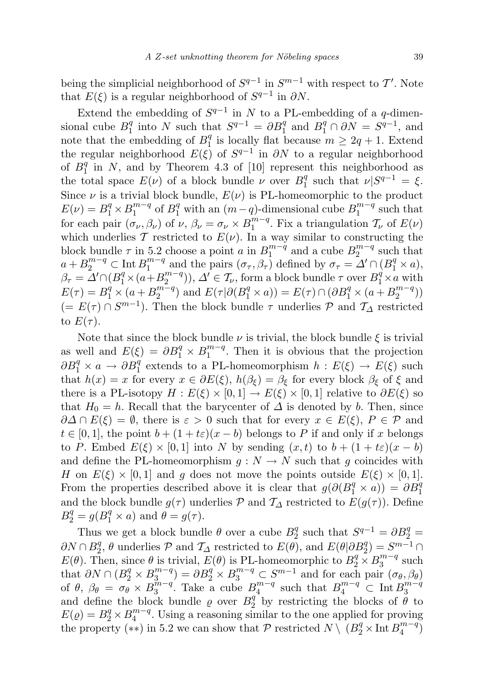being the simplicial neighborhood of  $S^{q-1}$  in  $S^{m-1}$  with respect to T'. Note that  $E(\xi)$  is a regular neighborhood of  $S^{q-1}$  in  $\partial N$ .

Extend the embedding of  $S^{q-1}$  in N to a PL-embedding of a q-dimensional cube  $B_1^q$  $_1^q$  into N such that  $S^{q-1} = \partial B_1^q$  and  $B_1^q \cap \partial N = S^{q-1}$ , and note that the embedding of  $B_1^q$  $_1^q$  is locally flat because  $m \geq 2q + 1$ . Extend the regular neighborhood  $E(\xi)$  of  $S^{q-1}$  in  $\partial N$  to a regular neighborhood of  $B_1^q$  $\frac{q}{1}$  in N, and by Theorem 4.3 of [10] represent this neighborhood as the total space  $E(\nu)$  of a block bundle  $\nu$  over  $B_1^q$ <sup>q</sup> such that  $\nu | S^{q-1} = \xi$ . Since  $\nu$  is a trivial block bundle,  $E(\nu)$  is PL-homeomorphic to the product  $E(\nu) = B_1^q \times B_1^{m-q}$  $_1^{m-q}$  of  $B_1^q$  with an  $(m-q)$ -dimensional cube  $B_1^{m-q}$  $s_1^{m-q}$  such that for each pair  $(\sigma_{\nu}, \beta_{\nu})$  of  $\nu, \beta_{\nu} = \sigma_{\nu} \times B_1^{m-q}$  $\frac{m-q}{1}$ . Fix a triangulation  $\mathcal{T}_{\nu}$  of  $E(\nu)$ which underlies T restricted to  $E(\nu)$ . In a way similar to constructing the block bundle  $\tau$  in 5.2 choose a point a in  $B_1^{m-q}$  $a_1^{m-q}$  and a cube  $B_2^{m-q}$  $\int_{2}^{m-q}$  such that  $a + B_2^{m-q} \subset \text{Int } B_1^{m-q}$  $\int_{1}^{m-q}$  and the pairs  $(\sigma_{\tau}, \beta_{\tau})$  defined by  $\sigma_{\tau} = \Delta' \cap (B_1^q \times a)$ ,  $\beta_{\tau} = \mathring{\Delta}' \cap (B_1^q \times (a + B_2^{m-q})$  $\binom{m-q}{2}$ ,  $\Delta' \in \mathcal{T}_{\nu}$ , form a block bundle  $\tau$  over  $B_1^{\dot{q}} \times a$  with  $E(\tau) = B_1^q \times (a + B_2^{m-q})$  $\binom{m-q}{2}$  and  $E(\tau | \partial (B_1^q \times a)) = E(\tau) \cap (\partial B_1^q \times (a + B_2^{m-q})$  $\binom{m-q}{2}$  $(= E(\tau) \cap S^{m-1}).$  Then the block bundle  $\tau$  underlies  $\mathcal{P}$  and  $\mathcal{T}_{\Delta}$  restricted to  $E(\tau)$ .

Note that since the block bundle  $\nu$  is trivial, the block bundle  $\xi$  is trivial as well and  $E(\xi) = \partial B_1^q \times B_1^{m-q}$  $\binom{m-q}{1}$ . Then it is obvious that the projection  $\partial B_1^q \times a \to \partial B_1^q$  extends to a PL-homeomorphism  $h : E(\xi) \to E(\xi)$  such that  $h(x) = x$  for every  $x \in \partial E(\xi)$ ,  $h(\beta_{\xi}) = \beta_{\xi}$  for every block  $\beta_{\xi}$  of  $\xi$  and there is a PL-isotopy  $H : E(\xi) \times [0,1] \to E(\xi) \times [0,1]$  relative to  $\partial E(\xi)$  so that  $H_0 = h$ . Recall that the barycenter of  $\Delta$  is denoted by b. Then, since  $\partial \Delta \cap E(\xi) = \emptyset$ , there is  $\varepsilon > 0$  such that for every  $x \in E(\xi)$ ,  $P \in \mathcal{P}$  and  $t \in [0,1]$ , the point  $b + (1 + t\varepsilon)(x - b)$  belongs to P if and only if x belongs to P. Embed  $E(\xi) \times [0,1]$  into N by sending  $(x,t)$  to  $b + (1 + t\varepsilon)(x - b)$ and define the PL-homeomorphism  $g: N \to N$  such that g coincides with H on  $E(\xi) \times [0,1]$  and g does not move the points outside  $E(\xi) \times [0,1]$ . From the properties described above it is clear that  $g(\partial (B_1^q \times a)) = \partial B_1^q$ and the block bundle  $g(\tau)$  underlies P and  $\mathcal{T}_{\Delta}$  restricted to  $E(g(\tau))$ . Define  $B_2^q = g(B_1^q \times a)$  and  $\theta = g(\tau)$ .

Thus we get a block bundle  $\theta$  over a cube  $B_2^4$  $S_2^q$  such that  $S^{q-1} = \partial B_2^q =$  $\partial N \cap B_2^q$  $Z_2^q$ ,  $\theta$  underlies  $\mathcal P$  and  $\mathcal T_{\Delta}$  restricted to  $E(\theta)$ , and  $E(\theta|\partial B_2^q) = S^{m-1} \cap$  $E(\theta)$ . Then, since  $\theta$  is trivial,  $E(\theta)$  is PL-homeomorphic to  $B_2^q \times B_3^{m-q}$  $s_3^{m-q}$  such that  $\partial N \cap (B_2^q \times B_3^{m-q})$  $\mathcal{L}_{3}^{m-q}$ ) =  $\partial B_2^q \times B_3^{m-q} \subset S^{m-1}$  and for each pair  $(\sigma_\theta, \beta_\theta)$ of  $\theta$ ,  $\beta_{\theta} = \sigma_{\theta}^2 \times B_3^{m-q}$  $\frac{3}{3}$ <sup>m-q'</sup>. Take a cube  $B_4^{m-q}$  $a_4^{m-q}$  such that  $B_4^{m-q} \subset \text{Int } B_3^{m-q}$ 3 and define the block bundle  $\varrho$  over  $B_2^q$  $\frac{q}{2}$  by restricting the blocks of  $\theta$  to  $E(\varrho) = B_2^q \times B_4^{m-q}$  $_4^{m-q}$ . Using a reasoning similar to the one applied for proving the property (\*\*) in 5.2 we can show that P restricted  $N \setminus (B_2^q \times \text{Int } B_4^{m-q})$  $\binom{m-q}{4}$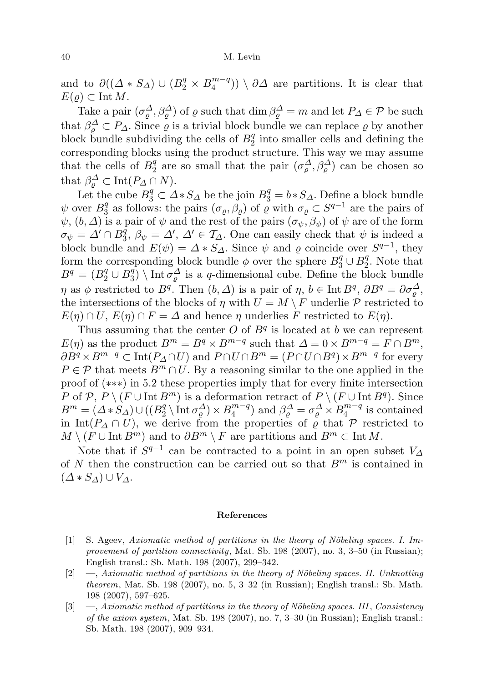and to  $\partial((\Delta * S_{\Delta}) \cup (B_2^q \times B_4^{m-q})$  $\binom{m-q}{4}$   $\setminus$   $\partial\Delta$  are partitions. It is clear that  $E(\varrho) \subset \text{Int } M$ .

Take a pair  $(\sigma_\varrho^{\Delta}, \beta_\varrho^{\Delta})$  of  $\varrho$  such that  $\dim \beta_\varrho^{\Delta} = m$  and let  $P_{\Delta} \in \mathcal{P}$  be such that  $\beta_{\varrho}^{\Delta} \subset P_{\Delta}$ . Since  $\varrho$  is a trivial block bundle we can replace  $\varrho$  by another block bundle subdividing the cells of  $B_2^q$  $\frac{q}{2}$  into smaller cells and defining the corresponding blocks using the product structure. This way we may assume that the cells of  $B_2^q$  $_2^q$  are so small that the pair  $(\sigma_\varrho^{\Delta}, \beta_\varrho^{\Delta})$  can be chosen so that  $\beta_{\varrho}^{\Delta} \subset \text{Int}(P_{\Delta} \cap N)$ .

Let the cube  $B_3^q \subset \Delta S \Delta b$  be the join  $B_3^q = b S \Delta$ . Define a block bundle  $\psi$  over  $B_3^q$ <sup>q</sup> as follows: the pairs  $(\sigma_{\varrho}, \beta_{\varrho})$  of  $\varrho$  with  $\sigma_{\varrho} \subset S^{q-1}$  are the pairs of  $\psi$ ,  $(b, \Delta)$  is a pair of  $\psi$  and the rest of the pairs  $(\sigma_{\psi}, \beta_{\psi})$  of  $\psi$  are of the form  $\sigma_\psi = \varDelta' \cap B_3^{\tilde{q}}$  $_3^q$ ,  $\beta_\psi = \Delta'$ ,  $\Delta' \in \mathcal{T}_{\Delta}$ . One can easily check that  $\psi$  is indeed a block bundle and  $E(\psi) = \Delta * S_{\Delta}$ . Since  $\psi$  and  $\varrho$  coincide over  $S^{q-1}$ , they form the corresponding block bundle  $\phi$  over the sphere  $B_3^q \cup B_2^q$  $2^q$ . Note that  $B^{q} = (B_{2}^{q} \cup B_{3}^{q})$  $\binom{q}{3} \setminus \text{Int} \sigma_{\varrho}^{\Delta}$  is a q-dimensional cube. Define the block bundle  $\eta$  as  $\phi$  restricted to  $B^q$ . Then  $(b, \Delta)$  is a pair of  $\eta, b \in \text{Int } B^q, \partial B^q = \partial \sigma_{\varrho}^{\Delta},$ the intersections of the blocks of  $\eta$  with  $U = M \setminus F$  underlie  $P$  restricted to  $E(\eta) \cap U$ ,  $E(\eta) \cap F = \Delta$  and hence  $\eta$  underlies F restricted to  $E(\eta)$ .

Thus assuming that the center  $O$  of  $B<sup>q</sup>$  is located at b we can represent  $E(\eta)$  as the product  $B^m = B^q \times B^{m-q}$  such that  $\Delta = 0 \times B^{m-q} = F \cap B^m$ ,  $\partial B^q \times B^{m-q} \subset \text{Int}(P_{\Delta} \cap U)$  and  $P \cap U \cap B^m = (P \cap U \cap B^q) \times B^{m-q}$  for every  $P \in \mathcal{P}$  that meets  $B^m \cap U$ . By a reasoning similar to the one applied in the proof of (∗∗∗) in 5.2 these properties imply that for every finite intersection P of P,  $P \setminus (F \cup \text{Int } B^m)$  is a deformation retract of  $P \setminus (F \cup \text{Int } B^q)$ . Since  $B^m = (\Delta * S_\Delta) \cup ((B_2^q$  $\frac{q}{2} \setminus \text{Int } \sigma_{\varrho}^{\Delta} \times B_4^{m-q}$  $\binom{m-q}{4}$  and  $\beta_{\varrho}^{\Delta} = \sigma_{\varrho}^{\Delta} \times B_{4}^{m-q}$  $\binom{m-q}{4}$  is contained in Int( $P_{\Delta} \cap U$ ), we derive from the properties of  $\varrho$  that  $\mathcal P$  restricted to  $M \setminus (F \cup \text{Int } B^m)$  and to  $\partial B^m \setminus F$  are partitions and  $B^m \subset \text{Int } M$ .

Note that if  $S^{q-1}$  can be contracted to a point in an open subset  $V_{\Delta}$ of  $N$  then the construction can be carried out so that  $B<sup>m</sup>$  is contained in  $(\Delta * S_{\Delta}) \cup V_{\Delta}$ .

#### References

- $[1]$  S. Ageev, Axiomatic method of partitions in the theory of Nöbeling spaces. I. Improvement of partition connectivity, Mat. Sb. 198 (2007), no. 3, 3-50 (in Russian); English transl.: Sb. Math. 198 (2007), 299–342.
- $[2] \quad -$ , Axiomatic method of partitions in the theory of Nöbeling spaces. II. Unknotting theorem, Mat. Sb. 198 (2007), no. 5, 3–32 (in Russian); English transl.: Sb. Math. 198 (2007), 597–625.
- $[3] \quad$  —, Axiomatic method of partitions in the theory of Nöbeling spaces. III, Consistency of the axiom system, Mat. Sb. 198 (2007), no. 7, 3–30 (in Russian); English transl.: Sb. Math. 198 (2007), 909–934.